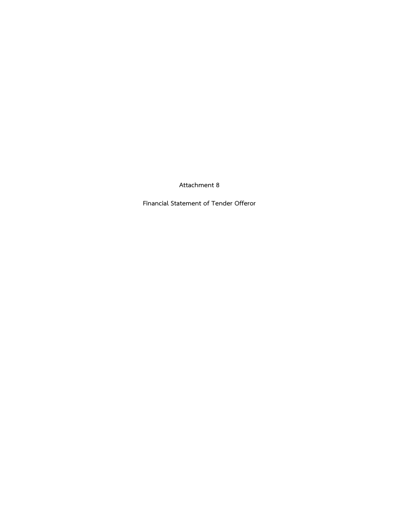**Attachment 8**

**Financial Statement of Tender Offeror**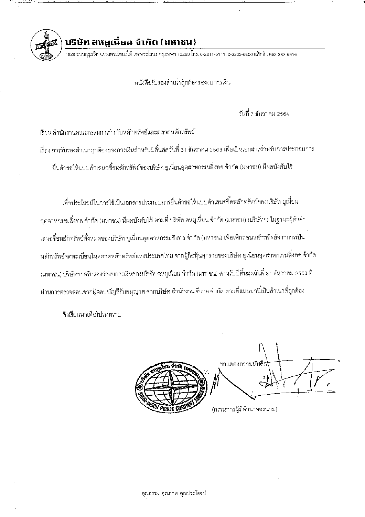

หนังสือรับรองสำเนาถูกต้องของงบการเงิน

วันที่ 7 ลันวาคม 2564

เรียน ลำนักงานคณะกรรมการกำกับหลักทรัพย์และตลาดหลักทรัพย์

เรื่อง การรับรองสำเนาถูกต้องของการเงินสำหรับปีลิ้นสุดวันที่ 31 ธันวาคม 2563 เพื่อเป็นเอกสารสำหรับการประกอบการ ้ ยื่นคำขอให้แบบคำเสนอซื้อหลักทรัพย์ของบริษัท ยูเนี่ยนอุตสาหกรรมสิ่งทอ จำกัด (มหาชน) มีผลบังคับใช้

เพื่อประโยชน์ในการใช้เป็นเอกสารประกอบการยื่นคำขอให้แบบคำเสนอซื้อหลักทรัพย์ของบริษัท ยูเนี่ยน อุตสาหกรรมสิ่งทอ จำกัด (มหาชน) มีผลบังคับใช้ ตามที่ บริษัท สหยูเนี่ยน จำกัด (มหาชน) (บริษัทฯ) ในฐานะผู้ทำคำ เสนอซื้อหลักทรัพย์ทั้งหมดของบริษัท ยูเนี่ยนอุตสาหกรรมสิ่งทอ จำกัด (มหาชน) เพื่อเพิกถอนหลักทรัพย์จากการเป็น หลักทรัพย์จดทะเบียนในตลาดหลักทรัพย์แห่งประเทศไทย จากผู้ถือหุ้นทุกรายของบริษัท ยูเนี่ยนอุตสาหกรรมสิ่งทอ จำกัด (มหาชน) บริษัทฯขอรับรองว่างบการเงินของบริษัท สหยูเนี่ยน จำกัด (มหาชน) สำหรับปีสิ้นสุดวันที่ 31 ธันวาคม 2563 ที่ ผ่านการตรวจสอบจากผู้สอบบัญชีรับอนุญาต จากบริษัท สำนักงาน อิ๋วาย จำกัด ตามที่แนบมานี้เป็นสำเนาที่ถูกต้อง

จึงเรียนมาเพื่อโปรดทราบ

ฑคแสดงความนั<del>บ</del> (กรรมการผู้มีอำนาจลงนาม)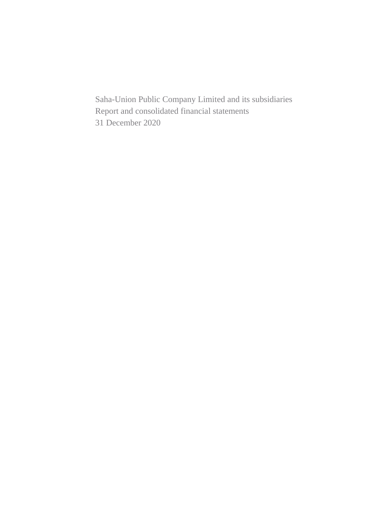Saha-Union Public Company Limited and its subsidiaries Report and consolidated financial statements 31 December 2020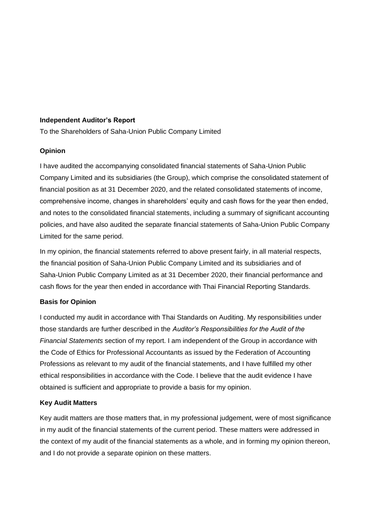# **Independent Auditor's Report**

To the Shareholders of Saha-Union Public Company Limited

# **Opinion**

I have audited the accompanying consolidated financial statements of Saha-Union Public Company Limited and its subsidiaries (the Group), which comprise the consolidated statement of financial position as at 31 December 2020, and the related consolidated statements of income, comprehensive income, changes in shareholders' equity and cash flows for the year then ended, and notes to the consolidated financial statements, including a summary of significant accounting policies, and have also audited the separate financial statements of Saha-Union Public Company Limited for the same period.

In my opinion, the financial statements referred to above present fairly, in all material respects, the financial position of Saha-Union Public Company Limited and its subsidiaries and of Saha-Union Public Company Limited as at 31 December 2020, their financial performance and cash flows for the year then ended in accordance with Thai Financial Reporting Standards.

# **Basis for Opinion**

I conducted my audit in accordance with Thai Standards on Auditing. My responsibilities under those standards are further described in the *Auditor's Responsibilities for the Audit of the Financial Statements* section of my report. I am independent of the Group in accordance with the Code of Ethics for Professional Accountants as issued by the Federation of Accounting Professions as relevant to my audit of the financial statements, and I have fulfilled my other ethical responsibilities in accordance with the Code. I believe that the audit evidence I have obtained is sufficient and appropriate to provide a basis for my opinion.

# **Key Audit Matters**

Key audit matters are those matters that, in my professional judgement, were of most significance in my audit of the financial statements of the current period. These matters were addressed in the context of my audit of the financial statements as a whole, and in forming my opinion thereon, and I do not provide a separate opinion on these matters.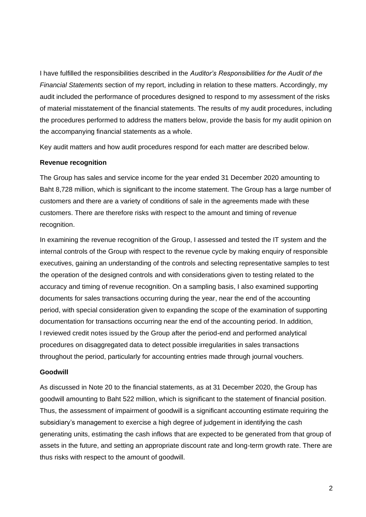I have fulfilled the responsibilities described in the *Auditor's Responsibilities for the Audit of the Financial Statements* section of my report, including in relation to these matters. Accordingly, my audit included the performance of procedures designed to respond to my assessment of the risks of material misstatement of the financial statements. The results of my audit procedures, including the procedures performed to address the matters below, provide the basis for my audit opinion on the accompanying financial statements as a whole.

Key audit matters and how audit procedures respond for each matter are described below.

# **Revenue recognition**

The Group has sales and service income for the year ended 31 December 2020 amounting to Baht 8,728 million, which is significant to the income statement. The Group has a large number of customers and there are a variety of conditions of sale in the agreements made with these customers. There are therefore risks with respect to the amount and timing of revenue recognition.

In examining the revenue recognition of the Group, I assessed and tested the IT system and the internal controls of the Group with respect to the revenue cycle by making enquiry of responsible executives, gaining an understanding of the controls and selecting representative samples to test the operation of the designed controls and with considerations given to testing related to the accuracy and timing of revenue recognition. On a sampling basis, I also examined supporting documents for sales transactions occurring during the year, near the end of the accounting period, with special consideration given to expanding the scope of the examination of supporting documentation for transactions occurring near the end of the accounting period. In addition, I reviewed credit notes issued by the Group after the period-end and performed analytical procedures on disaggregated data to detect possible irregularities in sales transactions throughout the period, particularly for accounting entries made through journal vouchers.

# **Goodwill**

As discussed in Note 20 to the financial statements, as at 31 December 2020, the Group has goodwill amounting to Baht 522 million, which is significant to the statement of financial position. Thus, the assessment of impairment of goodwill is a significant accounting estimate requiring the subsidiary's management to exercise a high degree of judgement in identifying the cash generating units, estimating the cash inflows that are expected to be generated from that group of assets in the future, and setting an appropriate discount rate and long-term growth rate. There are thus risks with respect to the amount of goodwill.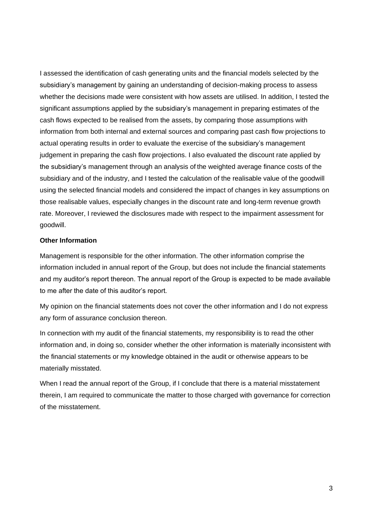I assessed the identification of cash generating units and the financial models selected by the subsidiary's management by gaining an understanding of decision-making process to assess whether the decisions made were consistent with how assets are utilised. In addition, I tested the significant assumptions applied by the subsidiary's management in preparing estimates of the cash flows expected to be realised from the assets, by comparing those assumptions with information from both internal and external sources and comparing past cash flow projections to actual operating results in order to evaluate the exercise of the subsidiary's management judgement in preparing the cash flow projections. I also evaluated the discount rate applied by the subsidiary's management through an analysis of the weighted average finance costs of the subsidiary and of the industry, and I tested the calculation of the realisable value of the goodwill using the selected financial models and considered the impact of changes in key assumptions on those realisable values, especially changes in the discount rate and long-term revenue growth rate. Moreover, I reviewed the disclosures made with respect to the impairment assessment for goodwill.

# **Other Information**

Management is responsible for the other information. The other information comprise the information included in annual report of the Group, but does not include the financial statements and my auditor's report thereon. The annual report of the Group is expected to be made available to me after the date of this auditor's report.

My opinion on the financial statements does not cover the other information and I do not express any form of assurance conclusion thereon.

In connection with my audit of the financial statements, my responsibility is to read the other information and, in doing so, consider whether the other information is materially inconsistent with the financial statements or my knowledge obtained in the audit or otherwise appears to be materially misstated.

When I read the annual report of the Group, if I conclude that there is a material misstatement therein, I am required to communicate the matter to those charged with governance for correction of the misstatement.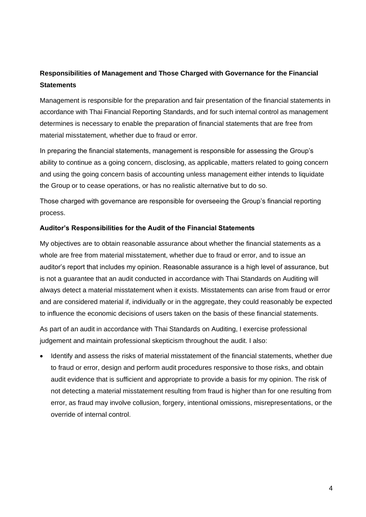# **Responsibilities of Management and Those Charged with Governance for the Financial Statements**

Management is responsible for the preparation and fair presentation of the financial statements in accordance with Thai Financial Reporting Standards, and for such internal control as management determines is necessary to enable the preparation of financial statements that are free from material misstatement, whether due to fraud or error.

In preparing the financial statements, management is responsible for assessing the Group's ability to continue as a going concern, disclosing, as applicable, matters related to going concern and using the going concern basis of accounting unless management either intends to liquidate the Group or to cease operations, or has no realistic alternative but to do so.

Those charged with governance are responsible for overseeing the Group's financial reporting process.

# **Auditor's Responsibilities for the Audit of the Financial Statements**

My objectives are to obtain reasonable assurance about whether the financial statements as a whole are free from material misstatement, whether due to fraud or error, and to issue an auditor's report that includes my opinion. Reasonable assurance is a high level of assurance, but is not a guarantee that an audit conducted in accordance with Thai Standards on Auditing will always detect a material misstatement when it exists. Misstatements can arise from fraud or error and are considered material if, individually or in the aggregate, they could reasonably be expected to influence the economic decisions of users taken on the basis of these financial statements.

As part of an audit in accordance with Thai Standards on Auditing, I exercise professional judgement and maintain professional skepticism throughout the audit. I also:

• Identify and assess the risks of material misstatement of the financial statements, whether due to fraud or error, design and perform audit procedures responsive to those risks, and obtain audit evidence that is sufficient and appropriate to provide a basis for my opinion. The risk of not detecting a material misstatement resulting from fraud is higher than for one resulting from error, as fraud may involve collusion, forgery, intentional omissions, misrepresentations, or the override of internal control.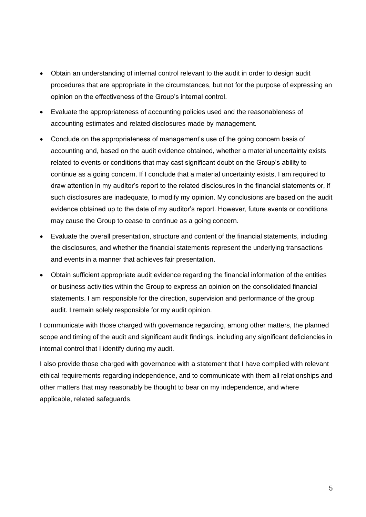- Obtain an understanding of internal control relevant to the audit in order to design audit procedures that are appropriate in the circumstances, but not for the purpose of expressing an opinion on the effectiveness of the Group's internal control.
- Evaluate the appropriateness of accounting policies used and the reasonableness of accounting estimates and related disclosures made by management.
- Conclude on the appropriateness of management's use of the going concern basis of accounting and, based on the audit evidence obtained, whether a material uncertainty exists related to events or conditions that may cast significant doubt on the Group's ability to continue as a going concern. If I conclude that a material uncertainty exists, I am required to draw attention in my auditor's report to the related disclosures in the financial statements or, if such disclosures are inadequate, to modify my opinion. My conclusions are based on the audit evidence obtained up to the date of my auditor's report. However, future events or conditions may cause the Group to cease to continue as a going concern.
- Evaluate the overall presentation, structure and content of the financial statements, including the disclosures, and whether the financial statements represent the underlying transactions and events in a manner that achieves fair presentation.
- Obtain sufficient appropriate audit evidence regarding the financial information of the entities or business activities within the Group to express an opinion on the consolidated financial statements. I am responsible for the direction, supervision and performance of the group audit. I remain solely responsible for my audit opinion.

I communicate with those charged with governance regarding, among other matters, the planned scope and timing of the audit and significant audit findings, including any significant deficiencies in internal control that I identify during my audit.

I also provide those charged with governance with a statement that I have complied with relevant ethical requirements regarding independence, and to communicate with them all relationships and other matters that may reasonably be thought to bear on my independence, and where applicable, related safeguards.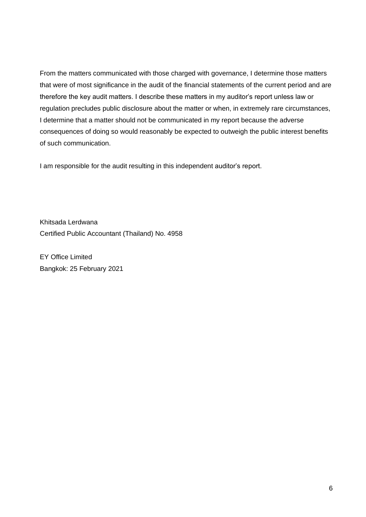From the matters communicated with those charged with governance, I determine those matters that were of most significance in the audit of the financial statements of the current period and are therefore the key audit matters. I describe these matters in my auditor's report unless law or regulation precludes public disclosure about the matter or when, in extremely rare circumstances, I determine that a matter should not be communicated in my report because the adverse consequences of doing so would reasonably be expected to outweigh the public interest benefits of such communication.

I am responsible for the audit resulting in this independent auditor's report.

Khitsada Lerdwana Certified Public Accountant (Thailand) No. 4958

EY Office Limited Bangkok: 25 February 2021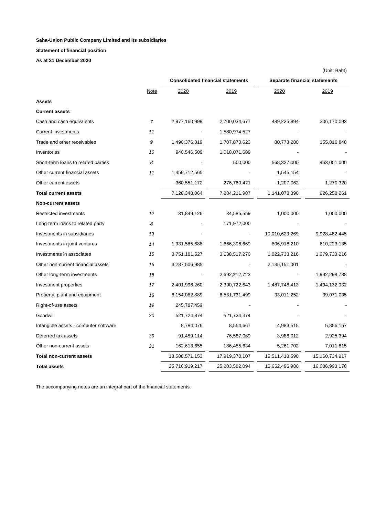### **Statement of financial position**

**As at 31 December 2020**

|                                       |                |                |                                          |                               | (Unit: Baht)   |
|---------------------------------------|----------------|----------------|------------------------------------------|-------------------------------|----------------|
|                                       |                |                | <b>Consolidated financial statements</b> | Separate financial statements |                |
|                                       | <b>Note</b>    | 2020           | 2019                                     | 2020                          | 2019           |
| <b>Assets</b>                         |                |                |                                          |                               |                |
| <b>Current assets</b>                 |                |                |                                          |                               |                |
| Cash and cash equivalents             | $\overline{7}$ | 2,877,160,999  | 2,700,034,677                            | 489,225,894                   | 306,170,093    |
| <b>Current investments</b>            | 11             |                | 1,580,974,527                            |                               |                |
| Trade and other receivables           | 9              | 1,490,376,819  | 1,707,870,623                            | 80,773,280                    | 155,816,848    |
| Inventories                           | 10             | 940,546,509    | 1,018,071,689                            |                               |                |
| Short-term loans to related parties   | 8              |                | 500,000                                  | 568,327,000                   | 463,001,000    |
| Other current financial assets        | 11             | 1,459,712,565  |                                          | 1,545,154                     |                |
| Other current assets                  |                | 360,551,172    | 276,760,471                              | 1,207,062                     | 1,270,320      |
| <b>Total current assets</b>           |                | 7,128,348,064  | 7,284,211,987                            | 1,141,078,390                 | 926,258,261    |
| <b>Non-current assets</b>             |                |                |                                          |                               |                |
| Restricted investments                | 12             | 31,849,126     | 34,585,559                               | 1,000,000                     | 1,000,000      |
| Long-term loans to related party      | 8              |                | 171,972,000                              |                               |                |
| Investments in subsidiaries           | 13             |                |                                          | 10,010,623,269                | 9,928,482,445  |
| Investments in joint ventures         | 14             | 1,931,585,688  | 1,666,306,669                            | 806,918,210                   | 610,223,135    |
| Investments in associates             | 15             | 3,751,181,527  | 3,638,517,270                            | 1,022,733,216                 | 1,079,733,216  |
| Other non-current financial assets    | 16             | 3,287,506,985  |                                          | 2,135,151,001                 |                |
| Other long-term investments           | 16             |                | 2,692,212,723                            |                               | 1,992,298,788  |
| Investment properties                 | 17             | 2,401,996,260  | 2,390,722,643                            | 1,487,748,413                 | 1,494,132,932  |
| Property, plant and equipment         | 18             | 6,154,082,889  | 6,531,731,499                            | 33,011,252                    | 39,071,035     |
| Right-of-use assets                   | 19             | 245,787,459    |                                          |                               |                |
| Goodwill                              | 20             | 521,724,374    | 521,724,374                              |                               |                |
| Intangible assets - computer software |                | 8,784,076      | 8,554,667                                | 4,983,515                     | 5,856,157      |
| Deferred tax assets                   | 30             | 91,459,114     | 76,587,069                               | 3,988,012                     | 2,925,394      |
| Other non-current assets              | 21             | 162,613,655    | 186,455,634                              | 5,261,702                     | 7,011,815      |
| <b>Total non-current assets</b>       |                | 18,588,571,153 | 17,919,370,107                           | 15,511,418,590                | 15,160,734,917 |
| <b>Total assets</b>                   |                | 25,716,919,217 | 25,203,582,094                           | 16,652,496,980                | 16,086,993,178 |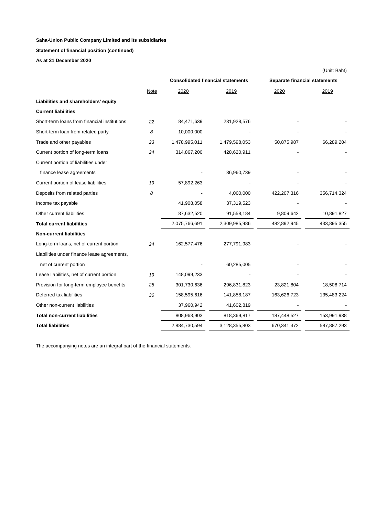### **Statement of financial position (continued)**

**As at 31 December 2020**

|                                              |      |                                          |               |                               | (Unit: Baht) |
|----------------------------------------------|------|------------------------------------------|---------------|-------------------------------|--------------|
|                                              |      | <b>Consolidated financial statements</b> |               | Separate financial statements |              |
|                                              | Note | 2020                                     | 2019          | 2020                          | 2019         |
| Liabilities and shareholders' equity         |      |                                          |               |                               |              |
| <b>Current liabilities</b>                   |      |                                          |               |                               |              |
| Short-term loans from financial institutions | 22   | 84,471,639                               | 231,928,576   |                               |              |
| Short-term loan from related party           | 8    | 10,000,000                               |               |                               |              |
| Trade and other payables                     | 23   | 1,478,995,011                            | 1,479,598,053 | 50,875,987                    | 66,289,204   |
| Current portion of long-term loans           | 24   | 314,867,200                              | 428,620,911   |                               |              |
| Current portion of liabilities under         |      |                                          |               |                               |              |
| finance lease agreements                     |      |                                          | 36,960,739    |                               |              |
| Current portion of lease liabilities         | 19   | 57,892,263                               |               |                               |              |
| Deposits from related parties                | 8    |                                          | 4,000,000     | 422,207,316                   | 356,714,324  |
| Income tax payable                           |      | 41,908,058                               | 37,319,523    |                               |              |
| Other current liabilities                    |      | 87,632,520                               | 91,558,184    | 9,809,642                     | 10,891,827   |
| <b>Total current liabilities</b>             |      | 2,075,766,691                            | 2,309,985,986 | 482,892,945                   | 433,895,355  |
| <b>Non-current liabilities</b>               |      |                                          |               |                               |              |
| Long-term loans, net of current portion      | 24   | 162,577,476                              | 277,791,983   |                               |              |
| Liabilities under finance lease agreements,  |      |                                          |               |                               |              |
| net of current portion                       |      |                                          | 60,285,005    |                               |              |
| Lease liabilities, net of current portion    | 19   | 148,099,233                              |               |                               |              |
| Provision for long-term employee benefits    | 25   | 301,730,636                              | 296,831,823   | 23,821,804                    | 18,508,714   |
| Deferred tax liabilities                     | 30   | 158,595,616                              | 141,858,187   | 163,626,723                   | 135,483,224  |
| Other non-current liabilities                |      | 37,960,942                               | 41,602,819    |                               |              |
| <b>Total non-current liabilities</b>         |      | 808,963,903                              | 818,369,817   | 187,448,527                   | 153,991,938  |
| <b>Total liabilities</b>                     |      | 2,884,730,594                            | 3,128,355,803 | 670,341,472                   | 587,887,293  |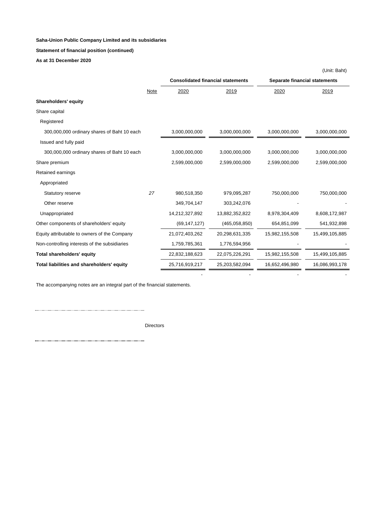### **Statement of financial position (continued)**

**As at 31 December 2020**

|                                               |      |                                          |                |                               | (Unit: Baht)   |
|-----------------------------------------------|------|------------------------------------------|----------------|-------------------------------|----------------|
|                                               |      | <b>Consolidated financial statements</b> |                | Separate financial statements |                |
|                                               | Note | 2020                                     | 2019           | 2020                          | 2019           |
| Shareholders' equity                          |      |                                          |                |                               |                |
| Share capital                                 |      |                                          |                |                               |                |
| Registered                                    |      |                                          |                |                               |                |
| 300,000,000 ordinary shares of Baht 10 each   |      | 3,000,000,000                            | 3,000,000,000  | 3,000,000,000                 | 3,000,000,000  |
| Issued and fully paid                         |      |                                          |                |                               |                |
| 300,000,000 ordinary shares of Baht 10 each   |      | 3,000,000,000                            | 3,000,000,000  | 3,000,000,000                 | 3,000,000,000  |
| Share premium                                 |      | 2,599,000,000                            | 2,599,000,000  | 2,599,000,000                 | 2,599,000,000  |
| Retained earnings                             |      |                                          |                |                               |                |
| Appropriated                                  |      |                                          |                |                               |                |
| Statutory reserve                             | 27   | 980,518,350                              | 979,095,287    | 750,000,000                   | 750,000,000    |
| Other reserve                                 |      | 349,704,147                              | 303,242,076    |                               |                |
| Unappropriated                                |      | 14,212,327,892                           | 13,882,352,822 | 8,978,304,409                 | 8,608,172,987  |
| Other components of shareholders' equity      |      | (69, 147, 127)                           | (465,058,850)  | 654,851,099                   | 541,932,898    |
| Equity attributable to owners of the Company  |      | 21,072,403,262                           | 20,298,631,335 | 15,982,155,508                | 15,499,105,885 |
| Non-controlling interests of the subsidiaries |      | 1,759,785,361                            | 1,776,594,956  |                               |                |
| Total shareholders' equity                    |      | 22,832,188,623                           | 22,075,226,291 | 15,982,155,508                | 15,499,105,885 |
| Total liabilities and shareholders' equity    |      | 25,716,919,217                           | 25,203,582,094 | 16,652,496,980                | 16,086,993,178 |
|                                               |      |                                          |                |                               |                |

- - - -

The accompanying notes are an integral part of the financial statements.

------------------------

Directors

. . . . . . . . . . . . . . .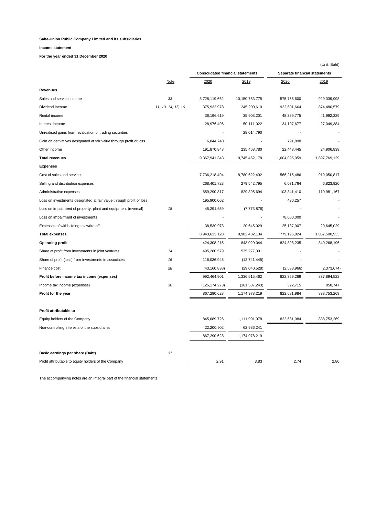#### **Income statement**

**For the year ended 31 December 2020**

|                                                                     |                    |                                          |                 |                               | (Unit: Baht)  |
|---------------------------------------------------------------------|--------------------|------------------------------------------|-----------------|-------------------------------|---------------|
|                                                                     |                    | <b>Consolidated financial statements</b> |                 | Separate financial statements |               |
|                                                                     | <b>Note</b>        | 2020                                     | 2019            | 2020                          | 2019          |
| Revenues                                                            |                    |                                          |                 |                               |               |
| Sales and service income                                            | 33                 | 8,728,119,662                            | 10,150,753,775  | 575,755,600                   | 929,339,998   |
| Dividend income                                                     | 11, 13, 14, 15, 16 | 375,932,978                              | 245,200,610     | 922,601,664                   | 874,480,579   |
| Rental income                                                       |                    | 36,196,619                               | 35,903,201      | 48,389,775                    | 41,992,329    |
| Interest income                                                     |                    | 28,976,496                               | 50,111,022      | 34,107,677                    | 27,049,384    |
| Unrealised gains from revaluation of trading securities             |                    |                                          | 28,014,790      |                               |               |
| Gain on derivatives designated at fair value through profit or loss |                    | 6,844,740                                |                 | 791,898                       |               |
| Other income                                                        |                    | 191,870,848                              | 235,468,780     | 22,448,445                    | 24,906,839    |
| <b>Total revenues</b>                                               |                    | 9,367,941,343                            | 10,745,452,178  | 1,604,095,059                 | 1,897,769,129 |
| <b>Expenses</b>                                                     |                    |                                          |                 |                               |               |
| Cost of sales and services                                          |                    | 7,736,218,494                            | 8,780,622,492   | 566,215,486                   | 919,050,817   |
| Selling and distribution expenses                                   |                    | 268,401,723                              | 279,542,795     | 6,071,764                     | 6,823,920     |
| Administrative expenses                                             |                    | 659,290,317                              | 829,395,694     | 103,341,410                   | 110,981,167   |
| Loss on investments designated at fair value through profit or loss |                    | 195,900,062                              |                 | 430,257                       |               |
| Loss on impairment of property, plant and equipment (reversal)      | 18                 | 45,291,559                               | (7, 773, 876)   |                               |               |
| Loss on impairment of investments                                   |                    |                                          |                 | 78,000,000                    |               |
| Expenses of withholding tax write-off                               |                    | 38,530,973                               | 20,645,029      | 25, 137, 907                  | 20,645,029    |
| <b>Total expenses</b>                                               |                    | 8,943,633,128                            | 9,902,432,134   | 779,196,824                   | 1,057,500,933 |
| <b>Operating profit</b>                                             |                    | 424,308,215                              | 843,020,044     | 824,898,235                   | 840,268,196   |
| Share of profit from investments in joint ventures                  | 14                 | 495,280,579                              | 535,277,391     |                               |               |
| Share of profit (loss) from investments in associates               | 15                 | 116,036,945                              | (12, 741, 445)  |                               |               |
| Finance cost                                                        | 28                 | (43, 160, 838)                           | (29,040,528)    | (2,538,966)                   | (2,373,674)   |
| Profit before income tax income (expenses)                          |                    | 992,464,901                              | 1,336,515,462   | 822,359,269                   | 837,894,522   |
| Income tax income (expenses)                                        | 30                 | (125, 174, 273)                          | (161, 537, 243) | 322,715                       | 858,747       |
| Profit for the year                                                 |                    | 867,290,628                              | 1,174,978,219   | 822,681,984                   | 838,753,269   |
| Profit attributable to                                              |                    |                                          |                 |                               |               |
| Equity holders of the Company                                       |                    | 845,089,726                              | 1,111,991,978   | 822,681,984                   | 838,753,269   |
| Non-controlling interests of the subsidiaries                       |                    | 22,200,902                               | 62,986,241      |                               |               |
|                                                                     |                    | 867,290,628                              | 1,174,978,219   |                               |               |
| Basic earnings per share (Baht)                                     | 31                 |                                          |                 |                               |               |
| Profit attributable to equity holders of the Company                |                    | 2.91                                     | 3.83            | 2.74                          | 2.80          |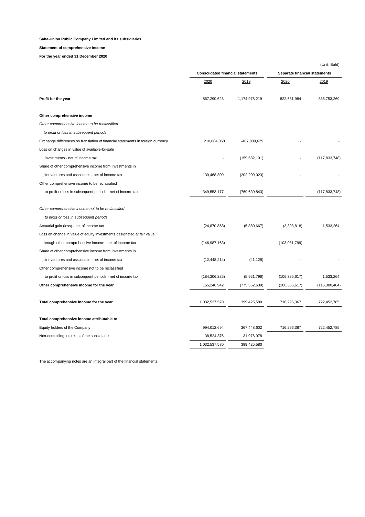### **Statement of comprehensive income**

**For the year ended 31 December 2020**

|                                                                                 |                                          |                 |                               | (Unit: Baht)    |
|---------------------------------------------------------------------------------|------------------------------------------|-----------------|-------------------------------|-----------------|
|                                                                                 | <b>Consolidated financial statements</b> |                 | Separate financial statements |                 |
|                                                                                 | 2020                                     | 2019            | 2020                          | 2019            |
| Profit for the year                                                             | 867,290,628                              | 1,174,978,219   | 822,681,984                   | 838,753,269     |
| Other comprehensive income                                                      |                                          |                 |                               |                 |
| Other comprehensive income to be reclassified                                   |                                          |                 |                               |                 |
| to profit or loss in subsequent periods                                         |                                          |                 |                               |                 |
| Exchange differences on translation of financial statements in foreign currency | 210,084,868                              | -407,839,629    |                               |                 |
| Loss on changes in value of available-for-sale                                  |                                          |                 |                               |                 |
| investments - net of income tax                                                 |                                          | (159, 582, 191) |                               | (117, 833, 748) |
| Share of other comprehensive income from investments in                         |                                          |                 |                               |                 |
| joint ventures and associates - net of income tax                               | 139,468,309                              | (202, 209, 023) |                               |                 |
| Other comprehensive income to be reclassified                                   |                                          |                 |                               |                 |
| to profit or loss in subsequent periods - net of income tax                     | 349,553,177                              | (769, 630, 843) |                               | (117, 833, 748) |
| Other comprehensive income not to be reclassified                               |                                          |                 |                               |                 |
| to profit or loss in subsequent periods                                         |                                          |                 |                               |                 |
| Actuarial gain (loss) - net of income tax                                       | (24, 870, 858)                           | (5,880,667)     | (3,303,818)                   | 1,533,264       |
| Loss on change in value of equity investments designated at fair value          |                                          |                 |                               |                 |
| through other comprehensive income - net of income tax                          | (146, 987, 163)                          |                 | (103,081,799)                 |                 |
| Share of other comprehensive income from investments in                         |                                          |                 |                               |                 |
| joint ventures and associates - net of income tax                               | (12, 448, 214)                           | (41, 129)       |                               |                 |
| Other comprehensive income not to be reclassified                               |                                          |                 |                               |                 |
| to profit or loss in subsequent periods - net of income tax                     | (184, 306, 235)                          | (5,921,796)     | (106, 385, 617)               | 1,533,264       |
| Other comprehensive income for the year                                         | 165,246,942                              | (775, 552, 639) | (106, 385, 617)               | (116, 300, 484) |
| Total comprehensive income for the year                                         | 1,032,537,570                            | 399,425,580     | 716,296,367                   | 722,452,785     |
| Total comprehensive income attributable to                                      |                                          |                 |                               |                 |
| Equity holders of the Company                                                   | 994,012,694                              | 367,448,602     | 716,296,367                   | 722,452,785     |
| Non-controlling interests of the subsidiaries                                   | 38,524,876                               | 31,976,978      |                               |                 |
|                                                                                 | 1,032,537,570                            | 399,425,580     |                               |                 |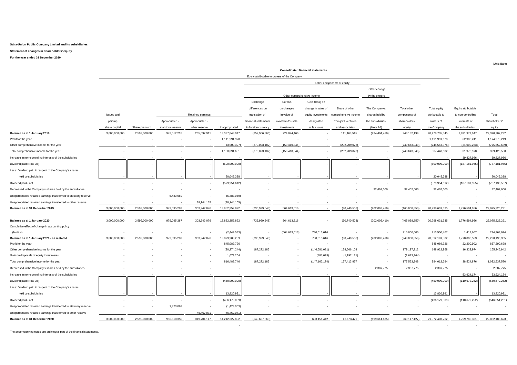#### **Statement of changes in shareholders' equity**

**For the year ended 31 December 2020**

|                                                                   |               |               |                   |                   |                 |                      |                                              | <b>Consolidated financial statements</b> |                            |                  |                          |                 |                     |                 |
|-------------------------------------------------------------------|---------------|---------------|-------------------|-------------------|-----------------|----------------------|----------------------------------------------|------------------------------------------|----------------------------|------------------|--------------------------|-----------------|---------------------|-----------------|
|                                                                   |               |               |                   |                   |                 |                      | Equity attributable to owners of the Company |                                          |                            |                  |                          |                 |                     |                 |
|                                                                   |               |               |                   |                   |                 |                      |                                              |                                          | Other components of equity |                  |                          |                 |                     |                 |
|                                                                   |               |               |                   |                   |                 |                      |                                              |                                          |                            | Other change     |                          |                 |                     |                 |
|                                                                   |               |               |                   |                   |                 |                      |                                              | Other comprehensive income               |                            | by the owners    |                          |                 |                     |                 |
|                                                                   |               |               |                   |                   |                 | Exchange             | Surplus                                      | Gain (loss) on                           |                            |                  |                          |                 |                     |                 |
|                                                                   |               |               |                   |                   |                 | differences on       | on changes                                   | change in value of                       | Share of other             | The Company's    | Total other              | Total equity    | Equity attributable |                 |
|                                                                   | Issued and    |               |                   | Retained earnings |                 | translation of       | in value of                                  | equity investments                       | comprehensive income       | shares held by   | components of            | attributable to | to non-controlling  | Total           |
|                                                                   | paid-up       |               | Appropriated -    | Appropriated -    |                 | financial statements | available-for-sale                           | designated                               | from joint ventures        | the subsidiaries | shareholders'            | owners of       | interests of        | shareholders'   |
|                                                                   | share capital | Share premium | statutory reserve | other reserve     | Unappropriated  | in foreign currency  | investments                                  | at fair value                            | and associates             | (Note 26)        | equity                   | the Company     | the subsidiaries    | equity          |
| Balance as at 1 January 2019                                      | 3,000,000,000 | 2,599,000,000 | 973,612,218       | 265,097,911       | 13,397,843,017  | (357, 906, 366)      | 724,024,460                                  |                                          | 111,468,515                | (234, 404, 410)  | 243,182,199              | 20,478,735,345  | 1,891,971,947       | 22,370,707,292  |
| Profit for the year                                               |               |               |                   |                   | 1,111,991,978   |                      |                                              |                                          |                            |                  |                          | 1,111,991,978   | 62,986,241          | 1,174,978,219   |
| Other comprehensive income for the year                           |               |               |                   |                   | (3,900,327)     | (379, 023, 182)      | (159, 410, 844)                              |                                          | (202, 209, 023)            |                  | (740, 643, 049)          | (744, 543, 376) | (31,009,263)        | (775, 552, 639) |
| Total comprehensive income for the year                           |               |               |                   |                   | 1,108,091,651   | (379, 023, 182)      | (159, 410, 844)                              |                                          | (202, 209, 023)            |                  | (740, 643, 049)          | 367,448,602     | 31,976,978          | 399,425,580     |
| Increase in non-controlling interests of the subsidiaries         |               |               |                   |                   |                 |                      |                                              |                                          |                            |                  |                          |                 | 39,827,986          | 39,827,986      |
| Dividend paid (Note 35)                                           |               |               |                   |                   | (600,000,000)   |                      |                                              |                                          |                            |                  |                          | (600,000,000)   | (187, 181, 955)     | (787, 181, 955) |
| Less: Dividend paid in respect of the Company's shares            |               |               |                   |                   |                 |                      |                                              |                                          |                            |                  |                          |                 |                     |                 |
| held by subsidiaries                                              |               |               |                   |                   | 20,045,388      |                      |                                              |                                          |                            |                  |                          | 20,045,388      |                     | 20,045,388      |
| Dividend paid - net                                               |               |               |                   |                   | (579, 954, 612) |                      |                                              |                                          |                            | $\sim$           | $\sim$                   | (579, 954, 612) | (187, 181, 955)     | (767, 136, 567) |
| Decreased in the Company's shares held by the subsidiaries        |               |               |                   |                   |                 |                      |                                              |                                          |                            | 32,402,000       | 32,402,000               | 32,402,000      |                     | 32,402,000      |
| Unappropriated retained earnings transferred to statutory reserve |               |               | 5,483,069         |                   | (5,483,069)     |                      |                                              |                                          |                            |                  |                          |                 |                     |                 |
| Unappropriated retained earnings transferred to other reserve     |               |               |                   | 38,144,165        | (38, 144, 165)  |                      |                                              |                                          |                            |                  |                          |                 |                     |                 |
| Balance as at 31 December 2019                                    | 3.000.000.000 | 2.599.000.000 | 979.095.287       | 303.242.076       | 13.882.352.822  | (736.929.548)        | 564.613.616                                  |                                          | (90.740.508)               | (202.002.410)    | (465.058.850)            | 20.298.631.335  | 1.776.594.956       | 22.075.226.291  |
|                                                                   |               |               |                   |                   |                 |                      |                                              |                                          |                            |                  |                          |                 |                     |                 |
| Balance as at 1 January 2020                                      | 3,000,000,000 | 2,599,000,000 | 979,095,287       | 303,242,076       | 13,882,352,822  | (736, 929, 548)      | 564,613,616                                  |                                          | (90, 740, 508)             | (202,002,410)    | (465, 058, 850)          | 20,298,631,335  | 1,776,594,956       | 22,075,226,291  |
| Cumulative effect of change in accounting policy                  |               |               |                   |                   |                 |                      |                                              |                                          |                            |                  |                          |                 |                     |                 |
| (Note 4)                                                          |               |               |                   |                   | (2,449,533)     |                      | (564, 613, 616)                              | 780,613,616                              |                            |                  | 216,000,000              | 213,550,467     | 1,413,607           | 214,964,074     |
| Balance as at 1 January 2020 - as restated                        | 3,000,000,000 | 2,599,000,000 | 979,095,287       | 303,242,076       | 13,879,903,289  | (736, 929, 548)      |                                              | 780,613,616                              | (90, 740, 508)             | (202,002,410)    | (249, 058, 850)          | 20,512,181,802  | 1,778,008,563       | 22,290,190,365  |
| Profit for the year                                               |               |               |                   |                   | 845,089,726     |                      |                                              | $\sim$                                   |                            |                  | $\overline{\phantom{a}}$ | 845,089,726     | 22,200,902          | 867,290,628     |
| Other comprehensive income for the year                           |               |               |                   |                   | (30, 274, 244)  | 187,272,185          |                                              | (146,681,081)                            | 138,606,108                | $\sim$           | 179,197,212              | 148,922,968     | 16,323,974          | 165,246,942     |
| Gain on disposals of equity investments                           |               |               |                   |                   | 1,673,264       |                      |                                              | (481,093)                                | (1, 192, 171)              |                  | (1,673,264)              |                 |                     |                 |
| Total comprehensive income for the year                           |               |               |                   |                   | 816,488,746     | 187,272,185          |                                              | (147, 162, 174)                          | 137,413,937                |                  | 177,523,948              | 994,012,694     | 38,524,876          | 1,032,537,570   |
| Decreased in the Company's shares held by the subsidiaries        |               |               |                   |                   |                 |                      |                                              |                                          |                            | 2,387,775        | 2,387,775                | 2,387,775       |                     | 2,387,775       |
| Increase in non-controlling interests of the subsidiaries         |               |               |                   |                   |                 |                      |                                              |                                          |                            |                  |                          |                 | 53,924,174          | 53,924,174      |
| Dividend paid (Note 35)                                           |               |               |                   |                   | (450,000,000)   |                      |                                              |                                          |                            |                  |                          | (450,000,000)   | (110,672,252)       | (560, 672, 252) |
| Less: Dividend paid in respect of the Company's shares            |               |               |                   |                   |                 |                      |                                              |                                          |                            |                  |                          |                 |                     |                 |
| held by subsidiaries                                              |               |               |                   |                   | 13,820,991      |                      |                                              |                                          |                            |                  |                          | 13,820,991      |                     | 13,820,991      |
| Dividend paid - net                                               |               | $\sim$        | $\sim$            |                   | (436, 179, 009) |                      |                                              | $\sim$                                   |                            | $\sim$           | $\sim$                   | (436, 179, 009) | (110, 672, 252)     | (546, 851, 261) |
| Unappropriated retained earnings transferred to statutory reserve |               |               | 1,423,063         |                   | (1,423,063)     |                      |                                              |                                          |                            |                  |                          |                 |                     |                 |
| Unappropriated retained earnings transferred to other reserve     |               |               |                   | 46,462,071        | (46, 462, 071)  |                      |                                              |                                          |                            |                  |                          |                 |                     |                 |
| Balance as at 31 December 2020                                    | 3,000,000,000 | 2,599,000,000 | 980.518.350       | 349,704,147       | 14,212,327,892  | (549, 657, 363)      |                                              | 633,451,442                              | 46,673,429                 | (199, 614, 635)  | (69, 147, 127)           | 21,072,403,262  | 1,759,785,361       | 22,832,188,623  |
|                                                                   |               |               |                   |                   |                 |                      |                                              |                                          |                            |                  |                          |                 |                     |                 |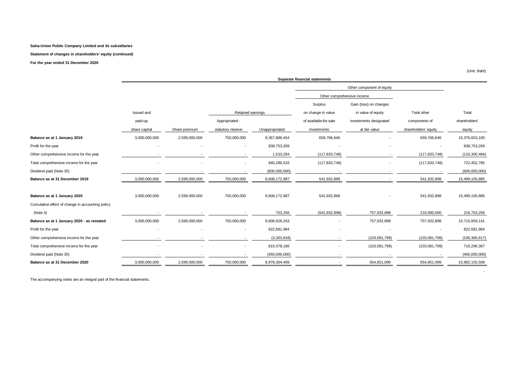**Statement of changes in shareholders' equity (continued)**

**For the year ended 31 December 2020**

|                                                  |               |               |                   |                | Separate financial statements |                           |                      |                 |
|--------------------------------------------------|---------------|---------------|-------------------|----------------|-------------------------------|---------------------------|----------------------|-----------------|
|                                                  |               |               |                   |                |                               | Other component of equity |                      |                 |
|                                                  |               |               |                   |                | Other comprehensive income    |                           |                      |                 |
|                                                  |               |               |                   |                | Surplus                       | Gain (loss) on changes    |                      |                 |
|                                                  | Issued and    |               | Retained earnings |                | on change in value            | in value of equity        | Total other          | Total           |
|                                                  | paid-up       |               | Appropriated -    |                | of available-for-sale         | investments designated    | components of        | shareholders'   |
|                                                  | share capital | Share premium | statutory reserve | Unappropriated | investments                   | at fair value             | shareholders' equity | equity          |
| Balance as at 1 January 2019                     | 3,000,000,000 | 2,599,000,000 | 750,000,000       | 8,367,886,454  | 659,766,646                   |                           | 659,766,646          | 15,376,653,100  |
| Profit for the year                              |               |               |                   | 838,753,269    |                               |                           |                      | 838,753,269     |
| Other comprehensive income for the year          |               |               |                   | 1,533,264      | (117, 833, 748)               |                           | (117, 833, 748)      | (116, 300, 484) |
| Total comprehensive income for the year          |               |               |                   | 840,286,533    | (117, 833, 748)               |                           | (117, 833, 748)      | 722,452,785     |
| Dividend paid (Note 35)                          |               |               |                   | (600,000,000)  |                               |                           |                      | (600,000,000)   |
| Balance as at 31 December 2019                   | 3,000,000,000 | 2,599,000,000 | 750,000,000       | 8,608,172,987  | 541,932,898                   |                           | 541,932,898          | 15,499,105,885  |
|                                                  |               |               |                   |                |                               |                           |                      |                 |
| Balance as at 1 January 2020                     | 3,000,000,000 | 2,599,000,000 | 750,000,000       | 8,608,172,987  | 541,932,898                   |                           | 541,932,898          | 15,499,105,885  |
| Cumulative effect of change in accounting policy |               |               |                   |                |                               |                           |                      |                 |
| (Note 4)                                         |               |               |                   | 753,256        | (541, 932, 898)               | 757,932,898               | 216,000,000          | 216,753,256     |
| Balance as at 1 January 2020 - as restated       | 3,000,000,000 | 2,599,000,000 | 750,000,000       | 8,608,926,243  |                               | 757,932,898               | 757,932,898          | 15,715,859,141  |
| Profit for the year                              |               |               |                   | 822,681,984    |                               |                           |                      | 822,681,984     |
| Other comprehensive income for the year          |               |               |                   | (3,303,818)    |                               | (103,081,799)             | (103,081,799)        | (106, 385, 617) |
| Total comprehensive income for the year          |               |               |                   | 819,378,166    |                               | (103,081,799)             | (103,081,799)        | 716,296,367     |
| Dividend paid (Note 35)                          |               |               |                   | (450,000,000)  |                               |                           |                      | (450,000,000)   |
| Balance as at 31 December 2020                   | 3,000,000,000 | 2,599,000,000 | 750,000,000       | 8,978,304,409  |                               | 654,851,099               | 654,851,099          | 15,982,155,508  |

The accompanying notes are an integral part of the financial statements.

(Unit: Baht)

- 1990 - 1990 - 1990 - 1990 - 1991 - 1992 - 1992 - 1992 - 1992 - 1992 - 1992 - 1992 - 1992 - 1992 - 1992 - 199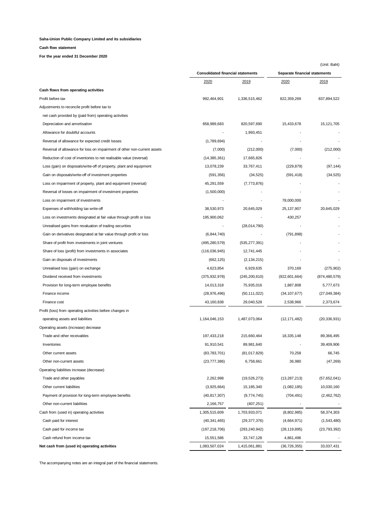### **Cash flow statement**

**For the year ended 31 December 2020**

|                                                                          |                                          |                 |                               | (Unit: Baht)    |
|--------------------------------------------------------------------------|------------------------------------------|-----------------|-------------------------------|-----------------|
|                                                                          | <b>Consolidated financial statements</b> |                 | Separate financial statements |                 |
|                                                                          | 2020                                     | 2019            | <u> 2020</u>                  | 2019            |
| Cash flows from operating activities                                     |                                          |                 |                               |                 |
| Profit before tax                                                        | 992,464,901                              | 1,336,515,462   | 822,359,269                   | 837,894,522     |
| Adjustments to reconcile profit before tax to                            |                                          |                 |                               |                 |
| net cash provided by (paid from) operating activities                    |                                          |                 |                               |                 |
| Depreciation and amortisation                                            | 858,989,683                              | 820,597,690     | 15,433,678                    | 15,121,705      |
| Allowance for doubtful accounts                                          |                                          | 1,993,451       |                               |                 |
| Reversal of allowance for expected credit losses                         | (1,789,694)                              |                 |                               |                 |
| Reversal of allowance for loss on impairment of other non-current assets | (7,000)                                  | (212,000)       | (7,000)                       | (212,000)       |
| Reduction of cost of inventories to net realisable value (reversal)      | (14, 385, 361)                           | 17,665,826      |                               |                 |
| Loss (gain) on disposals/write-off of property, plant and equipment      | 13,078,239                               | 33,767,411      | (229, 879)                    | (97, 144)       |
| Gain on disposals/write-off of investment properties                     | (591, 356)                               | (34, 525)       | (591, 418)                    | (34, 525)       |
| Loss on impairment of property, plant and equipment (reversal)           | 45,291,559                               | (7,773,876)     |                               |                 |
| Reversal of losses on impairment of investment properties                | (1,500,000)                              |                 |                               |                 |
| Loss on impairment of investments                                        |                                          |                 | 78,000,000                    |                 |
| Expenses of withholding tax write-off                                    | 38,530,973                               | 20,645,029      | 25,137,907                    | 20,645,029      |
| Loss on investments designated at fair value through profit or loss      | 195,900,062                              |                 | 430,257                       |                 |
| Unrealised gains from revaluation of trading securities                  |                                          | (28, 014, 790)  |                               |                 |
| Gain on derivatives designated at fair value through profit or loss      | (6,844,740)                              |                 | (791, 898)                    |                 |
| Share of profit from investments in joint ventures                       | (495, 280, 579)                          | (535, 277, 391) |                               |                 |
| Share of loss (profit) from investments in associates                    | (116, 036, 945)                          | 12,741,445      |                               |                 |
| Gain on disposals of investments                                         | (662, 125)                               | (2, 134, 215)   |                               |                 |
| Unrealised loss (gain) on exchange                                       | 4,623,854                                | 6,929,635       | 370,169                       | (275, 902)      |
| Dividend received from investments                                       | (375, 932, 978)                          | (245, 200, 610) | (922, 601, 664)               | (874, 480, 579) |
| Provision for long-term employee benefits                                | 14,013,318                               | 75,935,016      | 1,887,808                     | 5,777,673       |
| Finance income                                                           | (28, 976, 496)                           | (50, 111, 022)  | (34, 107, 677)                | (27, 049, 384)  |
| Finance cost                                                             | 43,160,838                               | 29,040,528      | 2,538,966                     | 2,373,674       |
| Profit (loss) from operating activities before changes in                |                                          |                 |                               |                 |
| operating assets and liabilities                                         | 1,164,046,153                            | 1,487,073,064   | (12, 171, 482)                | (20, 336, 931)  |
| Operating assets (increase) decrease                                     |                                          |                 |                               |                 |
| Trade and other receivables                                              | 197,433,218                              | 215,660,464     | 18,335,148                    | 89,366,495      |
| Inventories                                                              | 91,910,541                               | 89,981,640      |                               | 39,409,906      |
| Other current assets                                                     | (83,783,701)                             | (81, 017, 829)  | 70,258                        | 66,745          |
| Other non-current assets                                                 | (23, 777, 386)                           | 6,758,661       | 36,980                        | (47, 269)       |
| Operating liabilities increase (decrease)                                |                                          |                 |                               |                 |
| Trade and other payables                                                 | 2,262,998                                | (19, 526, 273)  | (13, 287, 213)                | (57,652,041)    |
| Other current liabilities                                                | (3,925,664)                              | 15,185,340      | (1,082,185)                   | 10,030,160      |
| Payment of provision for long-term employee benefits                     | (40, 817, 307)                           |                 |                               |                 |
| Other non-current liabilities                                            |                                          | (9,774,745)     | (704, 491)                    | (2,462,762)     |
| Cash from (used in) operating activities                                 | 2,166,757                                | (407, 251)      |                               |                 |
|                                                                          | 1,305,515,609                            | 1,703,933,071   | (8,802,985)                   | 58,374,303      |
| Cash paid for interest                                                   | (40, 341, 465)                           | (29, 377, 376)  | (4,664,971)                   | (1,543,480)     |
| Cash paid for income tax                                                 | (197, 218, 706)                          | (293, 240, 942) | (28, 119, 895)                | (23,793,392)    |
| Cash refund from income tax                                              | 15,551,586                               | 33,747,128      | 4,861,496                     |                 |
| Net cash from (used in) operating activities                             | 1,083,507,024                            | 1,415,061,881   | (36, 726, 355)                | 33,037,431      |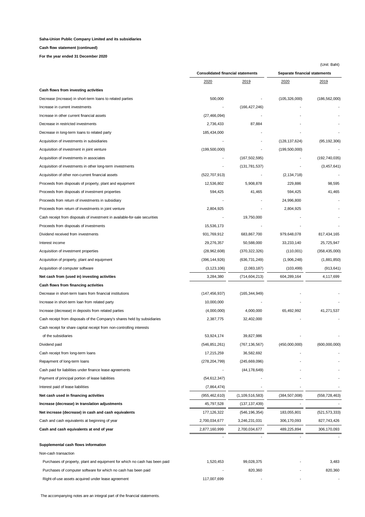### **Cash flow statement (continued)**

**For the year ended 31 December 2020**

|                                                                            | <b>Consolidated financial statements</b> |                    | Separate financial statements |                 |
|----------------------------------------------------------------------------|------------------------------------------|--------------------|-------------------------------|-----------------|
|                                                                            | 2020                                     | 2019               | 2020                          | 2019            |
| Cash flows from investing activities                                       |                                          |                    |                               |                 |
| Decrease (increase) in short-term loans to related parties                 | 500,000                                  |                    | (105, 326, 000)               | (186, 562, 000) |
| Increase in current investments                                            |                                          | (166, 427, 246)    |                               |                 |
| Increase in other current financial assets                                 | (27, 466, 094)                           |                    |                               |                 |
| Decrease in restricted investments                                         | 2,736,433                                | 87,884             |                               |                 |
| Decrease in long-term loans to related party                               | 185,434,000                              |                    |                               |                 |
| Acquisition of investments in subsidiaries                                 |                                          |                    | (128, 137, 624)               | (95, 192, 306)  |
| Acquisition of investment in joint venture                                 | (199, 500, 000)                          |                    | (199, 500, 000)               |                 |
| Acquisition of investments in associates                                   |                                          | (167, 502, 595)    |                               | (192, 740, 035) |
| Acquisition of investments in other long-term investments                  |                                          | (131, 781, 537)    |                               | (3,457,641)     |
| Acquisition of other non-current financial assets                          | (522, 707, 913)                          |                    | (2, 134, 718)                 |                 |
| Proceeds from disposals of property, plant and equipment                   | 12,536,802                               | 5,908,878          | 229,886                       | 98,595          |
| Proceeds from disposals of investment properties                           | 594,425                                  | 41,465             | 594,425                       | 41,465          |
| Proceeds from return of investments in subsidiary                          |                                          |                    | 24,996,800                    |                 |
| Proceeds from return of investments in joint venture                       | 2,804,925                                |                    | 2,804,925                     |                 |
| Cash receipt from disposals of investment in available-for-sale securities |                                          | 19,750,000         |                               |                 |
| Proceeds from disposals of investments                                     | 15,536,173                               |                    |                               |                 |
| Dividend received from investments                                         | 931,769,912                              | 683,867,700        | 979,648,078                   | 817,434,165     |
| Interest income                                                            | 29,276,357                               | 50,588,000         | 33,233,140                    | 25,725,947      |
| Acquisition of investment properties                                       | (28,962,608)                             | (370,322,326)      | (110,001)                     | (358, 435, 000) |
| Acquisition of property, plant and equipment                               | (396, 144, 926)                          | (636, 731, 249)    | (1,906,248)                   | (1,881,850)     |
| Acquisition of computer software                                           | (3, 123, 106)                            | (2,083,187)        | (103, 499)                    | (913, 641)      |
| Net cash from (used in) investing activities                               | 3,284,380                                | (714, 604, 213)    | 604,289,164                   | 4,117,699       |
| Cash flows from financing activities                                       |                                          |                    |                               |                 |
| Decrease in short-term loans from financial institutions                   | (147, 456, 937)                          | (165, 344, 949)    |                               |                 |
| Increase in short-term loan from related party                             | 10,000,000                               |                    |                               |                 |
| Increase (decrease) in deposits from related parties                       | (4,000,000)                              | 4,000,000          | 65,492,992                    | 41,271,537      |
| Cash receipt from disposals of the Company's shares held by subsidiaries   | 2,387,775                                | 32,402,000         |                               |                 |
| Cash receipt for share capital receipt from non-controlling interests      |                                          |                    |                               |                 |
| of the subsidiaries                                                        | 53,924,174                               | 39,827,986         |                               |                 |
| Dividend paid                                                              | (546, 851, 261)                          | (767,136,567)      | (450.000.000)                 | (600,000,000)   |
| Cash receipt from long-term loans                                          | 17,215,259                               | 36,582,692         |                               |                 |
| Repayment of long-term loans                                               | (278, 204, 799)                          | (245,669,096)      |                               |                 |
| Cash paid for liabilities under finance lease agreements                   |                                          | (44, 178, 649)     |                               |                 |
| Payment of principal portion of lease liabilities                          | (54, 612, 347)                           |                    |                               |                 |
| Interest paid of lease liabilities                                         | (7,864,474)                              |                    |                               |                 |
| Net cash used in financing activities                                      | (955, 462, 610)                          | (1, 109, 516, 583) | (384, 507, 008)               | (558, 728, 463) |
| Increase (decrease) in translation adjustments                             | 45,797,528                               | (137, 137, 439)    |                               |                 |
| Net increase (decrease) in cash and cash equivalents                       | 177,126,322                              | (546, 196, 354)    | 183,055,801                   | (521, 573, 333) |
| Cash and cash equivalents at beginning of year                             | 2,700,034,677                            | 3,246,231,031      | 306,170,093                   | 827,743,426     |
| Cash and cash equivalents at end of year                                   | 2,877,160,999                            | 2,700,034,677      | 489,225,894                   | 306,170,093     |
| Supplemental cash flows information                                        |                                          |                    |                               |                 |
| Non-cash transaction                                                       |                                          |                    |                               |                 |
| Purchases of property, plant and equipment for which no cash has been paid | 1,520,453                                | 99,028,375         |                               | 3,483           |
| Purchases of computer software for which no cash has been paid             |                                          | 820,360            |                               | 820,360         |
| Right-of-use assets acquired under lease agreement                         | 117,007,699                              |                    |                               |                 |

(Unit: Baht)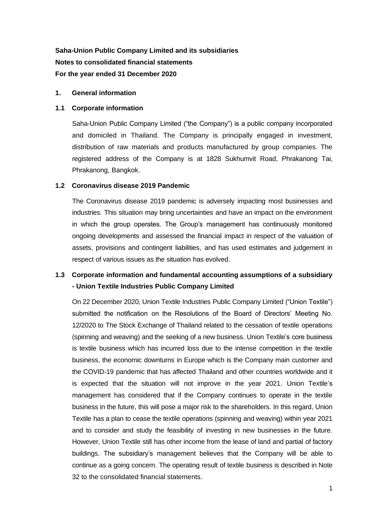# **Saha-Union Public Company Limited and its subsidiaries Notes to consolidated financial statements For the year ended 31 December 2020**

# **1. General information**

# **1.1 Corporate information**

Saha-Union Public Company Limited ("the Company") is a public company incorporated and domiciled in Thailand. The Company is principally engaged in investment, distribution of raw materials and products manufactured by group companies. The registered address of the Company is at 1828 Sukhumvit Road, Phrakanong Tai, Phrakanong, Bangkok.

# **1.2 Coronavirus disease 2019 Pandemic**

The Coronavirus disease 2019 pandemic is adversely impacting most businesses and industries. This situation may bring uncertainties and have an impact on the environment in which the group operates. The Group's management has continuously monitored ongoing developments and assessed the financial impact in respect of the valuation of assets, provisions and contingent liabilities, and has used estimates and judgement in respect of various issues as the situation has evolved.

# **1.3 Corporate information and fundamental accounting assumptions of a subsidiary - Union Textile Industries Public Company Limited**

On 22 December 2020, Union Textile Industries Public Company Limited ("Union Textile") submitted the notification on the Resolutions of the Board of Directors' Meeting No. 12/2020 to The Stock Exchange of Thailand related to the cessation of textile operations (spinning and weaving) and the seeking of a new business. Union Textile's core business is textile business which has incurred loss due to the intense competition in the textile business, the economic downturns in Europe which is the Company main customer and the COVID-19 pandemic that has affected Thailand and other countries worldwide and it is expected that the situation will not improve in the year 2021. Union Textile's management has considered that if the Company continues to operate in the textile business in the future, this will pose a major risk to the shareholders. In this regard, Union Textile has a plan to cease the textile operations (spinning and weaving) within year 2021 and to consider and study the feasibility of investing in new businesses in the future. However, Union Textile still has other income from the lease of land and partial of factory buildings. The subsidiary's management believes that the Company will be able to continue as a going concern. The operating result of textile business is described in Note 32 to the consolidated financial statements.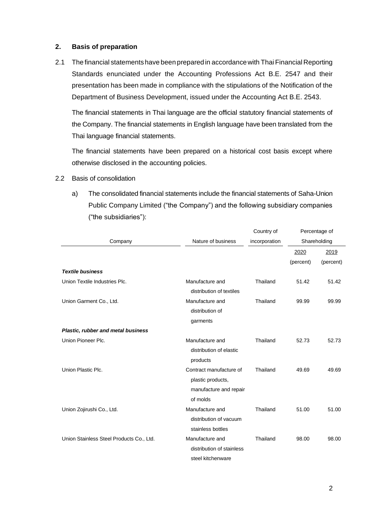# **2. Basis of preparation**

2.1 The financial statements have been prepared in accordance with Thai Financial Reporting Standards enunciated under the Accounting Professions Act B.E. 2547 and their presentation has been made in compliance with the stipulations of the Notification of the Department of Business Development, issued under the Accounting Act B.E. 2543.

The financial statements in Thai language are the official statutory financial statements of the Company. The financial statements in English language have been translated from the Thai language financial statements.

The financial statements have been prepared on a historical cost basis except where otherwise disclosed in the accounting policies.

- 2.2 Basis of consolidation
	- a) The consolidated financial statements include the financial statements of Saha-Union Public Company Limited ("the Company") and the following subsidiary companies ("the subsidiaries"):

|                                          |                           | Country of    |           | Percentage of |
|------------------------------------------|---------------------------|---------------|-----------|---------------|
| Company                                  | Nature of business        | incorporation |           | Shareholding  |
|                                          |                           |               | 2020      | 2019          |
|                                          |                           |               | (percent) | (percent)     |
| <b>Textile business</b>                  |                           |               |           |               |
| Union Textile Industries Plc.            | Manufacture and           | Thailand      | 51.42     | 51.42         |
|                                          | distribution of textiles  |               |           |               |
| Union Garment Co., Ltd.                  | Manufacture and           | Thailand      | 99.99     | 99.99         |
|                                          | distribution of           |               |           |               |
|                                          | garments                  |               |           |               |
| Plastic, rubber and metal business       |                           |               |           |               |
| Union Pioneer Plc.                       | Manufacture and           | Thailand      | 52.73     | 52.73         |
|                                          | distribution of elastic   |               |           |               |
|                                          | products                  |               |           |               |
| Union Plastic Plc.                       | Contract manufacture of   | Thailand      | 49.69     | 49.69         |
|                                          | plastic products,         |               |           |               |
|                                          | manufacture and repair    |               |           |               |
|                                          | of molds                  |               |           |               |
| Union Zojirushi Co., Ltd.                | Manufacture and           | Thailand      | 51.00     | 51.00         |
|                                          | distribution of vacuum    |               |           |               |
|                                          | stainless bottles         |               |           |               |
| Union Stainless Steel Products Co., Ltd. | Manufacture and           | Thailand      | 98.00     | 98.00         |
|                                          | distribution of stainless |               |           |               |
|                                          | steel kitchenware         |               |           |               |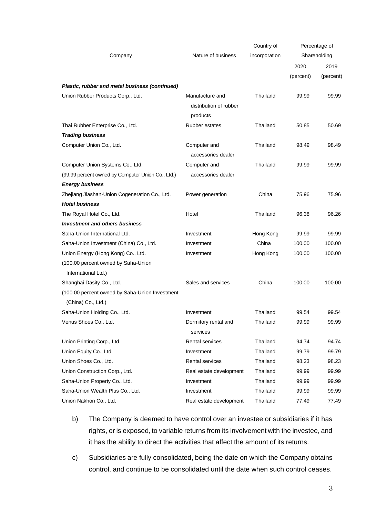|                                                                      |                                                       | Country of    |              | Percentage of |  |
|----------------------------------------------------------------------|-------------------------------------------------------|---------------|--------------|---------------|--|
| Company                                                              | Nature of business                                    | incorporation | Shareholding |               |  |
|                                                                      |                                                       |               | 2020         | 2019          |  |
|                                                                      |                                                       |               | (percent)    | (percent)     |  |
| Plastic, rubber and metal business (continued)                       |                                                       |               |              |               |  |
| Union Rubber Products Corp., Ltd.                                    | Manufacture and<br>distribution of rubber<br>products | Thailand      | 99.99        | 99.99         |  |
| Thai Rubber Enterprise Co., Ltd.                                     | <b>Rubber estates</b>                                 | Thailand      | 50.85        | 50.69         |  |
| <b>Trading business</b>                                              |                                                       |               |              |               |  |
| Computer Union Co., Ltd.                                             | Computer and<br>accessories dealer                    | Thailand      | 98.49        | 98.49         |  |
| Computer Union Systems Co., Ltd.                                     | Computer and                                          | Thailand      | 99.99        | 99.99         |  |
| (99.99 percent owned by Computer Union Co., Ltd.)                    | accessories dealer                                    |               |              |               |  |
| <b>Energy business</b>                                               |                                                       |               |              |               |  |
| Zhejiang Jiashan-Union Cogeneration Co., Ltd.                        | Power generation                                      | China         | 75.96        | 75.96         |  |
| <b>Hotel business</b>                                                |                                                       |               |              |               |  |
| The Royal Hotel Co., Ltd.                                            | Hotel                                                 | Thailand      | 96.38        | 96.26         |  |
| <b>Investment and others business</b>                                |                                                       |               |              |               |  |
| Saha-Union International Ltd.                                        | Investment                                            | Hong Kong     | 99.99        | 99.99         |  |
| Saha-Union Investment (China) Co., Ltd.                              | Investment                                            | China         | 100.00       | 100.00        |  |
| Union Energy (Hong Kong) Co., Ltd.                                   | Investment                                            | Hong Kong     | 100.00       | 100.00        |  |
| (100.00 percent owned by Saha-Union<br>International Ltd.)           |                                                       |               |              |               |  |
| Shanghai Dasity Co., Ltd.                                            | Sales and services                                    | China         | 100.00       | 100.00        |  |
| (100.00 percent owned by Saha-Union Investment<br>(China) Co., Ltd.) |                                                       |               |              |               |  |
| Saha-Union Holding Co., Ltd.                                         | Investment                                            | Thailand      | 99.54        | 99.54         |  |
| Venus Shoes Co., Ltd.                                                | Dormitory rental and<br>services                      | Thailand      | 99.99        | 99.99         |  |
| Union Printing Corp., Ltd.                                           | Rental services                                       | Thailand      | 94.74        | 94.74         |  |
| Union Equity Co., Ltd.                                               | Investment                                            | Thailand      | 99.79        | 99.79         |  |
| Union Shoes Co., Ltd.                                                | <b>Rental services</b>                                | Thailand      | 98.23        | 98.23         |  |
| Union Construction Corp., Ltd.                                       | Real estate development                               | Thailand      | 99.99        | 99.99         |  |
| Saha-Union Property Co., Ltd.                                        | Investment                                            | Thailand      | 99.99        | 99.99         |  |
| Saha-Union Wealth Plus Co., Ltd.                                     | Investment                                            | Thailand      | 99.99        | 99.99         |  |
| Union Nakhon Co., Ltd.                                               | Real estate development                               | Thailand      | 77.49        | 77.49         |  |

- b) The Company is deemed to have control over an investee or subsidiaries if it has rights, or is exposed, to variable returns from its involvement with the investee, and it has the ability to direct the activities that affect the amount of its returns.
- c) Subsidiaries are fully consolidated, being the date on which the Company obtains control, and continue to be consolidated until the date when such control ceases.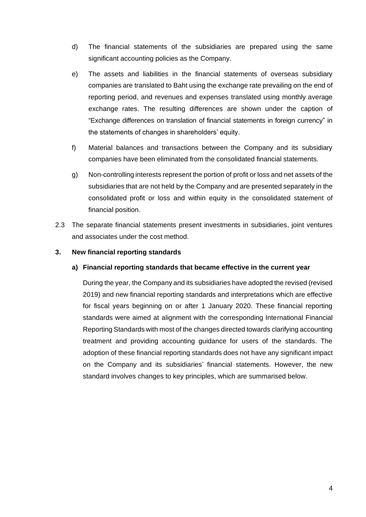- d) The financial statements of the subsidiaries are prepared using the same significant accounting policies as the Company.
- e) The assets and liabilities in the financial statements of overseas subsidiary companies are translated to Baht using the exchange rate prevailing on the end of reporting period, and revenues and expenses translated using monthly average exchange rates. The resulting differences are shown under the caption of "Exchange differences on translation of financial statements in foreign currency" in the statements of changes in shareholders' equity.
- f) Material balances and transactions between the Company and its subsidiary companies have been eliminated from the consolidated financial statements.
- g) Non-controlling interests represent the portion of profit or loss and net assets of the subsidiaries that are not held by the Company and are presented separately in the consolidated profit or loss and within equity in the consolidated statement of financial position.
- 2.3 The separate financial statements present investments in subsidiaries, joint ventures and associates under the cost method.

# **3. New financial reporting standards**

# **a) Financial reporting standards that became effective in the current year**

During the year, the Company and its subsidiaries have adopted the revised (revised 2019) and new financial reporting standards and interpretations which are effective for fiscal years beginning on or after 1 January 2020. These financial reporting standards were aimed at alignment with the corresponding International Financial Reporting Standards with most of the changes directed towards clarifying accounting treatment and providing accounting guidance for users of the standards. The adoption of these financial reporting standards does not have any significant impact on the Company and its subsidiaries' financial statements. However, the new standard involves changes to key principles, which are summarised below.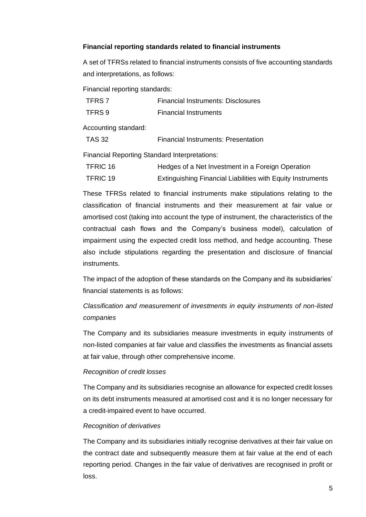# **Financial reporting standards related to financial instruments**

A set of TFRSs related to financial instruments consists of five accounting standards and interpretations, as follows:

Financial reporting standards:

| TFRS <sub>7</sub> | <b>Financial Instruments: Disclosures</b> |
|-------------------|-------------------------------------------|
| TFRS 9            | <b>Financial Instruments</b>              |

Accounting standard:

TAS 32 Financial Instruments: Presentation

Financial Reporting Standard Interpretations:

| TFRIC 16 | Hedges of a Net Investment in a Foreign Operation           |
|----------|-------------------------------------------------------------|
| TFRIC 19 | Extinguishing Financial Liabilities with Equity Instruments |

These TFRSs related to financial instruments make stipulations relating to the classification of financial instruments and their measurement at fair value or amortised cost (taking into account the type of instrument, the characteristics of the contractual cash flows and the Company's business model), calculation of impairment using the expected credit loss method, and hedge accounting. These also include stipulations regarding the presentation and disclosure of financial instruments.

The impact of the adoption of these standards on the Company and its subsidiaries' financial statements is as follows:

*Classification and measurement of investments in equity instruments of non-listed companies*

The Company and its subsidiaries measure investments in equity instruments of non-listed companies at fair value and classifies the investments as financial assets at fair value, through other comprehensive income.

# *Recognition of credit losses*

The Company and its subsidiaries recognise an allowance for expected credit losses on its debt instruments measured at amortised cost and it is no longer necessary for a credit-impaired event to have occurred.

### *Recognition of derivatives*

The Company and its subsidiaries initially recognise derivatives at their fair value on the contract date and subsequently measure them at fair value at the end of each reporting period. Changes in the fair value of derivatives are recognised in profit or loss.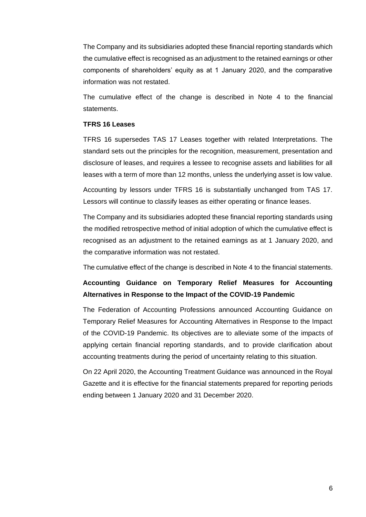The Company and its subsidiaries adopted these financial reporting standards which the cumulative effect is recognised as an adjustment to the retained earnings or other components of shareholders' equity as at 1 January 2020, and the comparative information was not restated.

The cumulative effect of the change is described in Note 4 to the financial statements.

### **TFRS 16 Leases**

TFRS 16 supersedes TAS 17 Leases together with related Interpretations. The standard sets out the principles for the recognition, measurement, presentation and disclosure of leases, and requires a lessee to recognise assets and liabilities for all leases with a term of more than 12 months, unless the underlying asset is low value.

Accounting by lessors under TFRS 16 is substantially unchanged from TAS 17. Lessors will continue to classify leases as either operating or finance leases.

The Company and its subsidiaries adopted these financial reporting standards using the modified retrospective method of initial adoption of which the cumulative effect is recognised as an adjustment to the retained earnings as at 1 January 2020, and the comparative information was not restated.

The cumulative effect of the change is described in Note 4 to the financial statements.

# **Accounting Guidance on Temporary Relief Measures for Accounting Alternatives in Response to the Impact of the COVID-19 Pandemic**

The Federation of Accounting Professions announced Accounting Guidance on Temporary Relief Measures for Accounting Alternatives in Response to the Impact of the COVID-19 Pandemic. Its objectives are to alleviate some of the impacts of applying certain financial reporting standards, and to provide clarification about accounting treatments during the period of uncertainty relating to this situation.

On 22 April 2020, the Accounting Treatment Guidance was announced in the Royal Gazette and it is effective for the financial statements prepared for reporting periods ending between 1 January 2020 and 31 December 2020.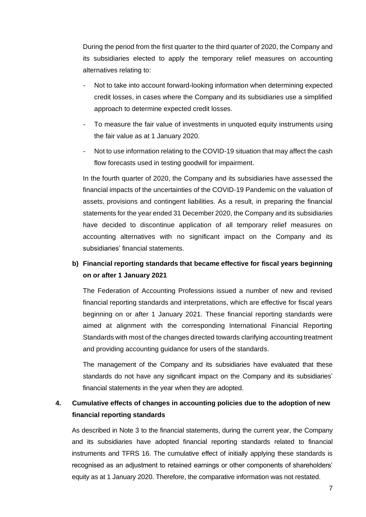During the period from the first quarter to the third quarter of 2020, the Company and its subsidiaries elected to apply the temporary relief measures on accounting alternatives relating to:

- Not to take into account forward-looking information when determining expected credit losses, in cases where the Company and its subsidiaries use a simplified approach to determine expected credit losses.
- To measure the fair value of investments in unquoted equity instruments using the fair value as at 1 January 2020.
- Not to use information relating to the COVID-19 situation that may affect the cash flow forecasts used in testing goodwill for impairment.

In the fourth quarter of 2020, the Company and its subsidiaries have assessed the financial impacts of the uncertainties of the COVID-19 Pandemic on the valuation of assets, provisions and contingent liabilities. As a result, in preparing the financial statements for the year ended 31 December 2020, the Company and its subsidiaries have decided to discontinue application of all temporary relief measures on accounting alternatives with no significant impact on the Company and its subsidiaries' financial statements.

# **b) Financial reporting standards that became effective for fiscal years beginning on or after 1 January 2021**

The Federation of Accounting Professions issued a number of new and revised financial reporting standards and interpretations, which are effective for fiscal years beginning on or after 1 January 2021. These financial reporting standards were aimed at alignment with the corresponding International Financial Reporting Standards with most of the changes directed towards clarifying accounting treatment and providing accounting guidance for users of the standards.

The management of the Company and its subsidiaries have evaluated that these standards do not have any significant impact on the Company and its subsidiaries' financial statements in the year when they are adopted.

# **4. Cumulative effects of changes in accounting policies due to the adoption of new financial reporting standards**

As described in Note 3 to the financial statements, during the current year, the Company and its subsidiaries have adopted financial reporting standards related to financial instruments and TFRS 16. The cumulative effect of initially applying these standards is recognised as an adjustment to retained earnings or other components of shareholders' equity as at 1 January 2020. Therefore, the comparative information was not restated.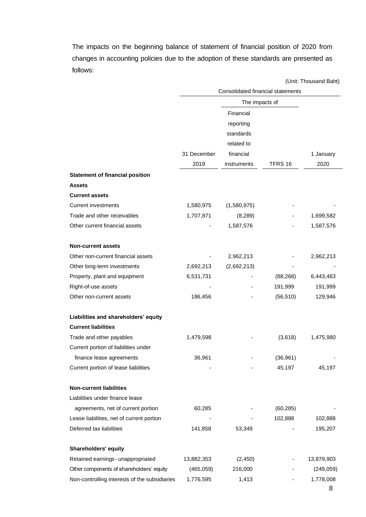The impacts on the beginning balance of statement of financial position of 2020 from changes in accounting policies due to the adoption of these standards are presented as follows:

(Unit: Thousand Baht)

|                                               | Consolidated financial statements |                |           |            |
|-----------------------------------------------|-----------------------------------|----------------|-----------|------------|
|                                               |                                   | The impacts of |           |            |
|                                               |                                   | Financial      |           |            |
|                                               |                                   | reporting      |           |            |
|                                               |                                   | standards      |           |            |
|                                               |                                   | related to     |           |            |
|                                               | 31 December                       | financial      |           | 1 January  |
|                                               | 2019                              | instruments    | TFRS 16   | 2020       |
| <b>Statement of financial position</b>        |                                   |                |           |            |
| <b>Assets</b>                                 |                                   |                |           |            |
| <b>Current assets</b>                         |                                   |                |           |            |
| <b>Current investments</b>                    | 1,580,975                         | (1,580,975)    |           |            |
| Trade and other receivables                   | 1,707,871                         | (8, 289)       |           | 1,699,582  |
| Other current financial assets                |                                   | 1,587,576      |           | 1,587,576  |
|                                               |                                   |                |           |            |
| <b>Non-current assets</b>                     |                                   |                |           |            |
| Other non-current financial assets            |                                   | 2,962,213      |           | 2,962,213  |
| Other long-term investments                   | 2,692,213                         | (2,692,213)    |           |            |
| Property, plant and equipment                 | 6,531,731                         |                | (88, 268) | 6,443,463  |
| Right-of-use assets                           |                                   |                | 191,999   | 191,999    |
| Other non-current assets                      | 186,456                           |                | (56, 510) | 129,946    |
| Liabilities and shareholders' equity          |                                   |                |           |            |
| <b>Current liabilities</b>                    |                                   |                |           |            |
| Trade and other payables                      | 1,479,598                         |                | (3,618)   | 1,475,980  |
| Current portion of liabilities under          |                                   |                |           |            |
| finance lease agreements                      | 36,961                            |                | (36, 961) |            |
| Current portion of lease liabilities          |                                   |                | 45,197    | 45,197     |
| <b>Non-current liabilities</b>                |                                   |                |           |            |
| Liabilities under finance lease               |                                   |                |           |            |
| agreements, net of current portion            | 60,285                            |                | (60, 285) |            |
| Lease liabilities, net of current portion     |                                   |                | 102,888   | 102,888    |
| Deferred tax liabilities                      | 141,858                           | 53,349         |           | 195,207    |
| <b>Shareholders' equity</b>                   |                                   |                |           |            |
| Retained earnings - unappropriated            | 13,882,353                        | (2, 450)       |           | 13,879,903 |
| Other components of shareholders' equity      | (465, 059)                        | 216,000        |           | (249, 059) |
| Non-controlling interests of the subsidiaries | 1,776,595                         | 1,413          |           | 1,778,008  |
|                                               |                                   |                |           |            |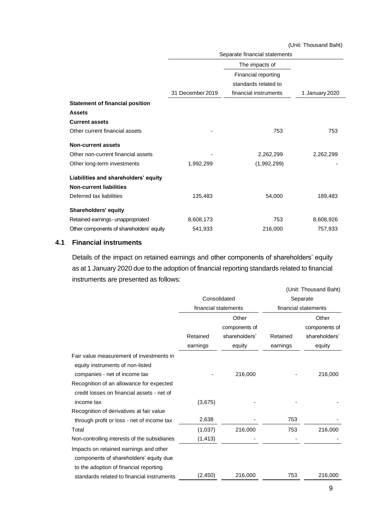(Unit: Thousand Baht)

|                                          | Separate financial statements |                       |                |  |  |
|------------------------------------------|-------------------------------|-----------------------|----------------|--|--|
|                                          |                               | The impacts of        |                |  |  |
|                                          |                               | Financial reporting   |                |  |  |
|                                          |                               | standards related to  |                |  |  |
|                                          | 31 December 2019              | financial instruments | 1 January 2020 |  |  |
| <b>Statement of financial position</b>   |                               |                       |                |  |  |
| <b>Assets</b>                            |                               |                       |                |  |  |
| <b>Current assets</b>                    |                               |                       |                |  |  |
| Other current financial assets           |                               | 753                   | 753            |  |  |
| <b>Non-current assets</b>                |                               |                       |                |  |  |
| Other non-current financial assets       |                               | 2,262,299             | 2,262,299      |  |  |
| Other long-term investments              | 1,992,299                     | (1,992,299)           |                |  |  |
| Liabilities and shareholders' equity     |                               |                       |                |  |  |
| <b>Non-current liabilities</b>           |                               |                       |                |  |  |
| Deferred tax liabilities                 | 135,483                       | 54,000                | 189,483        |  |  |
| <b>Shareholders' equity</b>              |                               |                       |                |  |  |
| Retained earnings - unappropriated       | 8,608,173                     | 753                   | 8,608,926      |  |  |
| Other components of shareholders' equity | 541,933                       | 216,000               | 757,933        |  |  |

# **4.1 Financial instruments**

Details of the impact on retained earnings and other components of shareholders' equity as at 1 January 2020 due to the adoption of financial reporting standards related to financial instruments are presented as follows:

|                                               |                      |               |          | (Unit: Thousand Baht) |
|-----------------------------------------------|----------------------|---------------|----------|-----------------------|
|                                               | Consolidated         |               | Separate |                       |
|                                               | financial statements |               |          | financial statements  |
|                                               |                      | Other         |          | Other                 |
|                                               |                      | components of |          | components of         |
|                                               | Retained             | shareholders' | Retained | shareholders'         |
|                                               | earnings             | equity        | earnings | equity                |
| Fair value measurement of investments in      |                      |               |          |                       |
| equity instruments of non-listed              |                      |               |          |                       |
| companies - net of income tax                 |                      | 216,000       |          | 216,000               |
| Recognition of an allowance for expected      |                      |               |          |                       |
| credit losses on financial assets - net of    |                      |               |          |                       |
| income tax                                    | (3,675)              |               |          |                       |
| Recognition of derivatives at fair value      |                      |               |          |                       |
| through profit or loss - net of income tax    | 2,638                |               | 753      |                       |
| Total                                         | (1,037)              | 216,000       | 753      | 216,000               |
| Non-controlling interests of the subsidiaries | (1, 413)             |               |          |                       |
| Impacts on retained earnings and other        |                      |               |          |                       |
| components of shareholders' equity due        |                      |               |          |                       |
| to the adoption of financial reporting        |                      |               |          |                       |
| standards related to financial instruments    | (2, 450)             | 216,000       | 753      | 216,000               |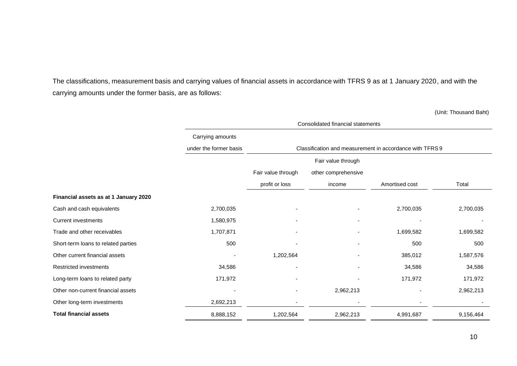The classifications, measurement basis and carrying values of financial assets in accordance with TFRS 9 as at 1 January 2020, and with the carrying amounts under the former basis, are as follows:

(Unit: Thousand Baht)

|                                       | Consolidated financial statements |                    |                                                          |                |           |
|---------------------------------------|-----------------------------------|--------------------|----------------------------------------------------------|----------------|-----------|
|                                       | Carrying amounts                  |                    |                                                          |                |           |
|                                       | under the former basis            |                    | Classification and measurement in accordance with TFRS 9 |                |           |
|                                       |                                   | Fair value through |                                                          |                |           |
|                                       |                                   | Fair value through | other comprehensive                                      |                |           |
|                                       |                                   | profit or loss     | income                                                   | Amortised cost | Total     |
| Financial assets as at 1 January 2020 |                                   |                    |                                                          |                |           |
| Cash and cash equivalents             | 2,700,035                         |                    |                                                          | 2,700,035      | 2,700,035 |
| <b>Current investments</b>            | 1,580,975                         |                    |                                                          |                |           |
| Trade and other receivables           | 1,707,871                         |                    |                                                          | 1,699,582      | 1,699,582 |
| Short-term loans to related parties   | 500                               |                    |                                                          | 500            | 500       |
| Other current financial assets        |                                   | 1,202,564          |                                                          | 385,012        | 1,587,576 |
| <b>Restricted investments</b>         | 34,586                            |                    |                                                          | 34,586         | 34,586    |
| Long-term loans to related party      | 171,972                           |                    |                                                          | 171,972        | 171,972   |
| Other non-current financial assets    |                                   |                    | 2,962,213                                                |                | 2,962,213 |
| Other long-term investments           | 2,692,213                         |                    |                                                          |                |           |
| <b>Total financial assets</b>         | 8,888,152                         | 1,202,564          | 2,962,213                                                | 4,991,687      | 9,156,464 |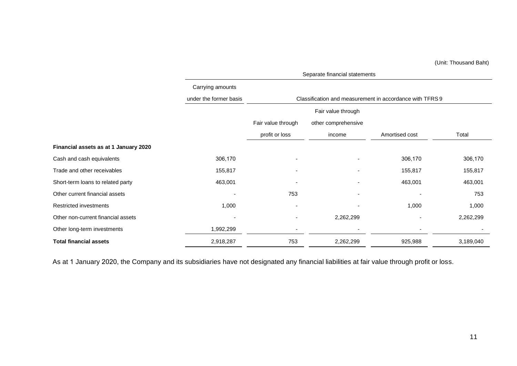(Unit: Thousand Baht)

|                                       | Separate financial statements                                                      |                    |                          |                |           |
|---------------------------------------|------------------------------------------------------------------------------------|--------------------|--------------------------|----------------|-----------|
|                                       | Carrying amounts                                                                   |                    |                          |                |           |
|                                       | under the former basis<br>Classification and measurement in accordance with TFRS 9 |                    |                          |                |           |
|                                       |                                                                                    |                    | Fair value through       |                |           |
|                                       |                                                                                    | Fair value through | other comprehensive      |                |           |
|                                       |                                                                                    | profit or loss     | income                   | Amortised cost | Total     |
| Financial assets as at 1 January 2020 |                                                                                    |                    |                          |                |           |
| Cash and cash equivalents             | 306,170                                                                            |                    |                          | 306,170        | 306,170   |
| Trade and other receivables           | 155,817                                                                            |                    |                          | 155,817        | 155,817   |
| Short-term loans to related party     | 463,001                                                                            |                    |                          | 463,001        | 463,001   |
| Other current financial assets        |                                                                                    | 753                | $\overline{\phantom{a}}$ |                | 753       |
| Restricted investments                | 1,000                                                                              |                    |                          | 1,000          | 1,000     |
| Other non-current financial assets    |                                                                                    |                    | 2,262,299                |                | 2,262,299 |
| Other long-term investments           | 1,992,299                                                                          |                    |                          |                |           |
| <b>Total financial assets</b>         | 2,918,287                                                                          | 753                | 2,262,299                | 925,988        | 3,189,040 |

As at 1 January 2020, the Company and its subsidiaries have not designated any financial liabilities at fair value through profit or loss.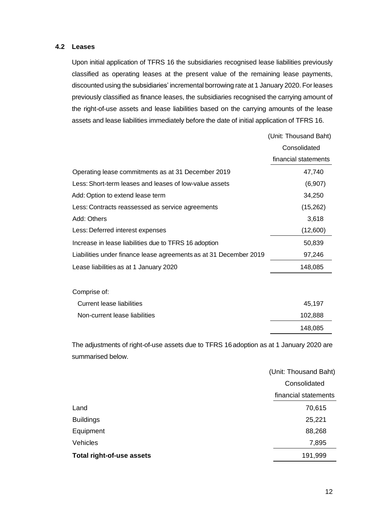### **4.2 Leases**

Upon initial application of TFRS 16 the subsidiaries recognised lease liabilities previously classified as operating leases at the present value of the remaining lease payments, discounted using the subsidiaries' incremental borrowing rate at 1 January 2020. For leases previously classified as finance leases, the subsidiaries recognised the carrying amount of the right-of-use assets and lease liabilities based on the carrying amounts of the lease assets and lease liabilities immediately before the date of initial application of TFRS 16.

|                                                                   | (Unit: Thousand Baht) |
|-------------------------------------------------------------------|-----------------------|
|                                                                   | Consolidated          |
|                                                                   | financial statements  |
| Operating lease commitments as at 31 December 2019                | 47,740                |
| Less: Short-term leases and leases of low-value assets            | (6,907)               |
| Add: Option to extend lease term                                  | 34,250                |
| Less: Contracts reassessed as service agreements                  | (15, 262)             |
| Add: Others                                                       | 3,618                 |
| Less: Deferred interest expenses                                  | (12,600)              |
| Increase in lease liabilities due to TFRS 16 adoption             | 50,839                |
| Liabilities under finance lease agreements as at 31 December 2019 | 97,246                |
| Lease liabilities as at 1 January 2020                            | 148,085               |
| Comprise of:                                                      |                       |
| <b>Current lease liabilities</b>                                  | 45,197                |
| Non-current lease liabilities                                     | 102,888               |
|                                                                   | 148,085               |
|                                                                   |                       |

The adjustments of right-of-use assets due to TFRS 16 adoption as at 1 January 2020 are summarised below.

|                                  | (Unit: Thousand Baht) |
|----------------------------------|-----------------------|
|                                  | Consolidated          |
|                                  | financial statements  |
| Land                             | 70,615                |
| <b>Buildings</b>                 | 25,221                |
| Equipment                        | 88,268                |
| Vehicles                         | 7,895                 |
| <b>Total right-of-use assets</b> | 191,999               |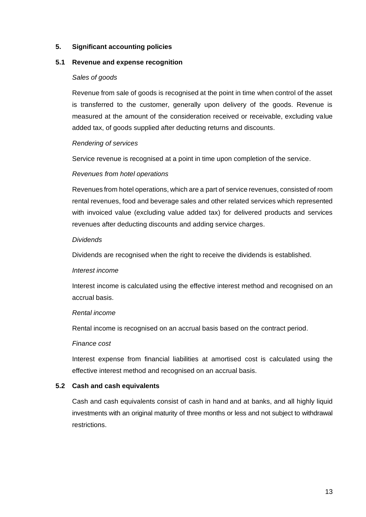# **5. Significant accounting policies**

# **5.1 Revenue and expense recognition**

### *Sales of goods*

Revenue from sale of goods is recognised at the point in time when control of the asset is transferred to the customer, generally upon delivery of the goods. Revenue is measured at the amount of the consideration received or receivable, excluding value added tax, of goods supplied after deducting returns and discounts.

### *Rendering of services*

Service revenue is recognised at a point in time upon completion of the service.

### *Revenues from hotel operations*

Revenues from hotel operations, which are a part of service revenues, consisted of room rental revenues, food and beverage sales and other related services which represented with invoiced value (excluding value added tax) for delivered products and services revenues after deducting discounts and adding service charges.

### *Dividends*

Dividends are recognised when the right to receive the dividends is established.

### *Interest income*

Interest income is calculated using the effective interest method and recognised on an accrual basis.

# *Rental income*

Rental income is recognised on an accrual basis based on the contract period.

### *Finance cost*

Interest expense from financial liabilities at amortised cost is calculated using the effective interest method and recognised on an accrual basis.

### **5.2 Cash and cash equivalents**

Cash and cash equivalents consist of cash in hand and at banks, and all highly liquid investments with an original maturity of three months or less and not subject to withdrawal restrictions.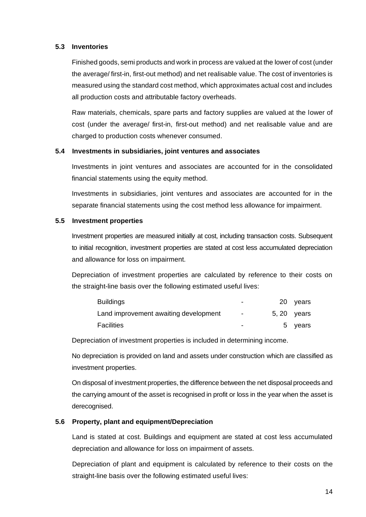# **5.3 Inventories**

Finished goods, semi products and work in process are valued at the lower of cost (under the average/ first-in, first-out method) and net realisable value. The cost of inventories is measured using the standard cost method, which approximates actual cost and includes all production costs and attributable factory overheads.

Raw materials, chemicals, spare parts and factory supplies are valued at the lower of cost (under the average/ first-in, first-out method) and net realisable value and are charged to production costs whenever consumed.

# **5.4 Investments in subsidiaries, joint ventures and associates**

Investments in joint ventures and associates are accounted for in the consolidated financial statements using the equity method.

Investments in subsidiaries, joint ventures and associates are accounted for in the separate financial statements using the cost method less allowance for impairment.

# **5.5 Investment properties**

Investment properties are measured initially at cost, including transaction costs. Subsequent to initial recognition, investment properties are stated at cost less accumulated depreciation and allowance for loss on impairment.

Depreciation of investment properties are calculated by reference to their costs on the straight-line basis over the following estimated useful lives:

| <b>Buildings</b>                      | $\overline{\phantom{a}}$ | 20 years      |
|---------------------------------------|--------------------------|---------------|
| Land improvement awaiting development | $\blacksquare$           | $5, 20$ years |
| <b>Facilities</b>                     | $\overline{\phantom{0}}$ | 5 years       |

Depreciation of investment properties is included in determining income.

No depreciation is provided on land and assets under construction which are classified as investment properties.

On disposal of investment properties, the difference between the net disposal proceeds and the carrying amount of the asset is recognised in profit or loss in the year when the asset is derecognised.

# **5.6 Property, plant and equipment/Depreciation**

Land is stated at cost. Buildings and equipment are stated at cost less accumulated depreciation and allowance for loss on impairment of assets.

Depreciation of plant and equipment is calculated by reference to their costs on the straight-line basis over the following estimated useful lives: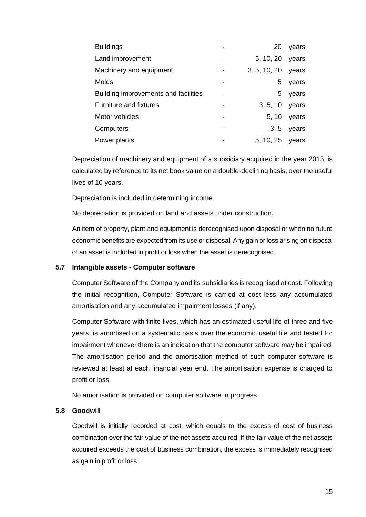| <b>Buildings</b>                     |   | 20           | years |
|--------------------------------------|---|--------------|-------|
| Land improvement                     |   | 5, 10, 20    | years |
| Machinery and equipment              |   | 3, 5, 10, 20 | years |
| Molds                                |   | 5            | years |
| Building improvements and facilities | - | 5            | years |
| Furniture and fixtures               |   | 3, 5, 10     | vears |
| Motor vehicles                       |   | 5, 10        | years |
| Computers                            |   | 3, 5         | vears |
| Power plants                         |   | 5, 10, 25    | vears |

Depreciation of machinery and equipment of a subsidiary acquired in the year 2015, is calculated by reference to its net book value on a double-declining basis, over the useful lives of 10 years.

Depreciation is included in determining income.

No depreciation is provided on land and assets under construction.

An item of property, plant and equipment is derecognised upon disposal or when no future economic benefits are expected from its use or disposal. Any gain or loss arising on disposal of an asset is included in profit or loss when the asset is derecognised.

# **5.7 Intangible assets - Computer software**

Computer Software of the Company and its subsidiaries is recognised at cost. Following the initial recognition, Computer Software is carried at cost less any accumulated amortisation and any accumulated impairment losses (if any).

Computer Software with finite lives, which has an estimated useful life of three and five years, is amortised on a systematic basis over the economic useful life and tested for impairment whenever there is an indication that the computer software may be impaired. The amortisation period and the amortisation method of such computer software is reviewed at least at each financial year end. The amortisation expense is charged to profit or loss.

No amortisation is provided on computer software in progress.

# **5.8 Goodwill**

Goodwill is initially recorded at cost, which equals to the excess of cost of business combination over the fair value of the net assets acquired. If the fair value of the net assets acquired exceeds the cost of business combination, the excess is immediately recognised as gain in profit or loss.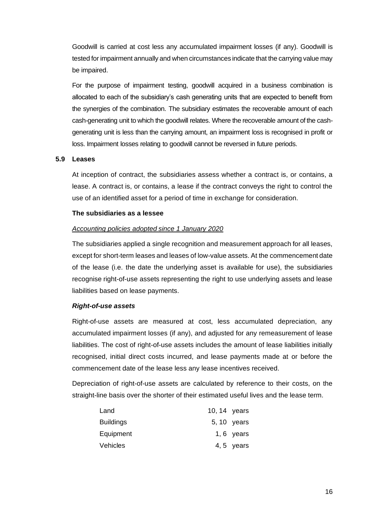Goodwill is carried at cost less any accumulated impairment losses (if any). Goodwill is tested for impairment annually and when circumstances indicate that the carrying value may be impaired.

For the purpose of impairment testing, goodwill acquired in a business combination is allocated to each of the subsidiary's cash generating units that are expected to benefit from the synergies of the combination. The subsidiary estimates the recoverable amount of each cash-generating unit to which the goodwill relates. Where the recoverable amount of the cashgenerating unit is less than the carrying amount, an impairment loss is recognised in profit or loss. Impairment losses relating to goodwill cannot be reversed in future periods.

# **5.9 Leases**

At inception of contract, the subsidiaries assess whether a contract is, or contains, a lease. A contract is, or contains, a lease if the contract conveys the right to control the use of an identified asset for a period of time in exchange for consideration.

# **The subsidiaries as a lessee**

# *Accounting policies adopted since 1 January 2020*

The subsidiaries applied a single recognition and measurement approach for all leases, except for short-term leases and leases of low-value assets. At the commencement date of the lease (i.e. the date the underlying asset is available for use), the subsidiaries recognise right-of-use assets representing the right to use underlying assets and lease liabilities based on lease payments.

### *Right-of-use assets*

Right-of-use assets are measured at cost, less accumulated depreciation, any accumulated impairment losses (if any), and adjusted for any remeasurement of lease liabilities. The cost of right-of-use assets includes the amount of lease liabilities initially recognised, initial direct costs incurred, and lease payments made at or before the commencement date of the lease less any lease incentives received.

Depreciation of right-of-use assets are calculated by reference to their costs, on the straight-line basis over the shorter of their estimated useful lives and the lease term.

| Land             | 10, 14 years |               |
|------------------|--------------|---------------|
| <b>Buildings</b> |              | $5, 10$ years |
| Equipment        |              | 1, 6 years    |
| Vehicles         |              | 4,5 years     |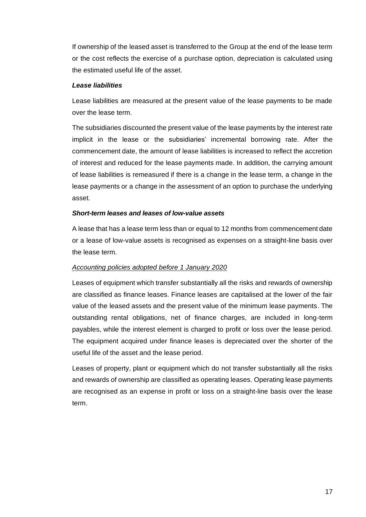If ownership of the leased asset is transferred to the Group at the end of the lease term or the cost reflects the exercise of a purchase option, depreciation is calculated using the estimated useful life of the asset.

# *Lease liabilities*

Lease liabilities are measured at the present value of the lease payments to be made over the lease term.

The subsidiaries discounted the present value of the lease payments by the interest rate implicit in the lease or the subsidiaries' incremental borrowing rate. After the commencement date, the amount of lease liabilities is increased to reflect the accretion of interest and reduced for the lease payments made. In addition, the carrying amount of lease liabilities is remeasured if there is a change in the lease term, a change in the lease payments or a change in the assessment of an option to purchase the underlying asset.

# *Short-term leases and leases of low-value assets*

A lease that has a lease term less than or equal to 12 months from commencement date or a lease of low-value assets is recognised as expenses on a straight-line basis over the lease term.

# *Accounting policies adopted before 1 January 2020*

Leases of equipment which transfer substantially all the risks and rewards of ownership are classified as finance leases. Finance leases are capitalised at the lower of the fair value of the leased assets and the present value of the minimum lease payments. The outstanding rental obligations, net of finance charges, are included in long-term payables, while the interest element is charged to profit or loss over the lease period. The equipment acquired under finance leases is depreciated over the shorter of the useful life of the asset and the lease period.

Leases of property, plant or equipment which do not transfer substantially all the risks and rewards of ownership are classified as operating leases. Operating lease payments are recognised as an expense in profit or loss on a straight-line basis over the lease term.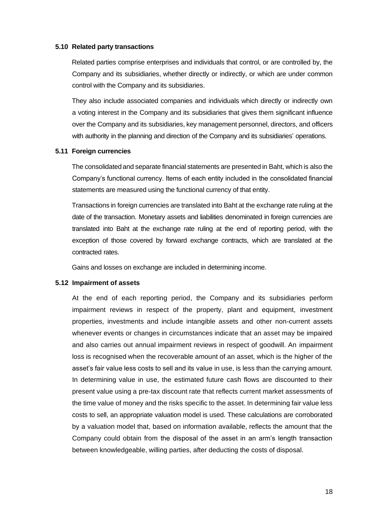### **5.10 Related party transactions**

Related parties comprise enterprises and individuals that control, or are controlled by, the Company and its subsidiaries, whether directly or indirectly, or which are under common control with the Company and its subsidiaries.

They also include associated companies and individuals which directly or indirectly own a voting interest in the Company and its subsidiaries that gives them significant influence over the Company and its subsidiaries, key management personnel, directors, and officers with authority in the planning and direction of the Company and its subsidiaries' operations.

### **5.11 Foreign currencies**

The consolidated and separate financial statements are presented in Baht, which is also the Company's functional currency. Items of each entity included in the consolidated financial statements are measured using the functional currency of that entity.

Transactions in foreign currencies are translated into Baht at the exchange rate ruling at the date of the transaction. Monetary assets and liabilities denominated in foreign currencies are translated into Baht at the exchange rate ruling at the end of reporting period, with the exception of those covered by forward exchange contracts, which are translated at the contracted rates.

Gains and losses on exchange are included in determining income.

### **5.12 Impairment of assets**

At the end of each reporting period, the Company and its subsidiaries perform impairment reviews in respect of the property, plant and equipment, investment properties, investments and include intangible assets and other non-current assets whenever events or changes in circumstances indicate that an asset may be impaired and also carries out annual impairment reviews in respect of goodwill. An impairment loss is recognised when the recoverable amount of an asset, which is the higher of the asset's fair value less costs to sell and its value in use, is less than the carrying amount. In determining value in use, the estimated future cash flows are discounted to their present value using a pre-tax discount rate that reflects current market assessments of the time value of money and the risks specific to the asset. In determining fair value less costs to sell, an appropriate valuation model is used. These calculations are corroborated by a valuation model that, based on information available, reflects the amount that the Company could obtain from the disposal of the asset in an arm's length transaction between knowledgeable, willing parties, after deducting the costs of disposal.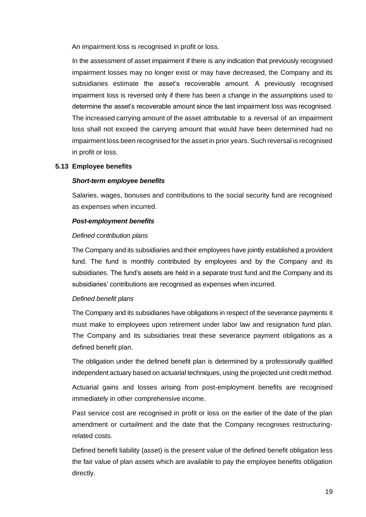An impairment loss is recognised in profit or loss.

In the assessment of asset impairment if there is any indication that previously recognised impairment losses may no longer exist or may have decreased, the Company and its subsidiaries estimate the asset's recoverable amount. A previously recognised impairment loss is reversed only if there has been a change in the assumptions used to determine the asset's recoverable amount since the last impairment loss was recognised. The increased carrying amount of the asset attributable to a reversal of an impairment loss shall not exceed the carrying amount that would have been determined had no impairment loss been recognised for the asset in prior years. Such reversal is recognised in profit or loss.

## **5.13 Employee benefits**

### *Short-term employee benefits*

Salaries, wages, bonuses and contributions to the social security fund are recognised as expenses when incurred.

## *Post-employment benefits*

## *Defined contribution plans*

The Company and its subsidiaries and their employees have jointly established a provident fund. The fund is monthly contributed by employees and by the Company and its subsidiaries. The fund's assets are held in a separate trust fund and the Company and its subsidiaries' contributions are recognised as expenses when incurred.

## *Defined benefit plans*

The Company and its subsidiaries have obligations in respect of the severance payments it must make to employees upon retirement under labor law and resignation fund plan. The Company and its subsidiaries treat these severance payment obligations as a defined benefit plan.

The obligation under the defined benefit plan is determined by a professionally qualified independent actuary based on actuarial techniques, using the projected unit credit method.

Actuarial gains and losses arising from post-employment benefits are recognised immediately in other comprehensive income.

Past service cost are recognised in profit or loss on the earlier of the date of the plan amendment or curtailment and the date that the Company recognises restructuringrelated costs.

Defined benefit liability (asset) is the present value of the defined benefit obligation less the fair value of plan assets which are available to pay the employee benefits obligation directly.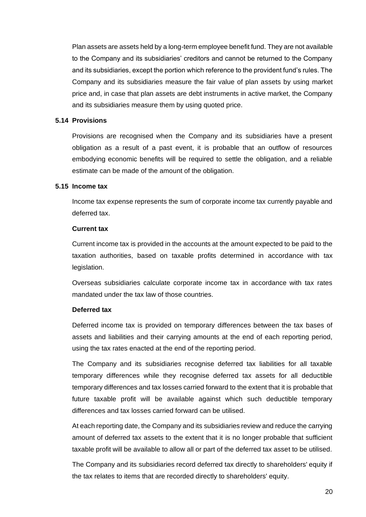Plan assets are assets held by a long-term employee benefit fund. They are not available to the Company and its subsidiaries' creditors and cannot be returned to the Company and its subsidiaries, except the portion which reference to the provident fund's rules. The Company and its subsidiaries measure the fair value of plan assets by using market price and, in case that plan assets are debt instruments in active market, the Company and its subsidiaries measure them by using quoted price.

#### **5.14 Provisions**

Provisions are recognised when the Company and its subsidiaries have a present obligation as a result of a past event, it is probable that an outflow of resources embodying economic benefits will be required to settle the obligation, and a reliable estimate can be made of the amount of the obligation.

#### **5.15 Income tax**

Income tax expense represents the sum of corporate income tax currently payable and deferred tax.

#### **Current tax**

Current income tax is provided in the accounts at the amount expected to be paid to the taxation authorities, based on taxable profits determined in accordance with tax legislation.

Overseas subsidiaries calculate corporate income tax in accordance with tax rates mandated under the tax law of those countries.

#### **Deferred tax**

Deferred income tax is provided on temporary differences between the tax bases of assets and liabilities and their carrying amounts at the end of each reporting period, using the tax rates enacted at the end of the reporting period.

The Company and its subsidiaries recognise deferred tax liabilities for all taxable temporary differences while they recognise deferred tax assets for all deductible temporary differences and tax losses carried forward to the extent that it is probable that future taxable profit will be available against which such deductible temporary differences and tax losses carried forward can be utilised.

At each reporting date, the Company and its subsidiaries review and reduce the carrying amount of deferred tax assets to the extent that it is no longer probable that sufficient taxable profit will be available to allow all or part of the deferred tax asset to be utilised.

The Company and its subsidiaries record deferred tax directly to shareholders' equity if the tax relates to items that are recorded directly to shareholders' equity.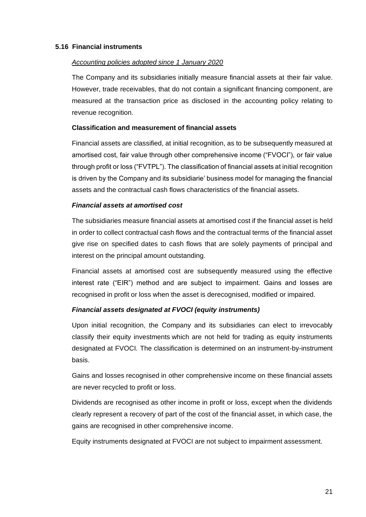### **5.16 Financial instruments**

### *Accounting policies adopted since 1 January 2020*

The Company and its subsidiaries initially measure financial assets at their fair value. However, trade receivables, that do not contain a significant financing component, are measured at the transaction price as disclosed in the accounting policy relating to revenue recognition.

### **Classification and measurement of financial assets**

Financial assets are classified, at initial recognition, as to be subsequently measured at amortised cost, fair value through other comprehensive income ("FVOCI"), or fair value through profit or loss ("FVTPL"). The classification of financial assets at initial recognition is driven by the Company and its subsidiarie' business model for managing the financial assets and the contractual cash flows characteristics of the financial assets.

## *Financial assets at amortised cost*

The subsidiaries measure financial assets at amortised cost if the financial asset is held in order to collect contractual cash flows and the contractual terms of the financial asset give rise on specified dates to cash flows that are solely payments of principal and interest on the principal amount outstanding.

Financial assets at amortised cost are subsequently measured using the effective interest rate ("EIR") method and are subject to impairment. Gains and losses are recognised in profit or loss when the asset is derecognised, modified or impaired.

## *Financial assets designated at FVOCI (equity instruments)*

Upon initial recognition, the Company and its subsidiaries can elect to irrevocably classify their equity investments which are not held for trading as equity instruments designated at FVOCI. The classification is determined on an instrument-by-instrument basis.

Gains and losses recognised in other comprehensive income on these financial assets are never recycled to profit or loss.

Dividends are recognised as other income in profit or loss, except when the dividends clearly represent a recovery of part of the cost of the financial asset, in which case, the gains are recognised in other comprehensive income.

Equity instruments designated at FVOCI are not subject to impairment assessment.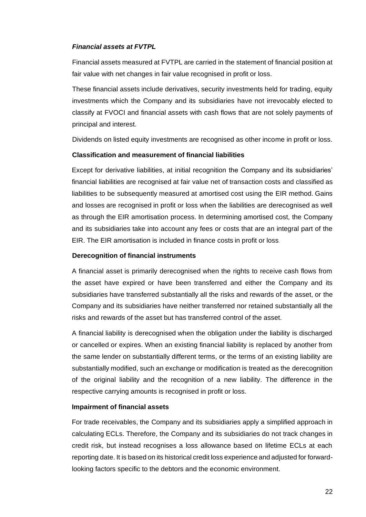### *Financial assets at FVTPL*

Financial assets measured at FVTPL are carried in the statement of financial position at fair value with net changes in fair value recognised in profit or loss.

These financial assets include derivatives, security investments held for trading, equity investments which the Company and its subsidiaries have not irrevocably elected to classify at FVOCI and financial assets with cash flows that are not solely payments of principal and interest.

Dividends on listed equity investments are recognised as other income in profit or loss.

### **Classification and measurement of financial liabilities**

Except for derivative liabilities, at initial recognition the Company and its subsidiaries' financial liabilities are recognised at fair value net of transaction costs and classified as liabilities to be subsequently measured at amortised cost using the EIR method. Gains and losses are recognised in profit or loss when the liabilities are derecognised as well as through the EIR amortisation process. In determining amortised cost, the Company and its subsidiaries take into account any fees or costs that are an integral part of the EIR. The EIR amortisation is included in finance costs in profit or loss.

### **Derecognition of financial instruments**

A financial asset is primarily derecognised when the rights to receive cash flows from the asset have expired or have been transferred and either the Company and its subsidiaries have transferred substantially all the risks and rewards of the asset, or the Company and its subsidiaries have neither transferred nor retained substantially all the risks and rewards of the asset but has transferred control of the asset.

A financial liability is derecognised when the obligation under the liability is discharged or cancelled or expires. When an existing financial liability is replaced by another from the same lender on substantially different terms, or the terms of an existing liability are substantially modified, such an exchange or modification is treated as the derecognition of the original liability and the recognition of a new liability. The difference in the respective carrying amounts is recognised in profit or loss.

### **Impairment of financial assets**

For trade receivables, the Company and its subsidiaries apply a simplified approach in calculating ECLs. Therefore, the Company and its subsidiaries do not track changes in credit risk, but instead recognises a loss allowance based on lifetime ECLs at each reporting date. It is based on its historical credit loss experience and adjusted for forwardlooking factors specific to the debtors and the economic environment.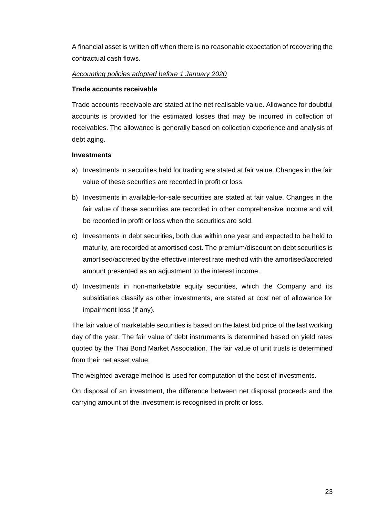A financial asset is written off when there is no reasonable expectation of recovering the contractual cash flows.

## *Accounting policies adopted before 1 January 2020*

## **Trade accounts receivable**

Trade accounts receivable are stated at the net realisable value. Allowance for doubtful accounts is provided for the estimated losses that may be incurred in collection of receivables. The allowance is generally based on collection experience and analysis of debt aging.

## **Investments**

- a) Investments in securities held for trading are stated at fair value. Changes in the fair value of these securities are recorded in profit or loss.
- b) Investments in available-for-sale securities are stated at fair value. Changes in the fair value of these securities are recorded in other comprehensive income and will be recorded in profit or loss when the securities are sold.
- c) Investments in debt securities, both due within one year and expected to be held to maturity, are recorded at amortised cost. The premium/discount on debt securities is amortised/accreted by the effective interest rate method with the amortised/accreted amount presented as an adjustment to the interest income.
- d) Investments in non-marketable equity securities, which the Company and its subsidiaries classify as other investments, are stated at cost net of allowance for impairment loss (if any).

The fair value of marketable securities is based on the latest bid price of the last working day of the year. The fair value of debt instruments is determined based on yield rates quoted by the Thai Bond Market Association. The fair value of unit trusts is determined from their net asset value.

The weighted average method is used for computation of the cost of investments.

On disposal of an investment, the difference between net disposal proceeds and the carrying amount of the investment is recognised in profit or loss.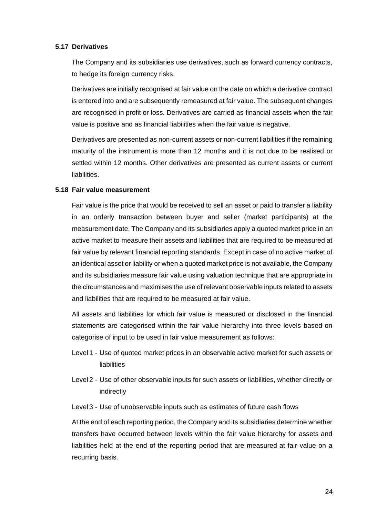#### **5.17 Derivatives**

The Company and its subsidiaries use derivatives, such as forward currency contracts, to hedge its foreign currency risks.

Derivatives are initially recognised at fair value on the date on which a derivative contract is entered into and are subsequently remeasured at fair value. The subsequent changes are recognised in profit or loss. Derivatives are carried as financial assets when the fair value is positive and as financial liabilities when the fair value is negative.

Derivatives are presented as non-current assets or non-current liabilities if the remaining maturity of the instrument is more than 12 months and it is not due to be realised or settled within 12 months. Other derivatives are presented as current assets or current liabilities.

### **5.18 Fair value measurement**

Fair value is the price that would be received to sell an asset or paid to transfer a liability in an orderly transaction between buyer and seller (market participants) at the measurement date. The Company and its subsidiaries apply a quoted market price in an active market to measure their assets and liabilities that are required to be measured at fair value by relevant financial reporting standards. Except in case of no active market of an identical asset or liability or when a quoted market price is not available, the Company and its subsidiaries measure fair value using valuation technique that are appropriate in the circumstances and maximises the use of relevant observable inputs related to assets and liabilities that are required to be measured at fair value.

All assets and liabilities for which fair value is measured or disclosed in the financial statements are categorised within the fair value hierarchy into three levels based on categorise of input to be used in fair value measurement as follows:

- Level 1 Use of quoted market prices in an observable active market for such assets or liabilities
- Level 2 Use of other observable inputs for such assets or liabilities, whether directly or indirectly
- Level 3 Use of unobservable inputs such as estimates of future cash flows

At the end of each reporting period, the Company and its subsidiaries determine whether transfers have occurred between levels within the fair value hierarchy for assets and liabilities held at the end of the reporting period that are measured at fair value on a recurring basis.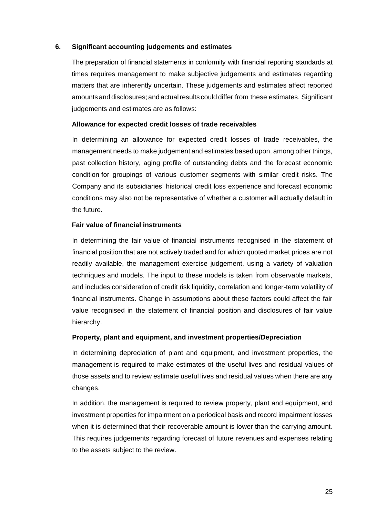### **6. Significant accounting judgements and estimates**

The preparation of financial statements in conformity with financial reporting standards at times requires management to make subjective judgements and estimates regarding matters that are inherently uncertain. These judgements and estimates affect reported amounts and disclosures; and actual results could differ from these estimates. Significant judgements and estimates are as follows:

## **Allowance for expected credit losses of trade receivables**

In determining an allowance for expected credit losses of trade receivables, the management needs to make judgement and estimates based upon, among other things, past collection history, aging profile of outstanding debts and the forecast economic condition for groupings of various customer segments with similar credit risks. The Company and its subsidiaries' historical credit loss experience and forecast economic conditions may also not be representative of whether a customer will actually default in the future.

## **Fair value of financial instruments**

In determining the fair value of financial instruments recognised in the statement of financial position that are not actively traded and for which quoted market prices are not readily available, the management exercise judgement, using a variety of valuation techniques and models. The input to these models is taken from observable markets, and includes consideration of credit risk liquidity, correlation and longer-term volatility of financial instruments. Change in assumptions about these factors could affect the fair value recognised in the statement of financial position and disclosures of fair value hierarchy.

### **Property, plant and equipment, and investment properties/Depreciation**

In determining depreciation of plant and equipment, and investment properties, the management is required to make estimates of the useful lives and residual values of those assets and to review estimate useful lives and residual values when there are any changes.

In addition, the management is required to review property, plant and equipment, and investment properties for impairment on a periodical basis and record impairment losses when it is determined that their recoverable amount is lower than the carrying amount. This requires judgements regarding forecast of future revenues and expenses relating to the assets subject to the review.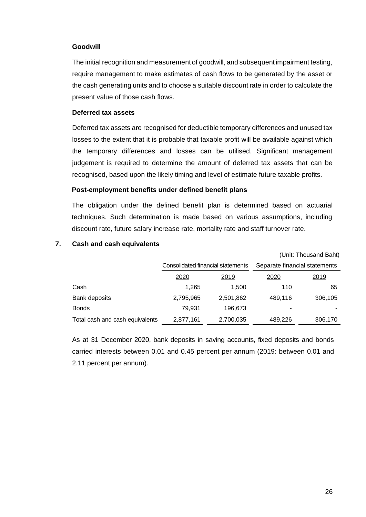### **Goodwill**

The initial recognition and measurement of goodwill, and subsequent impairment testing, require management to make estimates of cash flows to be generated by the asset or the cash generating units and to choose a suitable discount rate in order to calculate the present value of those cash flows.

### **Deferred tax assets**

Deferred tax assets are recognised for deductible temporary differences and unused tax losses to the extent that it is probable that taxable profit will be available against which the temporary differences and losses can be utilised. Significant management judgement is required to determine the amount of deferred tax assets that can be recognised, based upon the likely timing and level of estimate future taxable profits.

#### **Post-employment benefits under defined benefit plans**

The obligation under the defined benefit plan is determined based on actuarial techniques. Such determination is made based on various assumptions, including discount rate, future salary increase rate, mortality rate and staff turnover rate.

|                                 |                                   |           |                               | (Unit: Thousand Baht) |
|---------------------------------|-----------------------------------|-----------|-------------------------------|-----------------------|
|                                 | Consolidated financial statements |           | Separate financial statements |                       |
|                                 | 2020                              | 2019      | 2020                          | 2019                  |
| Cash                            | 1,265                             | 1.500     | 110                           | 65                    |
| Bank deposits                   | 2,795,965                         | 2,501,862 | 489,116                       | 306,105               |
| <b>Bonds</b>                    | 79,931                            | 196,673   |                               |                       |
| Total cash and cash equivalents | 2,877,161                         | 2,700,035 | 489,226                       | 306,170               |

#### **7. Cash and cash equivalents**

As at 31 December 2020, bank deposits in saving accounts, fixed deposits and bonds carried interests between 0.01 and 0.45 percent per annum (2019: between 0.01 and 2.11 percent per annum).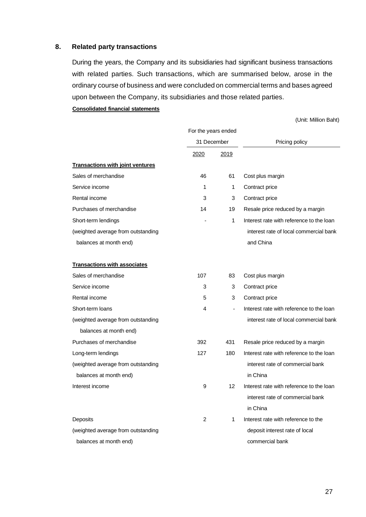### **8. Related party transactions**

During the years, the Company and its subsidiaries had significant business transactions with related parties. Such transactions, which are summarised below, arose in the ordinary course of business and were concluded on commercial terms and bases agreed upon between the Company, its subsidiaries and those related parties.

#### **Consolidated financial statements**

|                                     | For the years ended |      |                                          |
|-------------------------------------|---------------------|------|------------------------------------------|
|                                     | 31 December         |      | Pricing policy                           |
|                                     | 2020                | 2019 |                                          |
| Transactions with joint ventures    |                     |      |                                          |
| Sales of merchandise                | 46                  | 61   | Cost plus margin                         |
| Service income                      | 1                   | 1    | Contract price                           |
| Rental income                       | 3                   | 3    | Contract price                           |
| Purchases of merchandise            | 14                  | 19   | Resale price reduced by a margin         |
| Short-term lendings                 |                     | 1    | Interest rate with reference to the loan |
| (weighted average from outstanding  |                     |      | interest rate of local commercial bank   |
| balances at month end)              |                     |      | and China                                |
| <b>Transactions with associates</b> |                     |      |                                          |
| Sales of merchandise                | 107                 | 83   | Cost plus margin                         |
| Service income                      | 3                   | 3    | Contract price                           |
| Rental income                       | 5                   | 3    | Contract price                           |
| Short-term loans                    | 4                   |      | Interest rate with reference to the loan |
| (weighted average from outstanding  |                     |      | interest rate of local commercial bank   |
| balances at month end)              |                     |      |                                          |
| Purchases of merchandise            | 392                 | 431  | Resale price reduced by a margin         |
| Long-term lendings                  | 127                 | 180  | Interest rate with reference to the loan |
| (weighted average from outstanding  |                     |      | interest rate of commercial bank         |
| balances at month end)              |                     |      | in China                                 |
| Interest income                     | 9                   | 12   | Interest rate with reference to the loan |
|                                     |                     |      | interest rate of commercial bank         |
|                                     |                     |      | in China                                 |
| Deposits                            | 2                   | 1    | Interest rate with reference to the      |
| (weighted average from outstanding  |                     |      | deposit interest rate of local           |
| balances at month end)              |                     |      | commercial bank                          |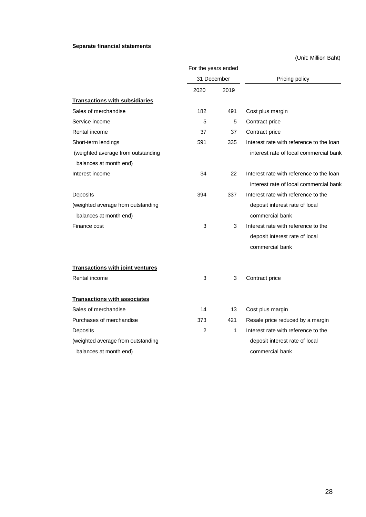#### **Separate financial statements**

|                                         | For the years ended |             |                                          |
|-----------------------------------------|---------------------|-------------|------------------------------------------|
|                                         | 31 December         |             | Pricing policy                           |
|                                         | 2020                | <u>2019</u> |                                          |
| <b>Transactions with subsidiaries</b>   |                     |             |                                          |
| Sales of merchandise                    | 182                 | 491         | Cost plus margin                         |
| Service income                          | 5                   | 5           | Contract price                           |
| Rental income                           | 37                  | 37          | Contract price                           |
| Short-term lendings                     | 591                 | 335         | Interest rate with reference to the loan |
| (weighted average from outstanding      |                     |             | interest rate of local commercial bank   |
| balances at month end)                  |                     |             |                                          |
| Interest income                         | 34                  | 22          | Interest rate with reference to the loan |
|                                         |                     |             | interest rate of local commercial bank   |
| Deposits                                | 394                 | 337         | Interest rate with reference to the      |
| (weighted average from outstanding      |                     |             | deposit interest rate of local           |
| balances at month end)                  |                     |             | commercial bank                          |
| Finance cost                            | 3                   | 3           | Interest rate with reference to the      |
|                                         |                     |             | deposit interest rate of local           |
|                                         |                     |             | commercial bank                          |
| <b>Transactions with joint ventures</b> |                     |             |                                          |
| Rental income                           | 3                   | 3           | Contract price                           |
| <b>Transactions with associates</b>     |                     |             |                                          |
| Sales of merchandise                    | 14                  | 13          | Cost plus margin                         |
| Purchases of merchandise                | 373                 | 421         | Resale price reduced by a margin         |
| Deposits                                | 2                   | 1           | Interest rate with reference to the      |
| (weighted average from outstanding      |                     |             | deposit interest rate of local           |
| balances at month end)                  |                     |             | commercial bank                          |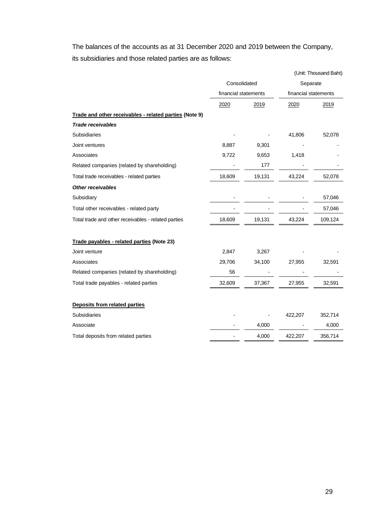The balances of the accounts as at 31 December 2020 and 2019 between the Company, its subsidiaries and those related parties are as follows:

|                                                        |                      |        |                      | (Unit: Thousand Baht) |  |
|--------------------------------------------------------|----------------------|--------|----------------------|-----------------------|--|
|                                                        | Consolidated         |        | Separate             |                       |  |
|                                                        | financial statements |        | financial statements |                       |  |
|                                                        | 2020                 | 2019   | 2020                 | 2019                  |  |
| Trade and other receivables - related parties (Note 9) |                      |        |                      |                       |  |
| <b>Trade receivables</b>                               |                      |        |                      |                       |  |
| Subsidiaries                                           |                      |        | 41,806               | 52,078                |  |
| Joint ventures                                         | 8,887                | 9,301  |                      |                       |  |
| Associates                                             | 9,722                | 9,653  | 1,418                |                       |  |
| Related companies (related by shareholding)            |                      | 177    |                      |                       |  |
| Total trade receivables - related parties              | 18,609               | 19,131 | 43,224               | 52,078                |  |
| <b>Other receivables</b>                               |                      |        |                      |                       |  |
| Subsidiary                                             |                      |        |                      | 57,046                |  |
| Total other receivables - related party                |                      |        |                      | 57,046                |  |
| Total trade and other receivables - related parties    | 18,609               | 19,131 | 43,224               | 109,124               |  |
| Trade payables - related parties (Note 23)             |                      |        |                      |                       |  |
| Joint venture                                          | 2,847                | 3,267  |                      |                       |  |
| Associates                                             | 29,706               | 34,100 | 27,955               | 32,591                |  |
| Related companies (related by shareholding)            | 56                   |        |                      |                       |  |
| Total trade payables - related parties                 | 32,609               | 37,367 | 27,955               | 32,591                |  |
| <b>Deposits from related parties</b>                   |                      |        |                      |                       |  |
| Subsidiaries                                           |                      |        | 422,207              | 352,714               |  |
| Associate                                              |                      | 4,000  |                      | 4,000                 |  |
| Total deposits from related parties                    |                      | 4,000  | 422,207              | 356,714               |  |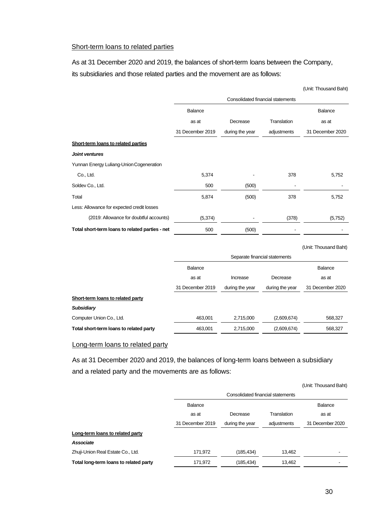#### Short-term loans to related parties

As at 31 December 2020 and 2019, the balances of short-term loans between the Company, its subsidiaries and those related parties and the movement are as follows:

|                                                 |                                   |                 |             | (Unit: Thousand Baht) |  |
|-------------------------------------------------|-----------------------------------|-----------------|-------------|-----------------------|--|
|                                                 | Consolidated financial statements |                 |             |                       |  |
|                                                 | Balance                           |                 |             | Balance               |  |
|                                                 | as at                             | Decrease        | Translation | as at                 |  |
|                                                 | 31 December 2019                  | during the year | adjustments | 31 December 2020      |  |
| Short-term loans to related parties             |                                   |                 |             |                       |  |
| <b>Joint ventures</b>                           |                                   |                 |             |                       |  |
| Yunnan Energy Luliang-Union Cogeneration        |                                   |                 |             |                       |  |
| Co., Ltd.                                       | 5,374                             |                 | 378         | 5,752                 |  |
| Soldev Co., Ltd.                                | 500                               | (500)           |             |                       |  |
| Total                                           | 5,874                             | (500)           | 378         | 5,752                 |  |
| Less: Allowance for expected credit losses      |                                   |                 |             |                       |  |
| (2019: Allowance for doubtful accounts)         | (5, 374)                          |                 | (378)       | (5,752)               |  |
| Total short-term loans to related parties - net | 500                               | (500)           |             |                       |  |
|                                                 |                                   |                 |             |                       |  |

(Unit: Thousand Baht)

|                                         | Separate financial statements |                 |                 |                  |  |
|-----------------------------------------|-------------------------------|-----------------|-----------------|------------------|--|
|                                         | Balance                       |                 |                 | Balance          |  |
|                                         | as at                         | Increase        | Decrease        | as at            |  |
|                                         | 31 December 2019              | during the year | during the year | 31 December 2020 |  |
| Short-term loans to related party       |                               |                 |                 |                  |  |
| <b>Subsidiary</b>                       |                               |                 |                 |                  |  |
| Computer Union Co., Ltd.                | 463.001                       | 2,715,000       | (2,609,674)     | 568,327          |  |
| Total short-term loans to related party | 463,001                       | 2,715,000       | (2,609,674)     | 568,327          |  |

#### Long-term loans to related party

As at 31 December 2020 and 2019, the balances of long-term loans between a subsidiary and a related party and the movements are as follows:

|                                        |                  |                                   |             | (Unit: Thousand Baht) |
|----------------------------------------|------------------|-----------------------------------|-------------|-----------------------|
|                                        |                  | Consolidated financial statements |             |                       |
|                                        | Balance          |                                   |             | Balance               |
|                                        | as at            | Decrease                          | Translation | as at                 |
|                                        | 31 December 2019 | during the year                   | adjustments | 31 December 2020      |
| Long-term loans to related party       |                  |                                   |             |                       |
| Associate                              |                  |                                   |             |                       |
| Zhuji-Union Real Estate Co., Ltd.      | 171,972          | (185, 434)                        | 13.462      |                       |
| Total long-term loans to related party | 171,972          | (185, 434)                        | 13,462      |                       |
|                                        |                  |                                   |             |                       |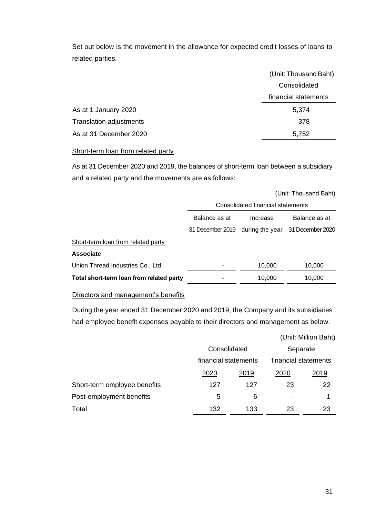Set out below is the movement in the allowance for expected credit losses of loans to related parties.

|                         | (Unit: Thousand Baht) |  |
|-------------------------|-----------------------|--|
|                         | Consolidated          |  |
|                         | financial statements  |  |
| As at 1 January 2020    | 5,374                 |  |
| Translation adjustments | 378                   |  |
| As at 31 December 2020  | 5,752                 |  |

## Short-term loan from related party

As at 31 December 2020 and 2019, the balances of short-term loan between a subsidiary and a related party and the movements are as follows:

|                                          | (Unit: Thousand Baht)                      |                 |                  |  |  |  |
|------------------------------------------|--------------------------------------------|-----------------|------------------|--|--|--|
|                                          | Consolidated financial statements          |                 |                  |  |  |  |
|                                          | Balance as at<br>Balance as at<br>Increase |                 |                  |  |  |  |
|                                          | 31 December 2019                           | during the year | 31 December 2020 |  |  |  |
| Short-term loan from related party       |                                            |                 |                  |  |  |  |
| <b>Associate</b>                         |                                            |                 |                  |  |  |  |
| Union Thread Industries Co., Ltd.        |                                            | 10,000          | 10,000           |  |  |  |
| Total short-term loan from related party |                                            | 10,000          | 10,000           |  |  |  |
|                                          |                                            |                 |                  |  |  |  |

Directors and management's benefits

During the year ended 31 December 2020 and 2019, the Company and its subsidiaries had employee benefit expenses payable to their directors and management as below.

|                              |              |                      |                      | (Unit: Million Baht) |
|------------------------------|--------------|----------------------|----------------------|----------------------|
|                              | Consolidated |                      | Separate             |                      |
|                              |              | financial statements | financial statements |                      |
|                              | 2020         | 2019                 | 2020                 | 2019                 |
| Short-term employee benefits | 127          | 127                  | 23                   | 22                   |
| Post-employment benefits     | 5            | 6                    | -                    |                      |
| Total                        | 132          | 133                  | 23                   | 23                   |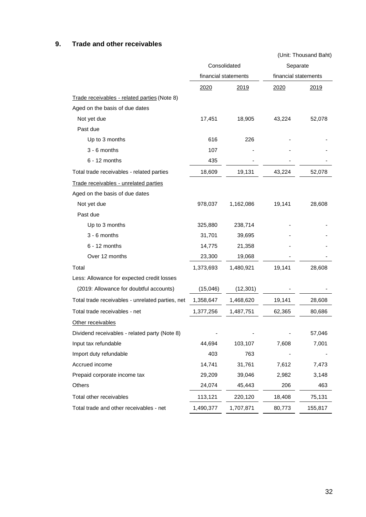#### **9. Trade and other receivables**

|                                                  |                                      |           |                                  | (Unit: Thousand Baht) |
|--------------------------------------------------|--------------------------------------|-----------|----------------------------------|-----------------------|
|                                                  | Consolidated<br>financial statements |           | Separate<br>financial statements |                       |
|                                                  |                                      |           |                                  |                       |
|                                                  | 2020                                 | 2019      | 2020                             | 2019                  |
| Trade receivables - related parties (Note 8)     |                                      |           |                                  |                       |
| Aged on the basis of due dates                   |                                      |           |                                  |                       |
| Not yet due                                      | 17,451                               | 18,905    | 43,224                           | 52,078                |
| Past due                                         |                                      |           |                                  |                       |
| Up to 3 months                                   | 616                                  | 226       |                                  |                       |
| 3 - 6 months                                     | 107                                  |           |                                  |                       |
| $6 - 12$ months                                  | 435                                  |           |                                  |                       |
| Total trade receivables - related parties        | 18,609                               | 19,131    | 43,224                           | 52,078                |
| Trade receivables - unrelated parties            |                                      |           |                                  |                       |
| Aged on the basis of due dates                   |                                      |           |                                  |                       |
| Not yet due                                      | 978,037                              | 1,162,086 | 19,141                           | 28,608                |
| Past due                                         |                                      |           |                                  |                       |
| Up to 3 months                                   | 325,880                              | 238,714   |                                  |                       |
| 3 - 6 months                                     | 31,701                               | 39,695    |                                  |                       |
| $6 - 12$ months                                  | 14,775                               | 21,358    |                                  |                       |
| Over 12 months                                   | 23,300                               | 19,068    |                                  |                       |
| Total                                            | 1,373,693                            | 1,480,921 | 19,141                           | 28,608                |
| Less: Allowance for expected credit losses       |                                      |           |                                  |                       |
| (2019: Allowance for doubtful accounts)          | (15,046)                             | (12, 301) |                                  |                       |
| Total trade receivables - unrelated parties, net | 1,358,647                            | 1,468,620 | 19,141                           | 28,608                |
| Total trade receivables - net                    | 1,377,256                            | 1,487,751 | 62,365                           | 80,686                |
| Other receivables                                |                                      |           |                                  |                       |
| Dividend receivables - related party (Note 8)    |                                      |           |                                  | 57,046                |
| Input tax refundable                             | 44,694                               | 103,107   | 7,608                            | 7,001                 |
| Import duty refundable                           | 403                                  | 763       |                                  |                       |
| Accrued income                                   | 14,741                               | 31,761    | 7,612                            | 7,473                 |
| Prepaid corporate income tax                     | 29,209                               | 39,046    | 2,982                            | 3,148                 |
| Others                                           | 24,074                               | 45,443    | 206                              | 463                   |
| Total other receivables                          | 113,121                              | 220,120   | 18,408                           | 75,131                |
| Total trade and other receivables - net          | 1,490,377                            | 1,707,871 | 80,773                           | 155,817               |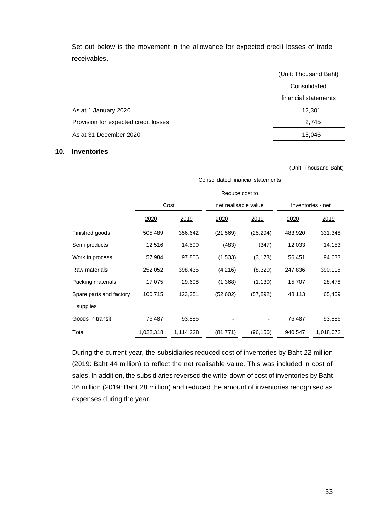Set out below is the movement in the allowance for expected credit losses of trade receivables.

|                                      | (Unit: Thousand Baht) |
|--------------------------------------|-----------------------|
|                                      | Consolidated          |
|                                      | financial statements  |
| As at 1 January 2020                 | 12,301                |
| Provision for expected credit losses | 2.745                 |
| As at 31 December 2020               | 15,046                |

## **10. Inventories**

(Unit: Thousand Baht)

|                                     | Consolidated financial statements |             |                      |             |                   |           |  |  |  |  |
|-------------------------------------|-----------------------------------|-------------|----------------------|-------------|-------------------|-----------|--|--|--|--|
|                                     |                                   |             |                      |             |                   |           |  |  |  |  |
|                                     |                                   | Cost        | net realisable value |             | Inventories - net |           |  |  |  |  |
|                                     | 2020                              | <u>2019</u> | <u>2020</u>          | <u>2019</u> | 2020              | 2019      |  |  |  |  |
| Finished goods                      | 505,489                           | 356,642     | (21, 569)            | (25, 294)   | 483,920           | 331,348   |  |  |  |  |
| Semi products                       | 12,516                            | 14,500      | (483)                | (347)       | 12,033            | 14,153    |  |  |  |  |
| Work in process                     | 57,984                            | 97,806      | (1,533)              | (3, 173)    | 56,451            | 94,633    |  |  |  |  |
| Raw materials                       | 252,052                           | 398,435     | (4,216)              | (8,320)     | 247,836           | 390,115   |  |  |  |  |
| Packing materials                   | 17,075                            | 29,608      | (1,368)              | (1, 130)    | 15,707            | 28,478    |  |  |  |  |
| Spare parts and factory<br>supplies | 100,715                           | 123,351     | (52, 602)            | (57, 892)   | 48,113            | 65,459    |  |  |  |  |
| Goods in transit                    | 76,487                            | 93,886      |                      |             | 76,487            | 93,886    |  |  |  |  |
| Total                               | 1,022,318                         | 1,114,228   | (81, 771)            | (96, 156)   | 940,547           | 1,018,072 |  |  |  |  |

During the current year, the subsidiaries reduced cost of inventories by Baht 22 million (2019: Baht 44 million) to reflect the net realisable value. This was included in cost of sales. In addition, the subsidiaries reversed the write-down of cost of inventories by Baht 36 million (2019: Baht 28 million) and reduced the amount of inventories recognised as expenses during the year.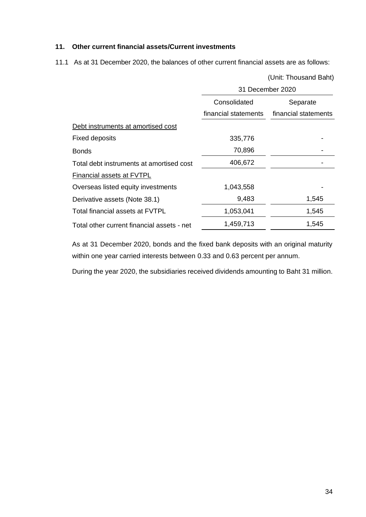### **11. Other current financial assets/Current investments**

11.1 As at 31 December 2020, the balances of other current financial assets are as follows:

(Unit: Thousand Baht)

|                                            | 31 December 2020     |                      |
|--------------------------------------------|----------------------|----------------------|
|                                            | Consolidated         | Separate             |
|                                            | financial statements | financial statements |
| Debt instruments at amortised cost         |                      |                      |
| <b>Fixed deposits</b>                      | 335,776              |                      |
| <b>Bonds</b>                               | 70,896               |                      |
| Total debt instruments at amortised cost   | 406,672              |                      |
| <b>Financial assets at FVTPL</b>           |                      |                      |
| Overseas listed equity investments         | 1,043,558            |                      |
| Derivative assets (Note 38.1)              | 9,483                | 1,545                |
| Total financial assets at FVTPL            | 1,053,041            | 1,545                |
| Total other current financial assets - net | 1,459,713            | 1,545                |
|                                            |                      |                      |

As at 31 December 2020, bonds and the fixed bank deposits with an original maturity within one year carried interests between 0.33 and 0.63 percent per annum.

During the year 2020, the subsidiaries received dividends amounting to Baht 31 million.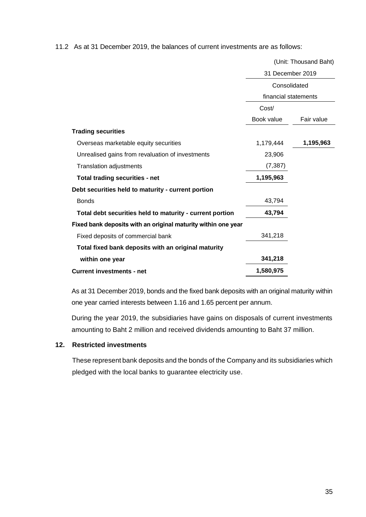11.2 As at 31 December 2019, the balances of current investments are as follows:

|                                                               |                      | (Unit: Thousand Baht) |
|---------------------------------------------------------------|----------------------|-----------------------|
|                                                               | 31 December 2019     |                       |
|                                                               | Consolidated         |                       |
|                                                               | financial statements |                       |
|                                                               | Cost/                |                       |
|                                                               | Book value           | Fair value            |
| <b>Trading securities</b>                                     |                      |                       |
| Overseas marketable equity securities                         | 1,179,444            | 1,195,963             |
| Unrealised gains from revaluation of investments              | 23,906               |                       |
| <b>Translation adjustments</b>                                | (7, 387)             |                       |
| <b>Total trading securities - net</b>                         | 1,195,963            |                       |
| Debt securities held to maturity - current portion            |                      |                       |
| <b>Bonds</b>                                                  | 43,794               |                       |
| Total debt securities held to maturity - current portion      | 43,794               |                       |
| Fixed bank deposits with an original maturity within one year |                      |                       |
| Fixed deposits of commercial bank                             | 341,218              |                       |
| Total fixed bank deposits with an original maturity           |                      |                       |
| within one year                                               | 341,218              |                       |
| <b>Current investments - net</b>                              | 1,580,975            |                       |
|                                                               |                      |                       |

As at 31 December 2019, bonds and the fixed bank deposits with an original maturity within one year carried interests between 1.16 and 1.65 percent per annum.

During the year 2019, the subsidiaries have gains on disposals of current investments amounting to Baht 2 million and received dividends amounting to Baht 37 million.

### **12. Restricted investments**

These represent bank deposits and the bonds of the Company and its subsidiaries which pledged with the local banks to guarantee electricity use.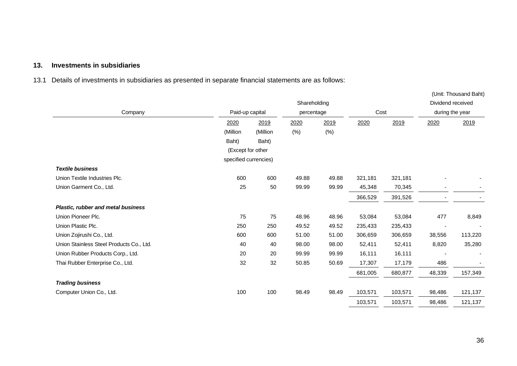## **13. Investments in subsidiaries**

# 13.1 Details of investments in subsidiaries as presented in separate financial statements are as follows:

|                                           |                       |          |              |       |         |         |                   | (Unit: Thousand Baht) |
|-------------------------------------------|-----------------------|----------|--------------|-------|---------|---------|-------------------|-----------------------|
|                                           |                       |          | Shareholding |       |         |         | Dividend received |                       |
| Company                                   | Paid-up capital       |          | percentage   |       | Cost    |         | during the year   |                       |
|                                           | 2020                  | 2019     | 2020         | 2019  | 2020    | 2019    | 2020              | 2019                  |
|                                           | (Million              | (Million | (%)          | (%)   |         |         |                   |                       |
|                                           | Baht)                 | Baht)    |              |       |         |         |                   |                       |
|                                           | (Except for other     |          |              |       |         |         |                   |                       |
|                                           | specified currencies) |          |              |       |         |         |                   |                       |
| <b>Textile business</b>                   |                       |          |              |       |         |         |                   |                       |
| Union Textile Industries Plc.             | 600                   | 600      | 49.88        | 49.88 | 321,181 | 321,181 |                   |                       |
| Union Garment Co., Ltd.                   | 25                    | 50       | 99.99        | 99.99 | 45,348  | 70,345  |                   |                       |
|                                           |                       |          |              |       | 366,529 | 391,526 |                   |                       |
| <b>Plastic, rubber and metal business</b> |                       |          |              |       |         |         |                   |                       |
| Union Pioneer Plc.                        | 75                    | 75       | 48.96        | 48.96 | 53,084  | 53,084  | 477               | 8,849                 |
| Union Plastic Plc.                        | 250                   | 250      | 49.52        | 49.52 | 235,433 | 235,433 |                   |                       |
| Union Zojirushi Co., Ltd.                 | 600                   | 600      | 51.00        | 51.00 | 306,659 | 306,659 | 38,556            | 113,220               |
| Union Stainless Steel Products Co., Ltd.  | 40                    | 40       | 98.00        | 98.00 | 52,411  | 52,411  | 8,820             | 35,280                |
| Union Rubber Products Corp., Ltd.         | 20                    | 20       | 99.99        | 99.99 | 16,111  | 16,111  |                   |                       |
| Thai Rubber Enterprise Co., Ltd.          | 32                    | 32       | 50.85        | 50.69 | 17,307  | 17,179  | 486               |                       |
|                                           |                       |          |              |       | 681,005 | 680,877 | 48,339            | 157,349               |
| <b>Trading business</b>                   |                       |          |              |       |         |         |                   |                       |
| Computer Union Co., Ltd.                  | 100                   | 100      | 98.49        | 98.49 | 103,571 | 103,571 | 98,486            | 121,137               |
|                                           |                       |          |              |       | 103,571 | 103,571 | 98,486            | 121,137               |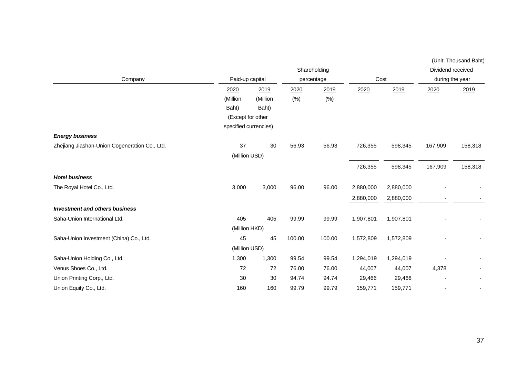|                                               |                       |          |        |              |           |           |                   | (Unit: Thousand Baht) |
|-----------------------------------------------|-----------------------|----------|--------|--------------|-----------|-----------|-------------------|-----------------------|
|                                               |                       |          |        | Shareholding |           |           | Dividend received |                       |
| Company                                       | Paid-up capital       |          |        | percentage   |           | Cost      | during the year   |                       |
|                                               | 2020                  | 2019     | 2020   | 2019         | 2020      | 2019      | 2020              | 2019                  |
|                                               | (Million              | (Million | (% )   | $(\%)$       |           |           |                   |                       |
|                                               | Baht)                 | Baht)    |        |              |           |           |                   |                       |
|                                               | (Except for other     |          |        |              |           |           |                   |                       |
|                                               | specified currencies) |          |        |              |           |           |                   |                       |
| <b>Energy business</b>                        |                       |          |        |              |           |           |                   |                       |
| Zhejiang Jiashan-Union Cogeneration Co., Ltd. | 37                    | 30       | 56.93  | 56.93        | 726,355   | 598,345   | 167,909           | 158,318               |
|                                               | (Million USD)         |          |        |              |           |           |                   |                       |
|                                               |                       |          |        |              | 726,355   | 598,345   | 167,909           | 158,318               |
| <b>Hotel business</b>                         |                       |          |        |              |           |           |                   |                       |
| The Royal Hotel Co., Ltd.                     | 3,000                 | 3,000    | 96.00  | 96.00        | 2,880,000 | 2,880,000 |                   |                       |
|                                               |                       |          |        |              | 2,880,000 | 2,880,000 |                   |                       |
| <b>Investment and others business</b>         |                       |          |        |              |           |           |                   |                       |
|                                               |                       |          |        |              |           |           |                   |                       |
| Saha-Union International Ltd.                 | 405                   | 405      | 99.99  | 99.99        | 1,907,801 | 1,907,801 |                   |                       |
|                                               | (Million HKD)         |          |        |              |           |           |                   |                       |
| Saha-Union Investment (China) Co., Ltd.       | 45                    | 45       | 100.00 | 100.00       | 1,572,809 | 1,572,809 |                   |                       |
|                                               | (Million USD)         |          |        |              |           |           |                   |                       |
| Saha-Union Holding Co., Ltd.                  | 1,300                 | 1,300    | 99.54  | 99.54        | 1,294,019 | 1,294,019 |                   |                       |
| Venus Shoes Co., Ltd.                         | 72                    | 72       | 76.00  | 76.00        | 44,007    | 44,007    | 4,378             |                       |
| Union Printing Corp., Ltd.                    | 30                    | 30       | 94.74  | 94.74        | 29,466    | 29,466    |                   |                       |
| Union Equity Co., Ltd.                        | 160                   | 160      | 99.79  | 99.79        | 159,771   | 159,771   |                   |                       |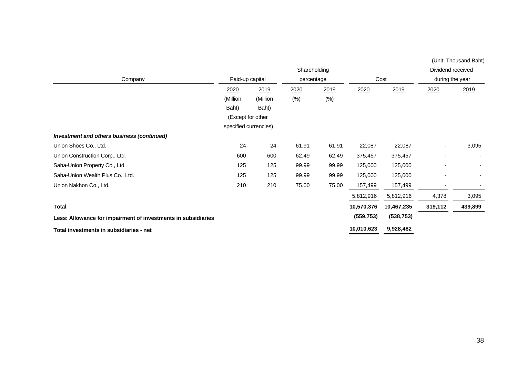|                                                               |                       |          |            |              |            |            |                                      | (Unit: Thousand Baht) |
|---------------------------------------------------------------|-----------------------|----------|------------|--------------|------------|------------|--------------------------------------|-----------------------|
|                                                               |                       |          |            | Shareholding |            |            | Dividend received<br>during the year |                       |
| Company                                                       | Paid-up capital       |          | percentage |              | Cost       |            |                                      |                       |
|                                                               | 2020                  | 2019     | 2020       | 2019         | 2020       | 2019       | 2020                                 | 2019                  |
|                                                               | (Million              | (Million | (%)        | (% )         |            |            |                                      |                       |
|                                                               | Baht)                 | Baht)    |            |              |            |            |                                      |                       |
|                                                               | (Except for other     |          |            |              |            |            |                                      |                       |
|                                                               | specified currencies) |          |            |              |            |            |                                      |                       |
| Investment and others business (continued)                    |                       |          |            |              |            |            |                                      |                       |
| Union Shoes Co., Ltd.                                         | 24                    | 24       | 61.91      | 61.91        | 22,087     | 22,087     | $\overline{\phantom{a}}$             | 3,095                 |
| Union Construction Corp., Ltd.                                | 600                   | 600      | 62.49      | 62.49        | 375,457    | 375,457    | $\overline{\phantom{0}}$             |                       |
| Saha-Union Property Co., Ltd.                                 | 125                   | 125      | 99.99      | 99.99        | 125,000    | 125,000    |                                      |                       |
| Saha-Union Wealth Plus Co., Ltd.                              | 125                   | 125      | 99.99      | 99.99        | 125,000    | 125,000    |                                      |                       |
| Union Nakhon Co., Ltd.                                        | 210                   | 210      | 75.00      | 75.00        | 157,499    | 157,499    | $\overline{\phantom{0}}$             |                       |
|                                                               |                       |          |            |              | 5,812,916  | 5,812,916  | 4,378                                | 3,095                 |
| <b>Total</b>                                                  |                       |          |            |              | 10,570,376 | 10,467,235 | 319,112                              | 439,899               |
| Less: Allowance for impairment of investments in subsidiaries |                       |          |            |              | (559, 753) | (538, 753) |                                      |                       |
| Total investments in subsidiaries - net                       |                       |          |            |              | 10,010,623 | 9,928,482  |                                      |                       |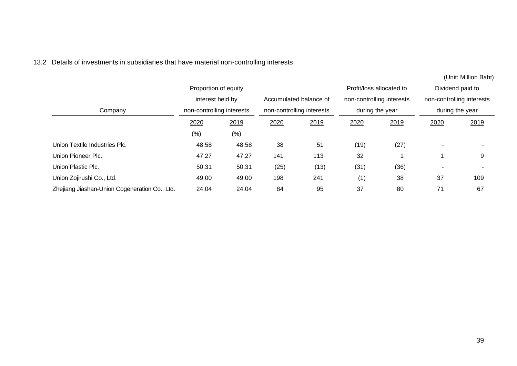# 13.2 Details of investments in subsidiaries that have material non-controlling interests

|                                               | Proportion of equity |                           |      |                           | Profit/loss allocated to |                           | Dividend paid to |                           |  |
|-----------------------------------------------|----------------------|---------------------------|------|---------------------------|--------------------------|---------------------------|------------------|---------------------------|--|
|                                               | interest held by     |                           |      | Accumulated balance of    |                          | non-controlling interests |                  | non-controlling interests |  |
| Company                                       |                      | non-controlling interests |      | non-controlling interests |                          | during the year           | during the year  |                           |  |
|                                               | 2020                 | 2019                      | 2020 | 2019                      | 2020                     | 2019                      | 2020             | 2019                      |  |
|                                               | (%)                  | $(\%)$                    |      |                           |                          |                           |                  |                           |  |
| Union Textile Industries Plc.                 | 48.58                | 48.58                     | 38   | 51                        | (19)                     | (27)                      |                  |                           |  |
| Union Pioneer Plc.                            | 47.27                | 47.27                     | 141  | 113                       | 32                       |                           |                  | 9                         |  |
| Union Plastic Plc.                            | 50.31                | 50.31                     | (25) | (13)                      | (31)                     | (36)                      |                  |                           |  |
| Union Zojirushi Co., Ltd.                     | 49.00                | 49.00                     | 198  | 241                       | (1)                      | 38                        | 37               | 109                       |  |
| Zhejiang Jiashan-Union Cogeneration Co., Ltd. | 24.04                | 24.04                     | 84   | 95                        | 37                       | 80                        | 71               | 67                        |  |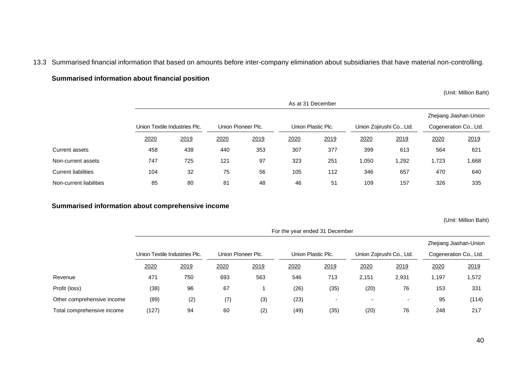# 13.3 Summarised financial information that based on amounts before inter-company elimination about subsidiaries that have material non-controlling.

## **Summarised information about financial position**

(Unit: Million Baht)

|                            |      |                               |                    |      |      | As at 31 December  |       |                           |       |                        |  |
|----------------------------|------|-------------------------------|--------------------|------|------|--------------------|-------|---------------------------|-------|------------------------|--|
|                            |      |                               |                    |      |      |                    |       |                           |       | Zhejiang Jiashan-Union |  |
|                            |      | Union Textile Industries Plc. | Union Pioneer Plc. |      |      | Union Plastic Plc. |       | Union Zojirushi Co., Ltd. |       | Cogeneration Co., Ltd. |  |
|                            | 2020 | 2019                          | 2020               | 2019 | 2020 | 2019               | 2020  | 2019                      | 2020  | 2019                   |  |
| Current assets             | 458  | 438                           | 440                | 353  | 307  | 377                | 399   | 613                       | 564   | 621                    |  |
| Non-current assets         | 747  | 725                           | 121                | 97   | 323  | 251                | 1,050 | 1,292                     | 1,723 | 1,668                  |  |
| <b>Current liabilities</b> | 104  | 32                            | 75                 | 56   | 105  | 112                | 346   | 657                       | 470   | 640                    |  |
| Non-current liabilities    | 85   | 80                            | 81                 | 48   | 46   | 51                 | 109   | 157                       | 326   | 335                    |  |

## **Summarised information about comprehensive income**

|                            |                               |      |                    |      | For the year ended 31 December |      |                           |       |                        |                        |
|----------------------------|-------------------------------|------|--------------------|------|--------------------------------|------|---------------------------|-------|------------------------|------------------------|
|                            |                               |      |                    |      |                                |      |                           |       |                        | Zhejiang Jiashan-Union |
|                            | Union Textile Industries Plc. |      | Union Pioneer Plc. |      | Union Plastic Plc.             |      | Union Zojirushi Co., Ltd. |       | Cogeneration Co., Ltd. |                        |
|                            | 2020                          | 2019 | 2020               | 2019 | 2020                           | 2019 | 2020                      | 2019  | 2020                   | 2019                   |
| Revenue                    | 471                           | 750  | 693                | 563  | 546                            | 713  | 2,151                     | 2,931 | 1,197                  | 1,572                  |
| Profit (loss)              | (38)                          | 96   | 67                 |      | (26)                           | (35) | (20)                      | 76    | 153                    | 331                    |
| Other comprehensive income | (89)                          | (2)  | (7)                | (3)  | (23)                           |      |                           |       | 95                     | (114)                  |
| Total comprehensive income | (127)                         | 94   | 60                 | (2)  | (49)                           | (35) | (20)                      | 76    | 248                    | 217                    |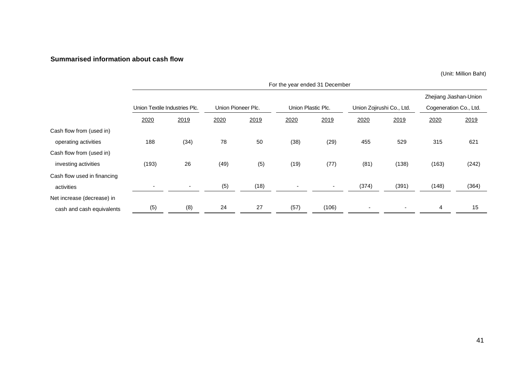## **Summarised information about cash flow**

|                             |                               | For the year ended 31 December |                    |      |                    |                          |                           |       |                        |       |  |
|-----------------------------|-------------------------------|--------------------------------|--------------------|------|--------------------|--------------------------|---------------------------|-------|------------------------|-------|--|
|                             |                               | Zhejiang Jiashan-Union         |                    |      |                    |                          |                           |       |                        |       |  |
|                             | Union Textile Industries Plc. |                                | Union Pioneer Plc. |      | Union Plastic Plc. |                          | Union Zojirushi Co., Ltd. |       | Cogeneration Co., Ltd. |       |  |
|                             | 2020                          | 2019                           | 2020               | 2019 | 2020               | 2019                     | 2020                      | 2019  | 2020                   | 2019  |  |
| Cash flow from (used in)    |                               |                                |                    |      |                    |                          |                           |       |                        |       |  |
| operating activities        | 188                           | (34)                           | 78                 | 50   | (38)               | (29)                     | 455                       | 529   | 315                    | 621   |  |
| Cash flow from (used in)    |                               |                                |                    |      |                    |                          |                           |       |                        |       |  |
| investing activities        | (193)                         | 26                             | (49)               | (5)  | (19)               | (77)                     | (81)                      | (138) | (163)                  | (242) |  |
| Cash flow used in financing |                               |                                |                    |      |                    |                          |                           |       |                        |       |  |
| activities                  |                               |                                | (5)                | (18) |                    | $\overline{\phantom{a}}$ | (374)                     | (391) | (148)                  | (364) |  |
| Net increase (decrease) in  |                               |                                |                    |      |                    |                          |                           |       |                        |       |  |
| cash and cash equivalents   | (5)                           | (8)                            | 24                 | 27   | (57)               | (106)                    |                           |       | 4                      | 15    |  |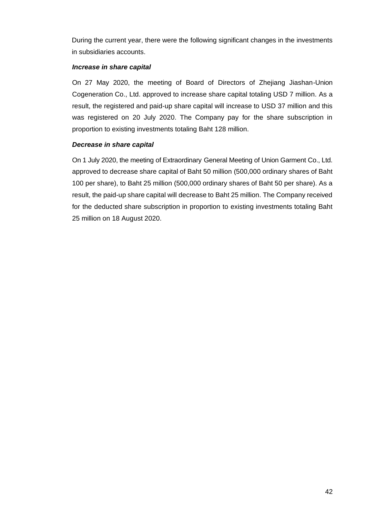During the current year, there were the following significant changes in the investments in subsidiaries accounts.

### *Increase in share capital*

On 27 May 2020, the meeting of Board of Directors of Zhejiang Jiashan-Union Cogeneration Co., Ltd. approved to increase share capital totaling USD 7 million. As a result, the registered and paid-up share capital will increase to USD 37 million and this was registered on 20 July 2020. The Company pay for the share subscription in proportion to existing investments totaling Baht 128 million.

## *Decrease in share capital*

On 1 July 2020, the meeting of Extraordinary General Meeting of Union Garment Co., Ltd. approved to decrease share capital of Baht 50 million (500,000 ordinary shares of Baht 100 per share), to Baht 25 million (500,000 ordinary shares of Baht 50 per share). As a result, the paid-up share capital will decrease to Baht 25 million. The Company received for the deducted share subscription in proportion to existing investments totaling Baht 25 million on 18 August 2020.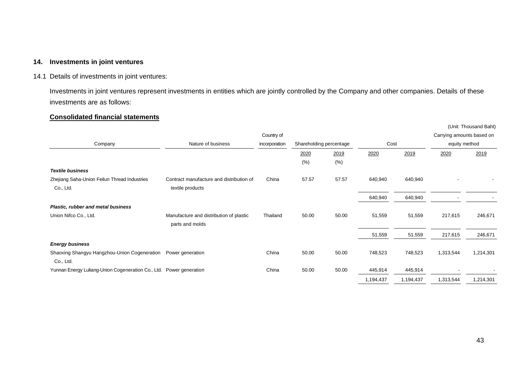## **14. Investments in joint ventures**

## 14.1 Details of investments in joint ventures:

Investments in joint ventures represent investments in entities which are jointly controlled by the Company and other companies. Details of these investments are as follows:

#### **Consolidated financial statements**

|                                                                     |                                          |               |                         |       |           |           |                           | (Unit: Thousand Baht) |
|---------------------------------------------------------------------|------------------------------------------|---------------|-------------------------|-------|-----------|-----------|---------------------------|-----------------------|
|                                                                     |                                          | Country of    |                         |       |           |           | Carrying amounts based on |                       |
| Company                                                             | Nature of business                       | incorporation | Shareholding percentage |       | Cost      |           | equity method             |                       |
|                                                                     |                                          |               | 2020                    | 2019  | 2020      | 2019      | 2020                      | 2019                  |
|                                                                     |                                          |               | (% )                    | (% )  |           |           |                           |                       |
| <b>Textile business</b>                                             |                                          |               |                         |       |           |           |                           |                       |
| Zhejiang Saha-Union Feilun Thread Industries                        | Contract manufacture and distribution of | China         | 57.57                   | 57.57 | 640,940   | 640,940   |                           |                       |
| Co., Ltd.                                                           | textile products                         |               |                         |       |           |           |                           |                       |
|                                                                     |                                          |               |                         |       | 640,940   | 640,940   |                           |                       |
| Plastic, rubber and metal business                                  |                                          |               |                         |       |           |           |                           |                       |
| Union Nifco Co., Ltd.                                               | Manufacture and distribution of plastic  | Thailand      | 50.00                   | 50.00 | 51,559    | 51,559    | 217,615                   | 246,671               |
|                                                                     | parts and molds                          |               |                         |       |           |           |                           |                       |
|                                                                     |                                          |               |                         |       | 51,559    | 51,559    | 217,615                   | 246,671               |
| <b>Energy business</b>                                              |                                          |               |                         |       |           |           |                           |                       |
| Shaoxing Shangyu Hangzhou-Union Cogeneration Power generation       |                                          | China         | 50.00                   | 50.00 | 748,523   | 748,523   | 1,313,544                 | 1,214,301             |
| Co., Ltd.                                                           |                                          |               |                         |       |           |           |                           |                       |
| Yunnan Energy Luliang-Union Cogeneration Co., Ltd. Power generation |                                          | China         | 50.00                   | 50.00 | 445,914   | 445,914   |                           |                       |
|                                                                     |                                          |               |                         |       | 1,194,437 | 1,194,437 | 1,313,544                 | 1,214,301             |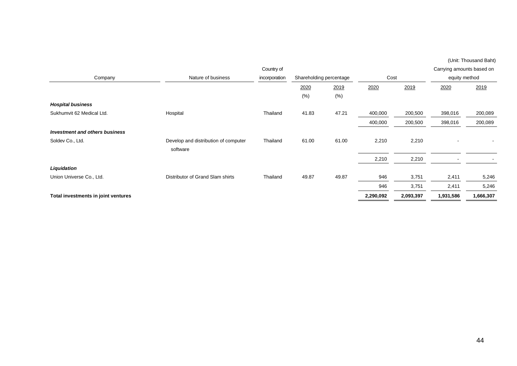|                                     |                                                  |               |       |                         |           |           |                           | (Unit: Thousand Baht) |  |
|-------------------------------------|--------------------------------------------------|---------------|-------|-------------------------|-----------|-----------|---------------------------|-----------------------|--|
|                                     |                                                  | Country of    |       |                         |           |           | Carrying amounts based on |                       |  |
| Company                             | Nature of business                               | incorporation |       | Shareholding percentage |           | Cost      |                           | equity method         |  |
|                                     |                                                  |               | 2020  | 2019                    | 2020      | 2019      | 2020                      | 2019                  |  |
|                                     |                                                  |               | (% )  | (% )                    |           |           |                           |                       |  |
| <b>Hospital business</b>            |                                                  |               |       |                         |           |           |                           |                       |  |
| Sukhumvit 62 Medical Ltd.           | Hospital                                         | Thailand      | 41.83 | 47.21                   | 400,000   | 200,500   | 398,016                   | 200,089               |  |
|                                     |                                                  |               |       |                         | 400,000   | 200,500   | 398,016                   | 200,089               |  |
| Investment and others business      |                                                  |               |       |                         |           |           |                           |                       |  |
| Soldev Co., Ltd.                    | Develop and distribution of computer<br>software | Thailand      | 61.00 | 61.00                   | 2,210     | 2,210     |                           |                       |  |
|                                     |                                                  |               |       |                         | 2,210     | 2,210     |                           |                       |  |
| Liquidation                         |                                                  |               |       |                         |           |           |                           |                       |  |
| Union Universe Co., Ltd.            | Distributor of Grand Slam shirts                 | Thailand      | 49.87 | 49.87                   | 946       | 3,751     | 2,411                     | 5,246                 |  |
|                                     |                                                  |               |       |                         | 946       | 3,751     | 2,411                     | 5,246                 |  |
| Total investments in joint ventures |                                                  |               |       |                         | 2,290,092 | 2,093,397 | 1,931,586                 | 1,666,307             |  |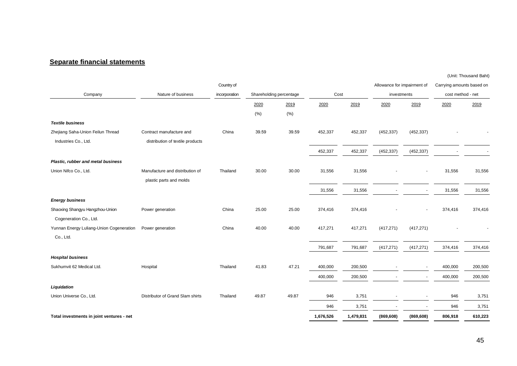## **Separate financial statements**

(Unit: Thousand Baht)

|                                           |                                  |               |                         |       | Allowance for impairment of |           | Carrying amounts based on |                          |                   |         |
|-------------------------------------------|----------------------------------|---------------|-------------------------|-------|-----------------------------|-----------|---------------------------|--------------------------|-------------------|---------|
| Company                                   | Nature of business               | incorporation | Shareholding percentage |       | Cost                        |           | investments               |                          | cost method - net |         |
|                                           |                                  |               | 2020                    | 2019  | 2020                        | 2019      | 2020                      | 2019                     | 2020              | 2019    |
|                                           |                                  |               | (% )                    | (% )  |                             |           |                           |                          |                   |         |
| <b>Textile business</b>                   |                                  |               |                         |       |                             |           |                           |                          |                   |         |
| Zhejiang Saha-Union Feilun Thread         | Contract manufacture and         | China         | 39.59                   | 39.59 | 452,337                     | 452,337   | (452, 337)                | (452, 337)               |                   |         |
| Industries Co., Ltd.                      | distribution of textile products |               |                         |       |                             |           |                           |                          |                   |         |
|                                           |                                  |               |                         |       | 452,337                     | 452,337   | (452, 337)                | (452, 337)               |                   |         |
| Plastic, rubber and metal business        |                                  |               |                         |       |                             |           |                           |                          |                   |         |
| Union Nifco Co., Ltd.                     | Manufacture and distribution of  | Thailand      | 30.00                   | 30.00 | 31,556                      | 31,556    |                           | $\blacksquare$           | 31,556            | 31,556  |
|                                           | plastic parts and molds          |               |                         |       |                             |           |                           |                          |                   |         |
|                                           |                                  |               |                         |       | 31,556                      | 31,556    |                           | $\overline{\phantom{a}}$ | 31,556            | 31,556  |
| <b>Energy business</b>                    |                                  |               |                         |       |                             |           |                           |                          |                   |         |
| Shaoxing Shangyu Hangzhou-Union           | Power generation                 | China         | 25.00                   | 25.00 | 374,416                     | 374,416   |                           |                          | 374,416           | 374,416 |
| Cogeneration Co., Ltd.                    |                                  |               |                         |       |                             |           |                           |                          |                   |         |
| Yunnan Energy Luliang-Union Cogeneration  | Power generation                 | China         | 40.00                   | 40.00 | 417,271                     | 417,271   | (417, 271)                | (417, 271)               |                   |         |
| Co., Ltd.                                 |                                  |               |                         |       |                             |           |                           |                          |                   |         |
|                                           |                                  |               |                         |       | 791,687                     | 791,687   | (417, 271)                | (417, 271)               | 374,416           | 374,416 |
| <b>Hospital business</b>                  |                                  |               |                         |       |                             |           |                           |                          |                   |         |
| Sukhumvit 62 Medical Ltd.                 | Hospital                         | Thailand      | 41.83                   | 47.21 | 400,000                     | 200,500   |                           | $\overline{\phantom{a}}$ | 400,000           | 200,500 |
|                                           |                                  |               |                         |       | 400,000                     | 200,500   |                           | $\blacksquare$           | 400,000           | 200,500 |
| Liquidation                               |                                  |               |                         |       |                             |           |                           |                          |                   |         |
| Union Universe Co., Ltd.                  | Distributor of Grand Slam shirts | Thailand      | 49.87                   | 49.87 | 946                         | 3,751     |                           | $\blacksquare$           | 946               | 3,751   |
|                                           |                                  |               |                         |       | 946                         | 3,751     |                           | $\blacksquare$           | 946               | 3,751   |
| Total investments in joint ventures - net |                                  |               |                         |       | 1,676,526                   | 1,479,831 | (869, 608)                | (869, 608)               | 806,918           | 610,223 |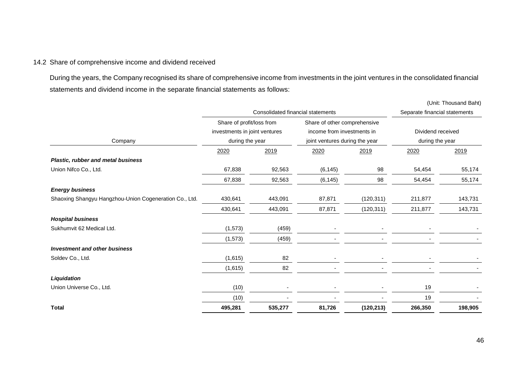## 14.2 Share of comprehensive income and dividend received

During the years, the Company recognised its share of comprehensive income from investments in the joint ventures in the consolidated financial statements and dividend income in the separate financial statements as follows:

|          |         |                                                                               |                                          |                                                                                              | (Unit: Thousand Baht)                              |  |
|----------|---------|-------------------------------------------------------------------------------|------------------------------------------|----------------------------------------------------------------------------------------------|----------------------------------------------------|--|
|          |         |                                                                               |                                          |                                                                                              |                                                    |  |
|          |         |                                                                               |                                          |                                                                                              |                                                    |  |
|          |         |                                                                               |                                          |                                                                                              |                                                    |  |
|          |         |                                                                               |                                          | during the year                                                                              |                                                    |  |
| 2020     | 2019    | 2020                                                                          | 2019                                     | 2020                                                                                         | 2019                                               |  |
|          |         |                                                                               |                                          |                                                                                              |                                                    |  |
| 67,838   | 92,563  | (6, 145)                                                                      | 98                                       | 54,454                                                                                       | 55,174                                             |  |
| 67,838   | 92,563  | (6, 145)                                                                      | 98                                       | 54,454                                                                                       | 55,174                                             |  |
|          |         |                                                                               |                                          |                                                                                              |                                                    |  |
| 430,641  | 443,091 | 87,871                                                                        | (120, 311)                               | 211,877                                                                                      | 143,731                                            |  |
| 430,641  | 443,091 | 87,871                                                                        | (120, 311)                               | 211,877                                                                                      | 143,731                                            |  |
|          |         |                                                                               |                                          |                                                                                              |                                                    |  |
| (1, 573) | (459)   |                                                                               |                                          |                                                                                              |                                                    |  |
| (1, 573) | (459)   |                                                                               |                                          |                                                                                              |                                                    |  |
|          |         |                                                                               |                                          |                                                                                              |                                                    |  |
| (1,615)  | 82      |                                                                               |                                          |                                                                                              |                                                    |  |
| (1,615)  | 82      |                                                                               |                                          |                                                                                              |                                                    |  |
|          |         |                                                                               |                                          |                                                                                              |                                                    |  |
| (10)     |         |                                                                               |                                          | 19                                                                                           |                                                    |  |
| (10)     |         |                                                                               |                                          | 19                                                                                           |                                                    |  |
| 495,281  | 535,277 | 81,726                                                                        | (120, 213)                               | 266,350                                                                                      | 198,905                                            |  |
|          |         | Share of profit/loss from<br>investments in joint ventures<br>during the year | <b>Consolidated financial statements</b> | Share of other comprehensive<br>income from investments in<br>joint ventures during the year | Separate financial statements<br>Dividend received |  |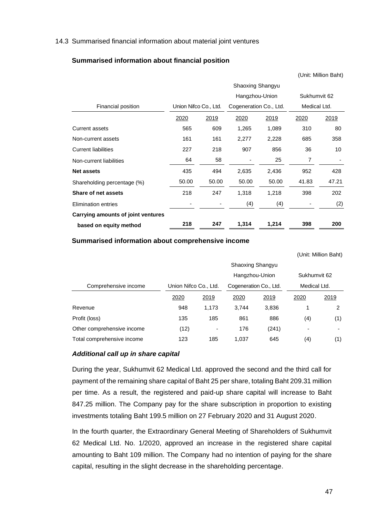#### 14.3 Summarised financial information about material joint ventures

#### **Summarised information about financial position**

|                                    |                       |       |                        |       | (Unit: Million Baht) |       |  |  |
|------------------------------------|-----------------------|-------|------------------------|-------|----------------------|-------|--|--|
|                                    |                       |       | Shaoxing Shangyu       |       |                      |       |  |  |
|                                    |                       |       | Hangzhou-Union         |       | Sukhumvit 62         |       |  |  |
| Financial position                 | Union Nifco Co., Ltd. |       | Cogeneration Co., Ltd. |       | Medical Ltd.         |       |  |  |
|                                    | 2020                  | 2019  | 2020                   | 2019  | 2020                 | 2019  |  |  |
| <b>Current assets</b>              | 565                   | 609   | 1,265                  | 1,089 | 310                  | 80    |  |  |
| Non-current assets                 | 161                   | 161   | 2,277                  | 2,228 | 685                  | 358   |  |  |
| <b>Current liabilities</b>         | 227                   | 218   | 907                    | 856   | 36                   | 10    |  |  |
| Non-current liabilities            | 64                    | 58    |                        | 25    | $\overline{7}$       |       |  |  |
| <b>Net assets</b>                  | 435                   | 494   | 2,635                  | 2,436 | 952                  | 428   |  |  |
| Shareholding percentage (%)        | 50.00                 | 50.00 | 50.00                  | 50.00 | 41.83                | 47.21 |  |  |
| <b>Share of net assets</b>         | 218                   | 247   | 1,318                  | 1,218 | 398                  | 202   |  |  |
| Elimination entries                |                       |       | (4)                    | (4)   |                      | (2)   |  |  |
| Carrying amounts of joint ventures |                       |       |                        |       |                      |       |  |  |
| based on equity method             | 218                   | 247   | 1,314<br>1,214         |       | 398                  | 200   |  |  |

### **Summarised information about comprehensive income**

|                            |                       |       | Shaoxing Shangyu       |       |              |      |  |
|----------------------------|-----------------------|-------|------------------------|-------|--------------|------|--|
|                            |                       |       | Hangzhou-Union         |       | Sukhumvit 62 |      |  |
| Comprehensive income       | Union Nifco Co., Ltd. |       | Cogeneration Co., Ltd. |       | Medical Ltd. |      |  |
|                            | 2020                  | 2019  | 2020                   | 2019  | 2020         | 2019 |  |
| Revenue                    | 948                   | 1.173 | 3.744                  | 3,836 |              | 2    |  |
| Profit (loss)              | 135                   | 185   | 861                    | 886   | (4)          | (1)  |  |
| Other comprehensive income | (12)                  | ۰     | 176                    | (241) |              |      |  |
| Total comprehensive income | 123                   | 185   | 1.037                  | 645   | (4)          | (1)  |  |

#### *Additional call up in share capital*

During the year, Sukhumvit 62 Medical Ltd. approved the second and the third call for payment of the remaining share capital of Baht 25 per share, totaling Baht 209.31 million per time. As a result, the registered and paid-up share capital will increase to Baht 847.25 million. The Company pay for the share subscription in proportion to existing investments totaling Baht 199.5 million on 27 February 2020 and 31 August 2020.

In the fourth quarter, the Extraordinary General Meeting of Shareholders of Sukhumvit 62 Medical Ltd. No. 1/2020, approved an increase in the registered share capital amounting to Baht 109 million. The Company had no intention of paying for the share capital, resulting in the slight decrease in the shareholding percentage.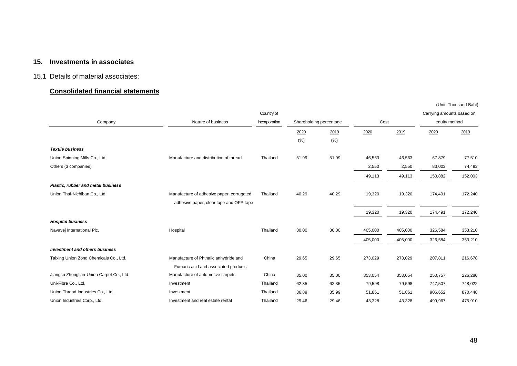#### **15. Investments in associates**

#### 15.1 Details of material associates:

#### **Consolidated financial statements**

#### Company Company Nature of business Country of incorporation Shareholding percentage Cost Carrying amounts based on equity method 2020 2019 2020 2019 2020 2019  $(%)$  (%) *Textile business* Union Spinning Mills Co., Ltd. Co., Ltd. Manufacture and distribution of thread Thailand 51.99 51.99 46,563 46,563 67,879 77,510 Others (3 companies) 2,550 2,550 83,003 74,493 49,113 49,113 150,882 152,003 *Plastic, rubber and metal business* Union Thai-Nichiban Co., Ltd. Manufacture of adhesive paper, corrugated adhesive paper, clear tape and OPP tape Thailand 40.29 40.29 19,320 19,320 174,491 172,240 19,320 19,320 174,491 172,240 *Hospital business* Navavej International Plc. Hospital Thailand 30.00 405,000 405,000 326,584 353,210 405,000 405,000 326,584 353,210 *Investment and others business* Taixing Union Zond Chemicals Co., Ltd. Manufacture of Phthalic anhydride and Fumaric acid and associated products China 29.65 29.65 273,029 273,029 207,811 216,678 Jiangsu Zhonglian-Union Carpet Co., Ltd. **Manufacture of automotive carpets** China 35.00 35.00 353,054 353,054 250,757 226,280 Uni-Fibre Co., Ltd. Investment Thailand 62.35 62.35 79,598 79,598 747,507 748,022 Union Thread Industries Co., Ltd. Investment Thailand 36.89 35.99 51,861 51,861 906,652 870,448 Union Industries Corp., Ltd. **Investment and real estate rental** Thailand 29.46 29.46 43,328 43,328 499,967 475,910

48

(Unit: Thousand Baht)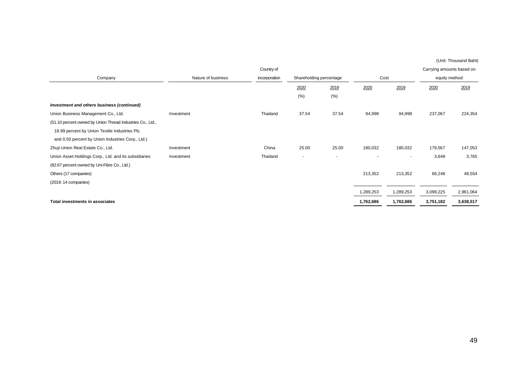|                                                            |                    | Country of    |                          |       |           |                          | Carrying amounts based on |           |
|------------------------------------------------------------|--------------------|---------------|--------------------------|-------|-----------|--------------------------|---------------------------|-----------|
| Company                                                    | Nature of business | incorporation | Shareholding percentage  |       | Cost      |                          | equity method             |           |
|                                                            |                    |               | 2020                     | 2019  | 2020      | 2019                     | 2020                      | 2019      |
|                                                            |                    |               | (% )                     | (% )  |           |                          |                           |           |
| Investment and others business (continued)                 |                    |               |                          |       |           |                          |                           |           |
| Union Business Management Co., Ltd.                        | Investment         | Thailand      | 37.54                    | 37.54 | 94,999    | 94,999                   | 237,067                   | 224,354   |
| (51.10 percent owned by Union Thread Industries Co., Ltd., |                    |               |                          |       |           |                          |                           |           |
| 18.99 percent by Union Textile Industries Plc.             |                    |               |                          |       |           |                          |                           |           |
| and 0.50 percent by Union Industries Corp., Ltd.)          |                    |               |                          |       |           |                          |                           |           |
| Zhuji-Union Real Estate Co., Ltd.                          | Investment         | China         | 25.00                    | 25.00 | 180,032   | 180,032                  | 179,567                   | 147,053   |
| Union Asset Holdings Corp., Ltd. and its subsidiaries      | Investment         | Thailand      | $\overline{\phantom{a}}$ |       |           | $\overline{\phantom{a}}$ | 3,649                     | 3,765     |
| (82.67 percent owned by Uni-Fibre Co., Ltd.)               |                    |               |                          |       |           |                          |                           |           |
| Others (17 companies)                                      |                    |               |                          |       | 213,352   | 213,352                  | 66,248                    | 48,554    |
| (2019: 14 companies)                                       |                    |               |                          |       |           |                          |                           |           |
|                                                            |                    |               |                          |       | 1,289,253 | 1,289,253                | 3,099,225                 | 2,961,064 |
| <b>Total investments in associates</b>                     |                    |               |                          |       | 1,762,686 | 1,762,686                | 3,751,182                 | 3,638,517 |

(Unit: Thousand Baht)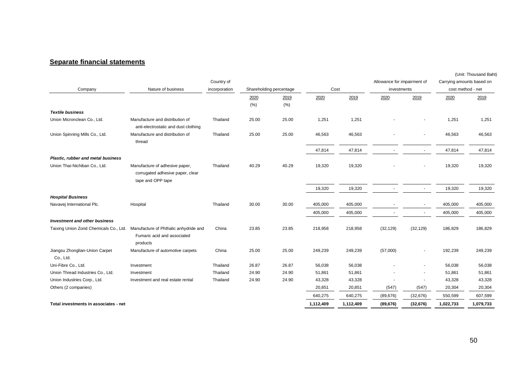## **Separate financial statements**

|                                        |                                       |               |                         |       |           |           |                             |                          |                           | (Unit: Thousand Baht) |
|----------------------------------------|---------------------------------------|---------------|-------------------------|-------|-----------|-----------|-----------------------------|--------------------------|---------------------------|-----------------------|
|                                        |                                       | Country of    |                         |       |           |           | Allowance for impairment of |                          | Carrying amounts based on |                       |
| Company                                | Nature of business                    | incorporation | Shareholding percentage |       | Cost      |           | investments                 |                          | cost method - net         |                       |
|                                        |                                       |               | 2020                    | 2019  | 2020      | 2019      | 2020                        | 2019                     | 2020                      | 2019                  |
|                                        |                                       |               | (%)                     | (% )  |           |           |                             |                          |                           |                       |
| <b>Textile business</b>                |                                       |               |                         |       |           |           |                             |                          |                           |                       |
| Union Micronclean Co., Ltd.            | Manufacture and distribution of       | Thailand      | 25.00                   | 25.00 | 1,251     | 1,251     |                             |                          | 1,251                     | 1,251                 |
|                                        | anti-electrostatic and dust clothing  |               |                         |       |           |           |                             |                          |                           |                       |
| Union Spinning Mills Co., Ltd.         | Manufacture and distribution of       | Thailand      | 25.00                   | 25.00 | 46,563    | 46,563    |                             |                          | 46,563                    | 46,563                |
|                                        | thread                                |               |                         |       |           |           |                             |                          |                           |                       |
|                                        |                                       |               |                         |       | 47,814    | 47,814    |                             |                          | 47,814                    | 47,814                |
| Plastic, rubber and metal business     |                                       |               |                         |       |           |           |                             |                          |                           |                       |
| Union Thai-Nichiban Co., Ltd.          | Manufacture of adhesive paper,        | Thailand      | 40.29                   | 40.29 | 19,320    | 19,320    |                             |                          | 19,320                    | 19,320                |
|                                        | corrugated adhesive paper, clear      |               |                         |       |           |           |                             |                          |                           |                       |
|                                        | tape and OPP tape                     |               |                         |       |           |           |                             |                          |                           |                       |
|                                        |                                       |               |                         |       | 19,320    | 19,320    |                             |                          | 19,320                    | 19,320                |
| <b>Hospital Business</b>               |                                       |               |                         |       |           |           |                             |                          |                           |                       |
| Navavej International Plc.             | Hospital                              | Thailand      | 30.00                   | 30.00 | 405,000   | 405,000   |                             | $\blacksquare$           | 405,000                   | 405,000               |
|                                        |                                       |               |                         |       | 405,000   | 405,000   |                             | $\blacksquare$           | 405,000                   | 405,000               |
| Investment and other business          |                                       |               |                         |       |           |           |                             |                          |                           |                       |
| Taixing Union Zond Chemicals Co., Ltd. | Manufacture of Phthalic anhydride and | China         | 23.85                   | 23.85 | 218,958   | 218,958   | (32, 129)                   | (32, 129)                | 186,829                   | 186,829               |
|                                        | Fumaric acid and associated           |               |                         |       |           |           |                             |                          |                           |                       |
|                                        | products                              |               |                         |       |           |           |                             |                          |                           |                       |
| Jiangsu Zhonglian-Union Carpet         | Manufacture of automotive carpets     | China         | 25.00                   | 25.00 | 249,239   | 249,239   | (57,000)                    | $\overline{\phantom{a}}$ | 192,239                   | 249,239               |
| Co., Ltd.                              |                                       |               |                         |       |           |           |                             |                          |                           |                       |
| Uni-Fibre Co., Ltd.                    | Investment                            | Thailand      | 26.87                   | 26.87 | 56,038    | 56,038    |                             | $\overline{\phantom{a}}$ | 56,038                    | 56,038                |
| Union Thread Industries Co., Ltd.      | Investment                            | Thailand      | 24.90                   | 24.90 | 51,861    | 51,861    |                             | $\overline{\phantom{a}}$ | 51,861                    | 51,861                |
| Union Industries Corp., Ltd.           | Investment and real estate rental     | Thailand      | 24.90                   | 24.90 | 43,328    | 43,328    |                             | $\blacksquare$           | 43,328                    | 43,328                |
| Others (2 companies)                   |                                       |               |                         |       | 20,851    | 20,851    | (547)                       | (547)                    | 20,304                    | 20,304                |
|                                        |                                       |               |                         |       | 640,275   | 640,275   | (89, 676)                   | (32, 676)                | 550,599                   | 607,599               |
| Total investments in associates - net  |                                       |               |                         |       | 1,112,409 | 1,112,409 | (89, 676)                   | (32, 676)                | 1,022,733                 | 1,079,733             |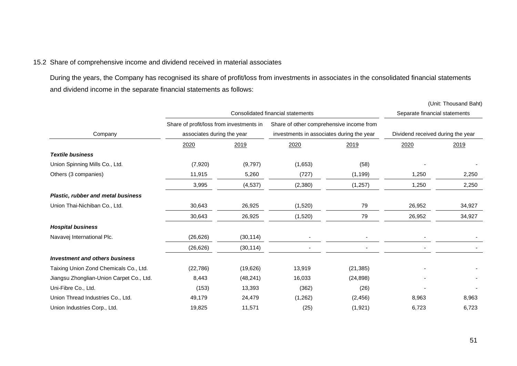## 15.2 Share of comprehensive income and dividend received in material associates

During the years, the Company has recognised its share of profit/loss from investments in associates in the consolidated financial statements and dividend income in the separate financial statements as follows:

|                                          |                                          |                                   |                                           |           |                                   | (Unit: Thousand Baht) |
|------------------------------------------|------------------------------------------|-----------------------------------|-------------------------------------------|-----------|-----------------------------------|-----------------------|
|                                          |                                          | Consolidated financial statements | Separate financial statements             |           |                                   |                       |
|                                          | Share of profit/loss from investments in |                                   | Share of other comprehensive income from  |           |                                   |                       |
| Company                                  | associates during the year               |                                   | investments in associates during the year |           | Dividend received during the year |                       |
|                                          | 2020                                     | 2019                              | 2020                                      | 2019      | 2020                              | 2019                  |
| <b>Textile business</b>                  |                                          |                                   |                                           |           |                                   |                       |
| Union Spinning Mills Co., Ltd.           | (7,920)                                  | (9,797)                           | (1,653)                                   | (58)      |                                   |                       |
| Others (3 companies)                     | 11,915                                   | 5,260                             | (727)                                     | (1, 199)  | 1,250                             | 2,250                 |
|                                          | 3,995                                    | (4, 537)                          | (2,380)                                   | (1, 257)  | 1,250                             | 2,250                 |
| Plastic, rubber and metal business       |                                          |                                   |                                           |           |                                   |                       |
| Union Thai-Nichiban Co., Ltd.            | 30,643                                   | 26,925                            | (1,520)                                   | 79        | 26,952                            | 34,927                |
|                                          | 30,643                                   | 26,925                            | (1,520)<br>79                             |           | 26,952                            | 34,927                |
| <b>Hospital business</b>                 |                                          |                                   |                                           |           |                                   |                       |
| Navavej International Plc.               | (26, 626)                                | (30, 114)                         |                                           |           |                                   |                       |
|                                          | (26, 626)                                | (30, 114)                         | $\overline{\phantom{0}}$                  |           |                                   |                       |
| <b>Investment and others business</b>    |                                          |                                   |                                           |           |                                   |                       |
| Taixing Union Zond Chemicals Co., Ltd.   | (22, 786)                                | (19,626)                          | 13,919                                    | (21, 385) |                                   |                       |
| Jiangsu Zhonglian-Union Carpet Co., Ltd. | 8,443                                    | (48, 241)                         | 16,033                                    | (24, 898) |                                   |                       |
| Uni-Fibre Co., Ltd.                      | (153)                                    | 13,393                            | (362)                                     | (26)      |                                   |                       |
| Union Thread Industries Co., Ltd.        | 49,179                                   | 24,479                            | (1,262)                                   | (2, 456)  | 8,963                             | 8,963                 |
| Union Industries Corp., Ltd.             | 19,825                                   | 11,571                            | (25)                                      | (1, 921)  | 6,723                             | 6,723                 |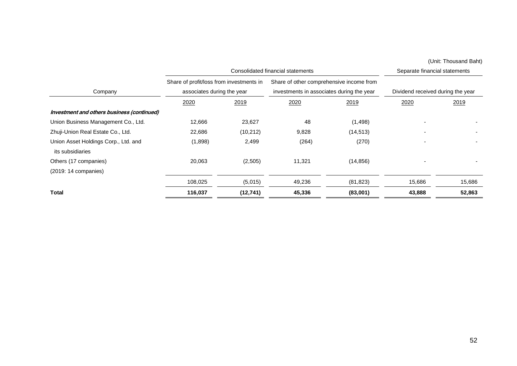#### (Unit: Thousand Baht)

|         |           | Separate financial statements                                                  |                                           |                                                                                               |                                           |  |
|---------|-----------|--------------------------------------------------------------------------------|-------------------------------------------|-----------------------------------------------------------------------------------------------|-------------------------------------------|--|
|         |           |                                                                                |                                           |                                                                                               |                                           |  |
|         |           |                                                                                |                                           |                                                                                               |                                           |  |
|         |           |                                                                                |                                           |                                                                                               | 2019                                      |  |
|         |           |                                                                                |                                           |                                                                                               |                                           |  |
| 12,666  | 23,627    | 48                                                                             | (1, 498)                                  |                                                                                               |                                           |  |
| 22,686  | (10,212)  | 9,828                                                                          | (14, 513)                                 |                                                                                               |                                           |  |
| (1,898) | 2,499     | (264)                                                                          | (270)                                     |                                                                                               |                                           |  |
| 20,063  | (2,505)   | 11,321                                                                         | (14, 856)                                 |                                                                                               |                                           |  |
|         |           |                                                                                |                                           |                                                                                               |                                           |  |
| 108,025 | (5,015)   | 49,236                                                                         | (81, 823)                                 | 15,686                                                                                        | 15,686                                    |  |
| 116,037 | (12, 741) | 45,336                                                                         | (83,001)                                  | 43,888                                                                                        | 52,863                                    |  |
|         | 2020      | Share of profit/loss from investments in<br>associates during the year<br>2019 | Consolidated financial statements<br>2020 | Share of other comprehensive income from<br>investments in associates during the year<br>2019 | Dividend received during the year<br>2020 |  |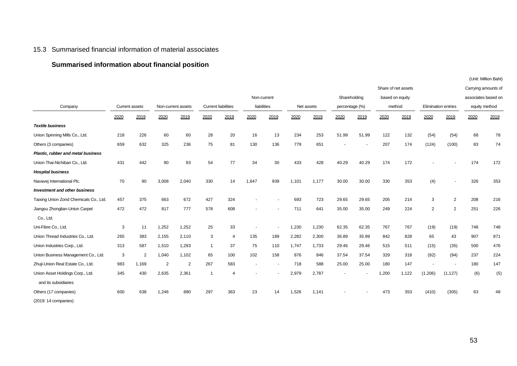## 15.3 Summarised financial information of material associates

# **Summarised information about financial position**

|                                        |      |                       |                |                    |              |                            |                |                |       |            |              |                |       |                     |              |                            |                     | (Unit: Million Baht) |  |
|----------------------------------------|------|-----------------------|----------------|--------------------|--------------|----------------------------|----------------|----------------|-------|------------|--------------|----------------|-------|---------------------|--------------|----------------------------|---------------------|----------------------|--|
|                                        |      |                       |                |                    |              |                            |                |                |       |            |              |                |       | Share of net assets |              |                            | Carrying amounts of |                      |  |
|                                        |      |                       |                |                    |              |                            | Non-current    |                |       |            | Shareholding |                |       | based on equity     |              |                            | associates based on |                      |  |
| Company                                |      | <b>Current assets</b> |                | Non-current assets |              | <b>Current liabilities</b> |                | liabilities    |       | Net assets |              | percentage (%) |       | method              |              | <b>Elimination entries</b> |                     | equity method        |  |
|                                        | 2020 | 2019                  | 2020           | 2019               | 2020         | 2019                       | 2020           | 2019           | 2020  | 2019       | 2020         | 2019           | 2020  | 2019                | 2020         | 2019                       | 2020                | 2019                 |  |
| <b>Textile business</b>                |      |                       |                |                    |              |                            |                |                |       |            |              |                |       |                     |              |                            |                     |                      |  |
| Union Spinning Mills Co., Ltd.         | 218  | 226                   | 60             | 60                 | 28           | 20                         | 16             | 13             | 234   | 253        | 51.99        | 51.99          | 122   | 132                 | (54)         | (54)                       | 68                  | 78                   |  |
| Others (3 companies)                   | 659  | 632                   | 325            | 236                | 75           | 81                         | 130            | 136            | 779   | 651        |              |                | 207   | 174                 | (124)        | (100)                      | 83                  | 74                   |  |
| Plastic, rubber and metal business     |      |                       |                |                    |              |                            |                |                |       |            |              |                |       |                     |              |                            |                     |                      |  |
| Union Thai-Nichiban Co., Ltd.          | 431  | 442                   | 90             | 93                 | 54           | 77                         | 34             | 30             | 433   | 428        | 40.29        | 40.29          | 174   | 172                 |              |                            | 174                 | 172                  |  |
| <b>Hospital business</b>               |      |                       |                |                    |              |                            |                |                |       |            |              |                |       |                     |              |                            |                     |                      |  |
| Navavej International Plc.             | 70   | 90                    | 3,008          | 2,040              | 330          | 14                         | 1,647          | 939            | 1,101 | 1,177      | 30.00        | 30.00          | 330   | 353                 | (4)          |                            | 326                 | 353                  |  |
| <b>Investment and other business</b>   |      |                       |                |                    |              |                            |                |                |       |            |              |                |       |                     |              |                            |                     |                      |  |
| Taixing Union Zond Chemicals Co., Ltd. | 457  | 375                   | 663            | 672                | 427          | 324                        |                |                | 693   | 723        | 29.65        | 29.65          | 205   | 214                 | 3            | 2                          | 208                 | 216                  |  |
| Jiangsu Zhonglian-Union Carpet         | 472  | 472                   | 817            | 777                | 578          | 608                        |                |                | 711   | 641        | 35.00        | 35.00          | 249   | 224                 | $\mathbf{2}$ | 2                          | 251                 | 226                  |  |
| Co., Ltd.                              |      |                       |                |                    |              |                            |                |                |       |            |              |                |       |                     |              |                            |                     |                      |  |
| Uni-Fibre Co., Ltd.                    | 3    | 11                    | 1,252          | 1,252              | 25           | 33                         |                | $\blacksquare$ | 1,230 | 1,230      | 62.35        | 62.35          | 767   | 767                 | (19)         | (19)                       | 748                 | 748                  |  |
| Union Thread Industries Co., Ltd.      | 265  | 383                   | 2,155          | 2,110              | 3            | $\overline{4}$             | 135            | 189            | 2,282 | 2,300      | 36.89        | 35.99          | 842   | 828                 | 65           | 43                         | 907                 | 871                  |  |
| Union Industries Corp., Ltd.           | 313  | 587                   | 1,510          | 1,293              | $\mathbf{1}$ | 37                         | 75             | 110            | 1,747 | 1,733      | 29.46        | 29.46          | 515   | 511                 | (15)         | (35)                       | 500                 | 476                  |  |
| Union Business Management Co., Ltd.    | 3    | $\overline{2}$        | 1,040          | 1,102              | 65           | 100                        | 102            | 158            | 876   | 846        | 37.54        | 37.54          | 329   | 318                 | (92)         | (94)                       | 237                 | 224                  |  |
| Zhuji-Union Real Estate Co., Ltd.      | 983  | 1,169                 | $\overline{2}$ | $\overline{2}$     | 267          | 583                        | $\blacksquare$ |                | 718   | 588        | 25.00        | 25.00          | 180   | 147                 |              |                            | 180                 | 147                  |  |
| Union Asset Holdings Corp., Ltd.       | 345  | 430                   | 2,635          | 2,361              | -1           |                            |                |                | 2,979 | 2,787      |              |                | 1,200 | 1,122               | (1,206)      | (1, 127)                   | (6)                 | (5)                  |  |
| and its subsidiaries                   |      |                       |                |                    |              |                            |                |                |       |            |              |                |       |                     |              |                            |                     |                      |  |
| Others (17 companies)                  | 600  | 638                   | 1,246          | 880                | 297          | 363                        | 23             | 14             | 1,526 | 1,141      |              |                | 473   | 353                 | (410)        | (305)                      | 63                  | 48                   |  |
| (2019: 14 companies)                   |      |                       |                |                    |              |                            |                |                |       |            |              |                |       |                     |              |                            |                     |                      |  |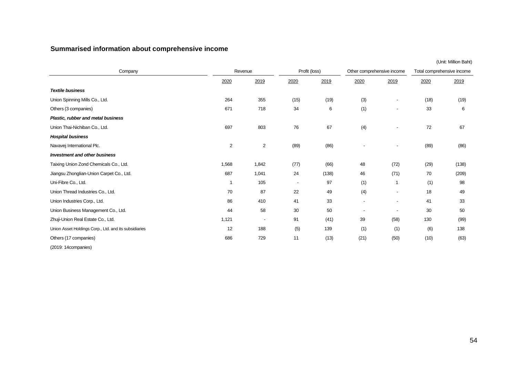## **Summarised information about comprehensive income**

|                                                       |                |                |                          |               |                            |      |                            | (Unit: Million Baht) |
|-------------------------------------------------------|----------------|----------------|--------------------------|---------------|----------------------------|------|----------------------------|----------------------|
| Company                                               |                | Revenue        |                          | Profit (loss) | Other comprehensive income |      | Total comprehensive income |                      |
|                                                       | 2020           | 2019           | 2020                     | 2019          | 2020                       | 2019 | 2020                       | 2019                 |
| <b>Textile business</b>                               |                |                |                          |               |                            |      |                            |                      |
| Union Spinning Mills Co., Ltd.                        | 264            | 355            | (15)                     | (19)          | (3)                        |      | (18)                       | (19)                 |
| Others (3 companies)                                  | 671            | 718            | 34                       | 6             | (1)                        |      | 33                         | 6                    |
| Plastic, rubber and metal business                    |                |                |                          |               |                            |      |                            |                      |
| Union Thai-Nichiban Co., Ltd.                         | 697            | 803            | 76                       | 67            | (4)                        |      | 72                         | 67                   |
| <b>Hospital business</b>                              |                |                |                          |               |                            |      |                            |                      |
| Navavej International Plc.                            | $\overline{2}$ | $\overline{2}$ | (89)                     | (86)          |                            |      | (89)                       | (86)                 |
| <b>Investment and other business</b>                  |                |                |                          |               |                            |      |                            |                      |
| Taixing Union Zond Chemicals Co., Ltd.                | 1,568          | 1,842          | (77)                     | (66)          | 48                         | (72) | (29)                       | (138)                |
| Jiangsu Zhonglian-Union Carpet Co., Ltd.              | 687            | 1,041          | 24                       | (138)         | 46                         | (71) | 70                         | (209)                |
| Uni-Fibre Co., Ltd.                                   | $\mathbf{1}$   | 105            | $\overline{\phantom{a}}$ | 97            | (1)                        | -1   | (1)                        | 98                   |
| Union Thread Industries Co., Ltd.                     | 70             | 87             | 22                       | 49            | (4)                        |      | 18                         | 49                   |
| Union Industries Corp., Ltd.                          | 86             | 410            | 41                       | 33            | $\overline{\phantom{a}}$   |      | 41                         | 33                   |
| Union Business Management Co., Ltd.                   | 44             | 58             | 30                       | 50            | $\overline{\phantom{a}}$   | ÷,   | 30                         | 50                   |
| Zhuji-Union Real Estate Co., Ltd.                     | 1,121          |                | 91                       | (41)          | 39                         | (58) | 130                        | (99)                 |
| Union Asset Holdings Corp., Ltd. and its subsidiaries | 12             | 188            | (5)                      | 139           | (1)                        | (1)  | (6)                        | 138                  |
| Others (17 companies)                                 | 686            | 729            | 11                       | (13)          | (21)                       | (50) | (10)                       | (63)                 |
| (2019: 14companies)                                   |                |                |                          |               |                            |      |                            |                      |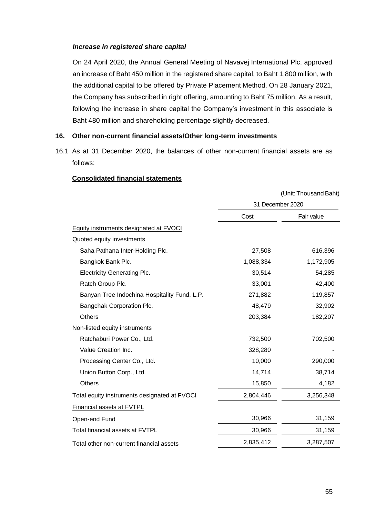### *Increase in registered share capital*

On 24 April 2020, the Annual General Meeting of Navavej International Plc. approved an increase of Baht 450 million in the registered share capital, to Baht 1,800 million, with the additional capital to be offered by Private Placement Method. On 28 January 2021, the Company has subscribed in right offering, amounting to Baht 75 million. As a result, following the increase in share capital the Company's investment in this associate is Baht 480 million and shareholding percentage slightly decreased.

## **16. Other non-current financial assets/Other long-term investments**

16.1 As at 31 December 2020, the balances of other non-current financial assets are as follows:

## **Consolidated financial statements**

|                                              |                  | (Unit: Thousand Baht) |
|----------------------------------------------|------------------|-----------------------|
|                                              | 31 December 2020 |                       |
|                                              | Cost             | Fair value            |
| Equity instruments designated at FVOCI       |                  |                       |
| Quoted equity investments                    |                  |                       |
| Saha Pathana Inter-Holding Plc.              | 27,508           | 616,396               |
| Bangkok Bank Plc.                            | 1,088,334        | 1,172,905             |
| <b>Electricity Generating Plc.</b>           | 30,514           | 54,285                |
| Ratch Group Plc.                             | 33,001           | 42,400                |
| Banyan Tree Indochina Hospitality Fund, L.P. | 271,882          | 119,857               |
| Bangchak Corporation Plc.                    | 48,479           | 32,902                |
| <b>Others</b>                                | 203,384          | 182,207               |
| Non-listed equity instruments                |                  |                       |
| Ratchaburi Power Co., Ltd.                   | 732,500          | 702,500               |
| Value Creation Inc.                          | 328,280          |                       |
| Processing Center Co., Ltd.                  | 10,000           | 290,000               |
| Union Button Corp., Ltd.                     | 14,714           | 38,714                |
| <b>Others</b>                                | 15,850           | 4,182                 |
| Total equity instruments designated at FVOCI | 2,804,446        | 3,256,348             |
| <b>Financial assets at FVTPL</b>             |                  |                       |
| Open-end Fund                                | 30,966           | 31,159                |
| Total financial assets at FVTPL              | 30,966           | 31,159                |
| Total other non-current financial assets     | 2,835,412        | 3,287,507             |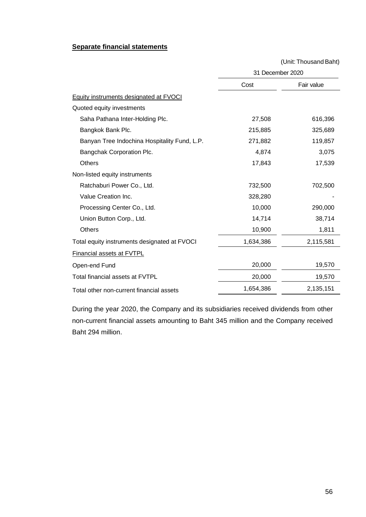## **Separate financial statements**

|                                               |                  | (Unit: Thousand Baht) |
|-----------------------------------------------|------------------|-----------------------|
|                                               | 31 December 2020 |                       |
|                                               | Cost             | Fair value            |
| <b>Equity instruments designated at FVOCI</b> |                  |                       |
| Quoted equity investments                     |                  |                       |
| Saha Pathana Inter-Holding Plc.               | 27,508           | 616,396               |
| Bangkok Bank Plc.                             | 215,885          | 325,689               |
| Banyan Tree Indochina Hospitality Fund, L.P.  | 271,882          | 119,857               |
| Bangchak Corporation Plc.                     | 4,874            | 3,075                 |
| <b>Others</b>                                 | 17,843           | 17,539                |
| Non-listed equity instruments                 |                  |                       |
| Ratchaburi Power Co., Ltd.                    | 732,500          | 702,500               |
| Value Creation Inc.                           | 328,280          |                       |
| Processing Center Co., Ltd.                   | 10,000           | 290,000               |
| Union Button Corp., Ltd.                      | 14,714           | 38,714                |
| <b>Others</b>                                 | 10,900           | 1,811                 |
| Total equity instruments designated at FVOCI  | 1,634,386        | 2,115,581             |
| <b>Financial assets at FVTPL</b>              |                  |                       |
| Open-end Fund                                 | 20,000           | 19,570                |
| Total financial assets at FVTPL               | 20,000           | 19,570                |
| Total other non-current financial assets      | 1,654,386        | 2,135,151             |

During the year 2020, the Company and its subsidiaries received dividends from other non-current financial assets amounting to Baht 345 million and the Company received Baht 294 million.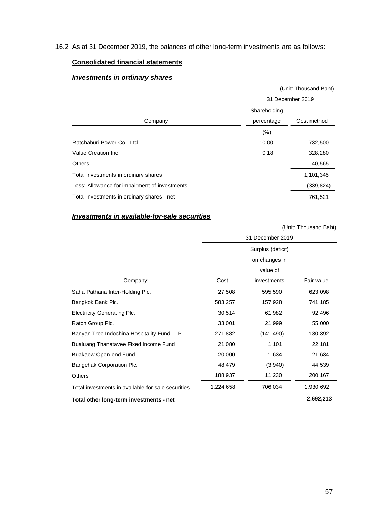## 16.2 As at 31 December 2019, the balances of other long-term investments are as follows:

## **Consolidated financial statements**

## *Investments in ordinary shares*

|                                               |              | (Unit: Thousand Baht) |
|-----------------------------------------------|--------------|-----------------------|
|                                               |              | 31 December 2019      |
|                                               | Shareholding |                       |
| Company                                       | percentage   | Cost method           |
|                                               | (% )         |                       |
| Ratchaburi Power Co., Ltd.                    | 10.00        | 732,500               |
| Value Creation Inc.                           | 0.18         | 328,280               |
| <b>Others</b>                                 |              | 40,565                |
| Total investments in ordinary shares          |              | 1,101,345             |
| Less: Allowance for impairment of investments |              | (339, 824)            |
| Total investments in ordinary shares - net    |              | 761,521               |
|                                               |              |                       |

## *Investments in available-for-sale securities*

|                                                    | 31 December 2019 |                   |            |  |
|----------------------------------------------------|------------------|-------------------|------------|--|
|                                                    |                  | Surplus (deficit) |            |  |
|                                                    |                  | on changes in     |            |  |
|                                                    |                  | value of          |            |  |
| Company                                            | Cost             | investments       | Fair value |  |
| Saha Pathana Inter-Holding Plc.                    | 27,508           | 595,590           | 623,098    |  |
| Bangkok Bank Plc.                                  | 583,257          | 157,928           | 741,185    |  |
| <b>Electricity Generating Plc.</b>                 | 30,514           | 61,982            | 92,496     |  |
| Ratch Group Plc.                                   | 33,001           | 21,999            | 55,000     |  |
| Banyan Tree Indochina Hospitality Fund, L.P.       | 271,882          | (141, 490)        | 130,392    |  |
| Bualuang Thanatavee Fixed Income Fund              | 21,080           | 1,101             | 22,181     |  |
| <b>Buakaew Open-end Fund</b>                       | 20,000           | 1,634             | 21,634     |  |
| Bangchak Corporation Plc.                          | 48,479           | (3,940)           | 44,539     |  |
| <b>Others</b>                                      | 188,937          | 11,230            | 200,167    |  |
| Total investments in available-for-sale securities | 1,224,658        | 706,034           | 1,930,692  |  |
| Total other long-term investments - net            |                  |                   | 2,692,213  |  |

### (Unit: Thousand Baht)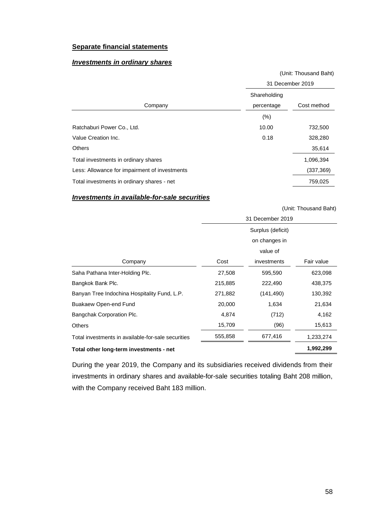## **Separate financial statements**

#### *Investments in ordinary shares*

|                                               |                  | (Unit: Thousand Baht) |
|-----------------------------------------------|------------------|-----------------------|
|                                               | 31 December 2019 |                       |
|                                               | Shareholding     |                       |
| Company                                       | percentage       | Cost method           |
|                                               | (% )             |                       |
| Ratchaburi Power Co., Ltd.                    | 10.00            | 732,500               |
| Value Creation Inc.                           | 0.18             | 328,280               |
| <b>Others</b>                                 |                  | 35,614                |
| Total investments in ordinary shares          |                  | 1,096,394             |
| Less: Allowance for impairment of investments |                  | (337, 369)            |
| Total investments in ordinary shares - net    |                  | 759,025               |
|                                               |                  |                       |

#### *Investments in available-for-sale securities*

|                                                    |               |                   | (Unit: Thousand Baht) |  |  |
|----------------------------------------------------|---------------|-------------------|-----------------------|--|--|
|                                                    |               | 31 December 2019  |                       |  |  |
|                                                    |               | Surplus (deficit) |                       |  |  |
|                                                    | on changes in |                   |                       |  |  |
|                                                    |               | value of          |                       |  |  |
| Company                                            | Cost          | investments       | Fair value            |  |  |
| Saha Pathana Inter-Holding Plc.                    | 27,508        | 595,590           | 623,098               |  |  |
| Bangkok Bank Plc.                                  | 215,885       | 222,490           | 438,375               |  |  |
| Banyan Tree Indochina Hospitality Fund, L.P.       | 271,882       | (141, 490)        | 130,392               |  |  |
| <b>Buakaew Open-end Fund</b>                       | 20,000        | 1,634             | 21,634                |  |  |
| Bangchak Corporation Plc.                          | 4,874         | (712)             | 4,162                 |  |  |
| Others                                             | 15,709        | (96)              | 15,613                |  |  |
| Total investments in available-for-sale securities | 555,858       | 677,416           | 1,233,274             |  |  |
| Total other long-term investments - net            |               |                   | 1,992,299             |  |  |

During the year 2019, the Company and its subsidiaries received dividends from their investments in ordinary shares and available-for-sale securities totaling Baht 208 million, with the Company received Baht 183 million.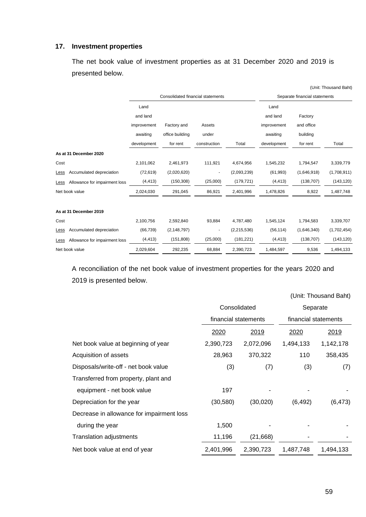## **17. Investment properties**

The net book value of investment properties as at 31 December 2020 and 2019 is presented below.

|      |                               |                                   |                 |                |             |             |                               | (Unit: Thousand Baht) |
|------|-------------------------------|-----------------------------------|-----------------|----------------|-------------|-------------|-------------------------------|-----------------------|
|      |                               | Consolidated financial statements |                 |                |             |             | Separate financial statements |                       |
|      |                               | Land                              |                 |                |             | Land        |                               |                       |
|      |                               | and land                          |                 |                |             | and land    | Factory                       |                       |
|      |                               | improvement                       | Factory and     | Assets         |             | improvement | and office                    |                       |
|      |                               | awaiting                          | office building | under          |             | awaiting    | building                      |                       |
|      |                               | development                       | for rent        | construction   | Total       | development | for rent                      | Total                 |
|      | As at 31 December 2020        |                                   |                 |                |             |             |                               |                       |
| Cost |                               | 2,101,062                         | 2,461,973       | 111,921        | 4,674,956   | 1,545,232   | 1,794,547                     | 3,339,779             |
| Less | Accumulated depreciation      | (72, 619)                         | (2,020,620)     | $\blacksquare$ | (2,093,239) | (61, 993)   | (1,646,918)                   | (1,708,911)           |
| Less | Allowance for impairment loss | (4, 413)                          | (150, 308)      | (25,000)       | (179, 721)  | (4, 413)    | (138, 707)                    | (143, 120)            |
|      | Net book value                | 2,024,030                         | 291,045         | 86,921         | 2,401,996   | 1,478,826   | 8,922                         | 1,487,748             |
|      | As at 31 December 2019        |                                   |                 |                |             |             |                               |                       |
| Cost |                               | 2,100,756                         | 2,592,840       | 93,884         | 4,787,480   | 1,545,124   | 1,794,583                     | 3,339,707             |
| Less | Accumulated depreciation      | (66, 739)                         | (2, 148, 797)   |                | (2,215,536) | (56, 114)   | (1,646,340)                   | (1,702,454)           |
| Less | Allowance for impairment loss | (4, 413)                          | (151, 808)      | (25,000)       | (181, 221)  | (4, 413)    | (138, 707)                    | (143, 120)            |
|      | Net book value                | 2,029,604                         | 292,235         | 68,884         | 2,390,723   | 1,484,597   | 9,536                         | 1,494,133             |

A reconciliation of the net book value of investment properties for the years 2020 and 2019 is presented below.

|  | (Unit: Thousand Baht) |  |
|--|-----------------------|--|
|--|-----------------------|--|

|                                           | Consolidated         |           | Separate             |           |  |
|-------------------------------------------|----------------------|-----------|----------------------|-----------|--|
|                                           | financial statements |           | financial statements |           |  |
|                                           | 2020                 | 2019      | 2020                 | 2019      |  |
| Net book value at beginning of year       | 2,390,723            | 2,072,096 | 1,494,133            | 1,142,178 |  |
| Acquisition of assets                     | 28,963               | 370,322   | 110                  | 358,435   |  |
| Disposals/write-off - net book value      | (3)                  | (7)       | (3)                  | (7)       |  |
| Transferred from property, plant and      |                      |           |                      |           |  |
| equipment - net book value                | 197                  |           |                      |           |  |
| Depreciation for the year                 | (30, 580)            | (30,020)  | (6, 492)             | (6, 473)  |  |
| Decrease in allowance for impairment loss |                      |           |                      |           |  |
| during the year                           | 1,500                |           |                      |           |  |
| <b>Translation adjustments</b>            | 11,196               | (21, 668) |                      |           |  |
| Net book value at end of year             | 2,401,996            | 2,390,723 | 1,487,748            | 1,494,133 |  |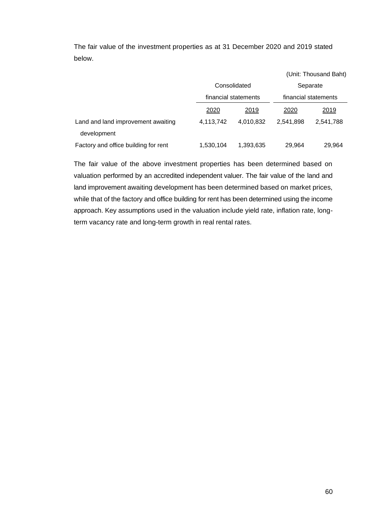The fair value of the investment properties as at 31 December 2020 and 2019 stated below.

|                                      |                      |           |                      | (Unit: Thousand Baht) |  |
|--------------------------------------|----------------------|-----------|----------------------|-----------------------|--|
|                                      | Consolidated         |           | Separate             |                       |  |
|                                      | financial statements |           | financial statements |                       |  |
|                                      | 2020                 | 2019      | <u> 2020</u>         | <u> 2019 </u>         |  |
| Land and land improvement awaiting   | 4,113,742            | 4,010,832 | 2.541.898            | 2,541,788             |  |
| development                          |                      |           |                      |                       |  |
| Factory and office building for rent | 1,530,104            | 1,393,635 | 29,964               | 29,964                |  |

The fair value of the above investment properties has been determined based on valuation performed by an accredited independent valuer. The fair value of the land and land improvement awaiting development has been determined based on market prices, while that of the factory and office building for rent has been determined using the income approach. Key assumptions used in the valuation include yield rate, inflation rate, longterm vacancy rate and long-term growth in real rental rates.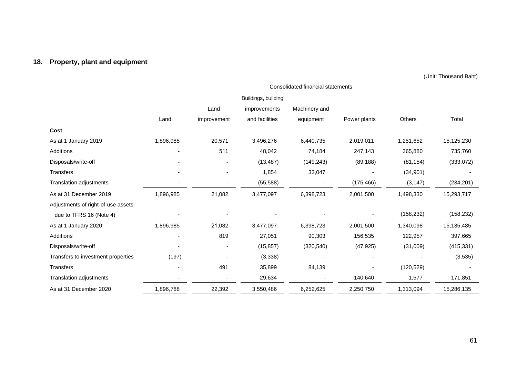# **18. Property, plant and equipment**

(Unit: Thousand Baht)

|                                    |           |             |                     | Consolidated financial statements |              |               |            |
|------------------------------------|-----------|-------------|---------------------|-----------------------------------|--------------|---------------|------------|
|                                    |           |             | Buildings, building |                                   |              |               |            |
|                                    |           | Land        | improvements        | Machinery and                     |              |               |            |
|                                    | Land      | improvement | and facilities      | equipment                         | Power plants | <b>Others</b> | Total      |
| Cost                               |           |             |                     |                                   |              |               |            |
| As at 1 January 2019               | 1,896,985 | 20,571      | 3,496,276           | 6,440,735                         | 2,019,011    | 1,251,652     | 15,125,230 |
| Additions                          |           | 511         | 48,042              | 74,184                            | 247,143      | 365,880       | 735,760    |
| Disposals/write-off                |           |             | (13, 487)           | (149, 243)                        | (89, 188)    | (81, 154)     | (333,072)  |
| Transfers                          |           |             | 1,854               | 33,047                            |              | (34, 901)     |            |
| <b>Translation adjustments</b>     |           |             | (55, 588)           |                                   | (175, 466)   | (3, 147)      | (234, 201) |
| As at 31 December 2019             | 1,896,985 | 21,082      | 3,477,097           | 6,398,723                         | 2,001,500    | 1,498,330     | 15,293,717 |
| Adjustments of right-of-use assets |           |             |                     |                                   |              |               |            |
| due to TFRS 16 (Note 4)            |           |             |                     |                                   |              | (158, 232)    | (158, 232) |
| As at 1 January 2020               | 1,896,985 | 21,082      | 3,477,097           | 6,398,723                         | 2,001,500    | 1,340,098     | 15,135,485 |
| Additions                          |           | 819         | 27,051              | 90,303                            | 156,535      | 122,957       | 397,665    |
| Disposals/write-off                |           |             | (15, 857)           | (320, 540)                        | (47, 925)    | (31,009)      | (415, 331) |
| Transfers to investment properties | (197)     |             | (3, 338)            |                                   |              |               | (3,535)    |
| Transfers                          |           | 491         | 35,899              | 84,139                            |              | (120, 529)    |            |
| Translation adjustments            |           |             | 29,634              |                                   | 140,640      | 1,577         | 171,851    |
| As at 31 December 2020             | 1,896,788 | 22,392      | 3,550,486           | 6,252,625                         | 2,250,750    | 1,313,094     | 15,286,135 |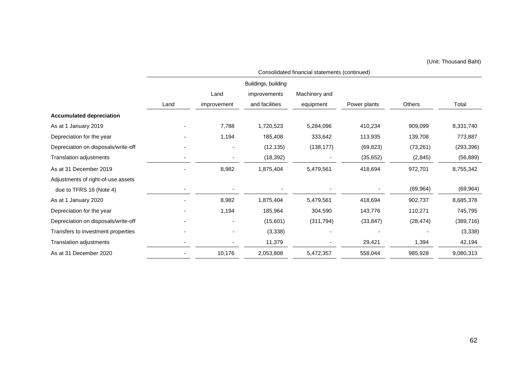|                                     | Consolidated financial statements (continued) |             |                     |               |              |           |            |
|-------------------------------------|-----------------------------------------------|-------------|---------------------|---------------|--------------|-----------|------------|
|                                     |                                               |             | Buildings, building |               |              |           |            |
|                                     |                                               | Land        | improvements        | Machinery and |              |           |            |
|                                     | Land                                          | improvement | and facilities      | equipment     | Power plants | Others    | Total      |
| <b>Accumulated depreciation</b>     |                                               |             |                     |               |              |           |            |
| As at 1 January 2019                |                                               | 7,788       | 1,720,523           | 5,284,096     | 410,234      | 909,099   | 8,331,740  |
| Depreciation for the year           |                                               | 1,194       | 185,408             | 333,642       | 113,935      | 139,708   | 773,887    |
| Depreciation on disposals/write-off |                                               |             | (12, 135)           | (138, 177)    | (69, 823)    | (73, 261) | (293, 396) |
| Translation adjustments             |                                               |             | (18, 392)           |               | (35, 652)    | (2, 845)  | (56, 889)  |
| As at 31 December 2019              |                                               | 8,982       | 1,875,404           | 5,479,561     | 418,694      | 972,701   | 8,755,342  |
| Adjustments of right-of-use assets  |                                               |             |                     |               |              |           |            |
| due to TFRS 16 (Note 4)             |                                               |             |                     |               |              | (69, 964) | (69, 964)  |
| As at 1 January 2020                |                                               | 8,982       | 1,875,404           | 5,479,561     | 418,694      | 902,737   | 8,685,378  |
| Depreciation for the year           |                                               | 1,194       | 185,964             | 304,590       | 143,776      | 110,271   | 745,795    |
| Depreciation on disposals/write-off |                                               |             | (15,601)            | (311, 794)    | (33, 847)    | (28, 474) | (389, 716) |
| Transfers to investment properties  |                                               |             | (3,338)             |               |              |           | (3,338)    |
| Translation adjustments             |                                               |             | 11,379              |               | 29,421       | 1,394     | 42,194     |
| As at 31 December 2020              |                                               | 10,176      | 2,053,808           | 5,472,357     | 558,044      | 985,928   | 9,080,313  |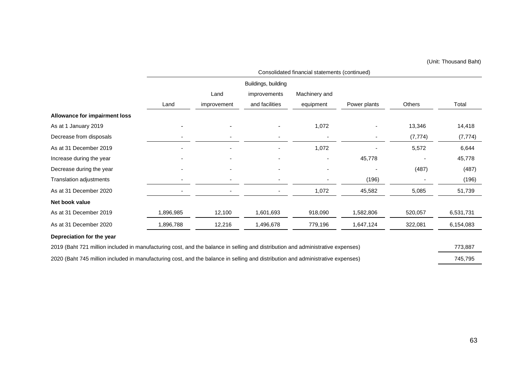|                               | Consolidated financial statements (continued) |                     |                          |                |              |          |           |
|-------------------------------|-----------------------------------------------|---------------------|--------------------------|----------------|--------------|----------|-----------|
|                               |                                               | Buildings, building |                          |                |              |          |           |
|                               |                                               | Land                | improvements             | Machinery and  |              |          |           |
|                               | Land                                          | improvement         | and facilities           | equipment      | Power plants | Others   | Total     |
| Allowance for impairment loss |                                               |                     |                          |                |              |          |           |
| As at 1 January 2019          |                                               |                     |                          | 1,072          |              | 13,346   | 14,418    |
| Decrease from disposals       |                                               |                     | $\overline{\phantom{a}}$ |                |              | (7, 774) | (7, 774)  |
| As at 31 December 2019        |                                               |                     |                          | 1,072          |              | 5,572    | 6,644     |
| Increase during the year      |                                               |                     |                          |                | 45,778       |          | 45,778    |
| Decrease during the year      |                                               |                     |                          |                |              | (487)    | (487)     |
| Translation adjustments       |                                               | ٠                   | $\overline{\phantom{a}}$ | $\blacksquare$ | (196)        |          | (196)     |
| As at 31 December 2020        |                                               |                     |                          | 1,072          | 45,582       | 5,085    | 51,739    |
| Net book value                |                                               |                     |                          |                |              |          |           |
| As at 31 December 2019        | 1,896,985                                     | 12,100              | 1,601,693                | 918,090        | 1,582,806    | 520,057  | 6,531,731 |
| As at 31 December 2020        | 1,896,788                                     | 12,216              | 1,496,678                | 779,196        | 1,647,124    | 322,081  | 6,154,083 |
| Depreciation for the year     |                                               |                     |                          |                |              |          |           |
|                               |                                               |                     |                          |                |              |          |           |

2019 (Baht 721 million included in manufacturing cost, and the balance in selling and distribution and administrative expenses) 773,887 2020 (Baht 745 million included in manufacturing cost, and the balance in selling and distribution and administrative expenses) 745,795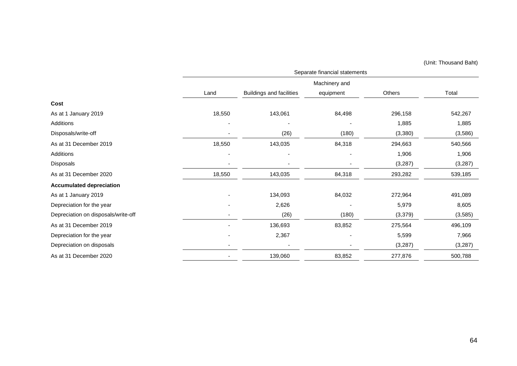|                                     | Separate financial statements |                                 |                |          |          |  |
|-------------------------------------|-------------------------------|---------------------------------|----------------|----------|----------|--|
|                                     | Machinery and                 |                                 |                |          |          |  |
|                                     | Land                          | <b>Buildings and facilities</b> | equipment      | Others   | Total    |  |
| Cost                                |                               |                                 |                |          |          |  |
| As at 1 January 2019                | 18,550                        | 143,061                         | 84,498         | 296,158  | 542,267  |  |
| Additions                           |                               |                                 |                | 1,885    | 1,885    |  |
| Disposals/write-off                 |                               | (26)                            | (180)          | (3,380)  | (3,586)  |  |
| As at 31 December 2019              | 18,550                        | 143,035                         | 84,318         | 294,663  | 540,566  |  |
| Additions                           |                               |                                 |                | 1,906    | 1,906    |  |
| Disposals                           |                               |                                 |                | (3, 287) | (3, 287) |  |
| As at 31 December 2020              | 18,550                        | 143,035                         | 84,318         | 293,282  | 539,185  |  |
| <b>Accumulated depreciation</b>     |                               |                                 |                |          |          |  |
| As at 1 January 2019                |                               | 134,093                         | 84,032         | 272,964  | 491,089  |  |
| Depreciation for the year           |                               | 2,626                           |                | 5,979    | 8,605    |  |
| Depreciation on disposals/write-off |                               | (26)                            | (180)          | (3,379)  | (3, 585) |  |
| As at 31 December 2019              |                               | 136,693                         | 83,852         | 275,564  | 496,109  |  |
| Depreciation for the year           |                               | 2,367                           | $\blacksquare$ | 5,599    | 7,966    |  |
| Depreciation on disposals           | -                             |                                 |                | (3, 287) | (3,287)  |  |
| As at 31 December 2020              |                               | 139,060                         | 83,852         | 277,876  | 500,788  |  |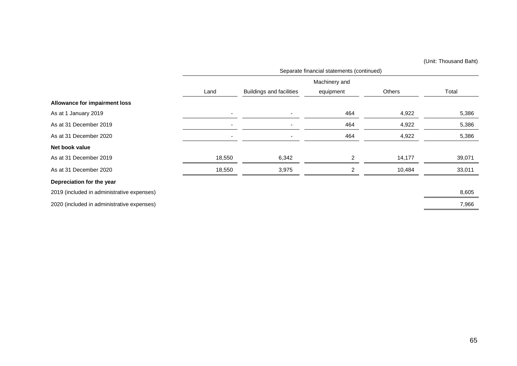|                                            | Separate financial statements (continued) |                          |                |        |        |  |
|--------------------------------------------|-------------------------------------------|--------------------------|----------------|--------|--------|--|
|                                            | Machinery and                             |                          |                |        |        |  |
|                                            | Land                                      | Buildings and facilities | equipment      | Others | Total  |  |
| Allowance for impairment loss              |                                           |                          |                |        |        |  |
| As at 1 January 2019                       |                                           |                          | 464            | 4,922  | 5,386  |  |
| As at 31 December 2019                     |                                           |                          | 464            | 4,922  | 5,386  |  |
| As at 31 December 2020                     |                                           |                          | 464            | 4,922  | 5,386  |  |
| Net book value                             |                                           |                          |                |        |        |  |
| As at 31 December 2019                     | 18,550                                    | 6,342                    | $\overline{2}$ | 14,177 | 39,071 |  |
| As at 31 December 2020                     | 18,550                                    | 3,975                    |                | 10,484 | 33,011 |  |
| Depreciation for the year                  |                                           |                          |                |        |        |  |
| 2019 (included in administrative expenses) |                                           |                          |                |        | 8,605  |  |
| 2020 (included in administrative expenses) |                                           |                          |                |        | 7,966  |  |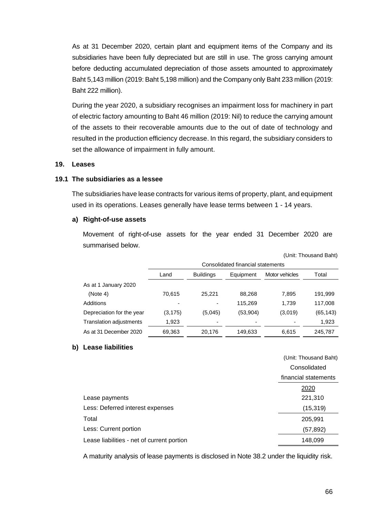As at 31 December 2020, certain plant and equipment items of the Company and its subsidiaries have been fully depreciated but are still in use. The gross carrying amount before deducting accumulated depreciation of those assets amounted to approximately Baht 5,143 million (2019: Baht 5,198 million) and the Company only Baht 233 million (2019: Baht 222 million).

During the year 2020, a subsidiary recognises an impairment loss for machinery in part of electric factory amounting to Baht 46 million (2019: Nil) to reduce the carrying amount of the assets to their recoverable amounts due to the out of date of technology and resulted in the production efficiency decrease. In this regard, the subsidiary considers to set the allowance of impairment in fully amount.

#### **19. Leases**

#### **19.1 The subsidiaries as a lessee**

The subsidiaries have lease contracts for various items of property, plant, and equipment used in its operations. Leases generally have lease terms between 1 - 14 years.

#### **a) Right-of-use assets**

Movement of right-of-use assets for the year ended 31 December 2020 are summarised below.

|                                |                                   |                  |           |                | (Unit: Thousand Baht) |  |  |
|--------------------------------|-----------------------------------|------------------|-----------|----------------|-----------------------|--|--|
|                                | Consolidated financial statements |                  |           |                |                       |  |  |
|                                | Land                              | <b>Buildings</b> | Equipment | Motor vehicles | Total                 |  |  |
| As at 1 January 2020           |                                   |                  |           |                |                       |  |  |
| (Note 4)                       | 70,615                            | 25,221           | 88,268    | 7,895          | 191,999               |  |  |
| Additions                      |                                   |                  | 115,269   | 1,739          | 117,008               |  |  |
| Depreciation for the year      | (3, 175)                          | (5,045)          | (53, 904) | (3,019)        | (65, 143)             |  |  |
| <b>Translation adjustments</b> | 1,923                             |                  |           |                | 1,923                 |  |  |
| As at 31 December 2020         | 69,363                            | 20,176           | 149,633   | 6,615          | 245,787               |  |  |

#### **b) Lease liabilities**

|                                            | (Unit: Thousand Baht) |
|--------------------------------------------|-----------------------|
|                                            | Consolidated          |
|                                            | financial statements  |
|                                            | 2020                  |
| Lease payments                             | 221,310               |
| Less: Deferred interest expenses           | (15, 319)             |
| Total                                      | 205,991               |
| Less: Current portion                      | (57, 892)             |
| Lease liabilities - net of current portion | 148,099               |

A maturity analysis of lease payments is disclosed in Note 38.2 under the liquidity risk.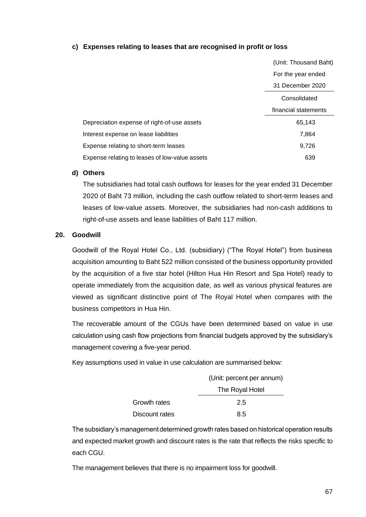## **c) Expenses relating to leases that are recognised in profit or loss**

|                                                | (Unit: Thousand Baht) |
|------------------------------------------------|-----------------------|
|                                                | For the year ended    |
|                                                | 31 December 2020      |
|                                                | Consolidated          |
|                                                | financial statements  |
| Depreciation expense of right-of-use assets    | 65,143                |
| Interest expense on lease liabilities          | 7,864                 |
| Expense relating to short-term leases          | 9,726                 |
| Expense relating to leases of low-value assets | 639                   |

### **d) Others**

The subsidiaries had total cash outflows for leases for the year ended 31 December 2020 of Baht 73 million, including the cash outflow related to short-term leases and leases of low-value assets. Moreover, the subsidiaries had non-cash additions to right-of-use assets and lease liabilities of Baht 117 million.

#### **20. Goodwill**

Goodwill of the Royal Hotel Co., Ltd. (subsidiary) ("The Royal Hotel") from business acquisition amounting to Baht 522 million consisted of the business opportunity provided by the acquisition of a five star hotel (Hilton Hua Hin Resort and Spa Hotel) ready to operate immediately from the acquisition date, as well as various physical features are viewed as significant distinctive point of The Royal Hotel when compares with the business competitors in Hua Hin.

The recoverable amount of the CGUs have been determined based on value in use calculation using cash flow projections from financial budgets approved by the subsidiary's management covering a five-year period.

Key assumptions used in value in use calculation are summarised below:

|                     | (Unit: percent per annum) |
|---------------------|---------------------------|
|                     | The Royal Hotel           |
| <b>Growth rates</b> | 2.5                       |
| Discount rates      | 8.5                       |

The subsidiary's management determined growth rates based on historical operation results and expected market growth and discount rates is the rate that reflects the risks specific to each CGU.

The management believes that there is no impairment loss for goodwill.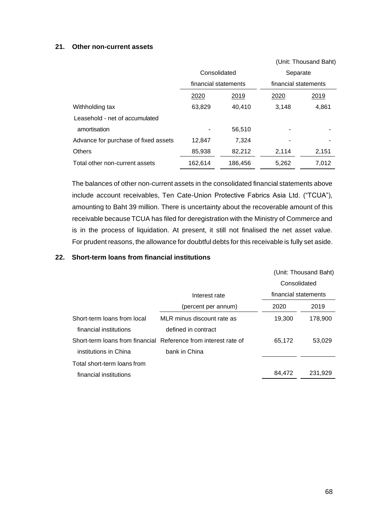#### **21. Other non-current assets**

|                                      |                      |         |                      | (Unit: Thousand Baht) |
|--------------------------------------|----------------------|---------|----------------------|-----------------------|
|                                      | Consolidated         |         | Separate             |                       |
|                                      | financial statements |         | financial statements |                       |
|                                      | 2020                 | 2019    | 2020                 | 2019                  |
| Withholding tax                      | 63,829               | 40,410  | 3,148                | 4,861                 |
| Leasehold - net of accumulated       |                      |         |                      |                       |
| amortisation                         |                      | 56,510  |                      |                       |
| Advance for purchase of fixed assets | 12,847               | 7,324   |                      |                       |
| Others                               | 85,938               | 82,212  | 2,114                | 2,151                 |
| Total other non-current assets       | 162,614              | 186,456 | 5,262                | 7,012                 |

The balances of other non-current assets in the consolidated financial statements above include account receivables, Ten Cate-Union Protective Fabrics Asia Ltd. ("TCUA"), amounting to Baht 39 million. There is uncertainty about the recoverable amount of this receivable because TCUA has filed for deregistration with the Ministry of Commerce and is in the process of liquidation. At present, it still not finalised the net asset value. For prudent reasons, the allowance for doubtful debts for this receivable is fully set aside.

## **22. Short-term loans from financial institutions**

|                             |                                                                 |                      | (Unit: Thousand Baht) |
|-----------------------------|-----------------------------------------------------------------|----------------------|-----------------------|
|                             |                                                                 | Consolidated         |                       |
|                             | Interest rate                                                   | financial statements |                       |
|                             | (percent per annum)                                             | 2020                 | 2019                  |
| Short-term loans from local | MLR minus discount rate as                                      | 19,300               | 178,900               |
| financial institutions      | defined in contract                                             |                      |                       |
|                             | Short-term loans from financial Reference from interest rate of | 65,172               | 53,029                |
| institutions in China       | bank in China                                                   |                      |                       |
| Total short-term loans from |                                                                 |                      |                       |
| financial institutions      |                                                                 | 84,472               | 231,929               |
|                             |                                                                 |                      |                       |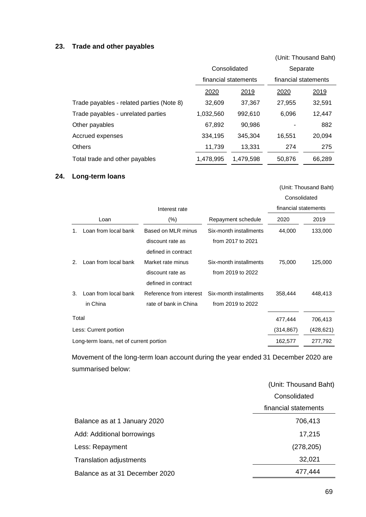## **23. Trade and other payables**

|                                           |              |                      |                      | (Unit: Thousand Baht) |
|-------------------------------------------|--------------|----------------------|----------------------|-----------------------|
|                                           | Consolidated |                      | Separate             |                       |
|                                           |              | financial statements | financial statements |                       |
|                                           | 2020         | 2019                 | 2020                 | 2019                  |
| Trade payables - related parties (Note 8) | 32,609       | 37,367               | 27,955               | 32,591                |
| Trade payables - unrelated parties        | 1,032,560    | 992,610              | 6.096                | 12,447                |
| Other payables                            | 67,892       | 90,986               |                      | 882                   |
| Accrued expenses                          | 334,195      | 345,304              | 16,551               | 20,094                |
| <b>Others</b>                             | 11,739       | 13,331               | 274                  | 275                   |
| Total trade and other payables            | 1,478,995    | 1,479,598            | 50,876               | 66,289                |

## **24. Long-term loans**

| (Unit: Thousand Baht) |
|-----------------------|
|-----------------------|

|       |                                         |                         |                        | Consolidated         |            |
|-------|-----------------------------------------|-------------------------|------------------------|----------------------|------------|
|       |                                         | Interest rate           |                        | financial statements |            |
|       | Loan                                    | $(\%)$                  | Repayment schedule     | 2020                 | 2019       |
| 1.    | Loan from local bank                    | Based on MLR minus      | Six-month installments | 44,000               | 133,000    |
|       |                                         | discount rate as        | from 2017 to 2021      |                      |            |
|       |                                         | defined in contract     |                        |                      |            |
| 2.    | Loan from local bank                    | Market rate minus       | Six-month installments | 75,000               | 125,000    |
|       |                                         | discount rate as        | from 2019 to 2022      |                      |            |
|       |                                         | defined in contract     |                        |                      |            |
| 3.    | Loan from local bank                    | Reference from interest | Six-month installments | 358,444              | 448,413    |
|       | in China                                | rate of bank in China   | from 2019 to 2022      |                      |            |
| Total |                                         |                         |                        | 477,444              | 706,413    |
|       | Less: Current portion                   |                         |                        | (314, 867)           | (428, 621) |
|       | Long-term loans, net of current portion |                         |                        | 162,577              | 277,792    |

Movement of the long-term loan account during the year ended 31 December 2020 are summarised below:

|                                | (Unit: Thousand Baht) |
|--------------------------------|-----------------------|
|                                | Consolidated          |
|                                | financial statements  |
| Balance as at 1 January 2020   | 706,413               |
| Add: Additional borrowings     | 17,215                |
| Less: Repayment                | (278, 205)            |
| <b>Translation adjustments</b> | 32,021                |
| Balance as at 31 December 2020 | 477,444               |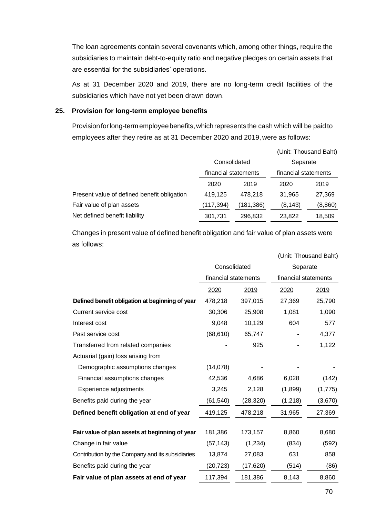The loan agreements contain several covenants which, among other things, require the subsidiaries to maintain debt-to-equity ratio and negative pledges on certain assets that are essential for the subsidiaries' operations.

As at 31 December 2020 and 2019, there are no long-term credit facilities of the subsidiaries which have not yet been drawn down.

## **25. Provision for long-term employee benefits**

Provision for long-term employee benefits, which represents the cash which will be paid to employees after they retire as at 31 December 2020 and 2019, were as follows:

|                                             |                      |              |                      | (Unit: Thousand Baht) |  |
|---------------------------------------------|----------------------|--------------|----------------------|-----------------------|--|
|                                             |                      | Consolidated |                      | Separate              |  |
|                                             | financial statements |              | financial statements |                       |  |
|                                             | 2020                 | 2019         | <u>2020</u>          | <u>2019</u>           |  |
| Present value of defined benefit obligation | 419,125              | 478.218      | 31.965               | 27,369                |  |
| Fair value of plan assets                   | (117, 394)           | (181, 386)   | (8, 143)             | (8,860)               |  |
| Net defined benefit liability               | 301,731              | 296,832      | 23,822               | 18,509                |  |

Changes in present value of defined benefit obligation and fair value of plan assets were as follows:

|                                                  |                      |           | (Unit: Thousand Baht) |         |
|--------------------------------------------------|----------------------|-----------|-----------------------|---------|
|                                                  | Consolidated         |           | Separate              |         |
|                                                  | financial statements |           | financial statements  |         |
|                                                  | 2020                 | 2019      | 2020                  | 2019    |
| Defined benefit obligation at beginning of year  | 478,218              | 397,015   | 27,369                | 25,790  |
| Current service cost                             | 30,306               | 25,908    | 1,081                 | 1,090   |
| Interest cost                                    | 9,048                | 10,129    | 604                   | 577     |
| Past service cost                                | (68, 610)            | 65,747    |                       | 4,377   |
| Transferred from related companies               |                      | 925       |                       | 1,122   |
| Actuarial (gain) loss arising from               |                      |           |                       |         |
| Demographic assumptions changes                  | (14,078)             |           |                       |         |
| Financial assumptions changes                    | 42,536               | 4,686     | 6,028                 | (142)   |
| Experience adjustments                           | 3,245                | 2,128     | (1,899)               | (1,775) |
| Benefits paid during the year                    | (61, 540)            | (28, 320) | (1,218)               | (3,670) |
| Defined benefit obligation at end of year        | 419,125              | 478,218   | 31,965                | 27,369  |
| Fair value of plan assets at beginning of year   | 181,386              | 173,157   | 8,860                 | 8,680   |
| Change in fair value                             | (57, 143)            | (1,234)   | (834)                 | (592)   |
| Contribution by the Company and its subsidiaries | 13,874               | 27,083    | 631                   | 858     |
| Benefits paid during the year                    | (20, 723)            | (17, 620) | (514)                 | (86)    |
| Fair value of plan assets at end of year         | 117,394              | 181,386   | 8,143                 | 8,860   |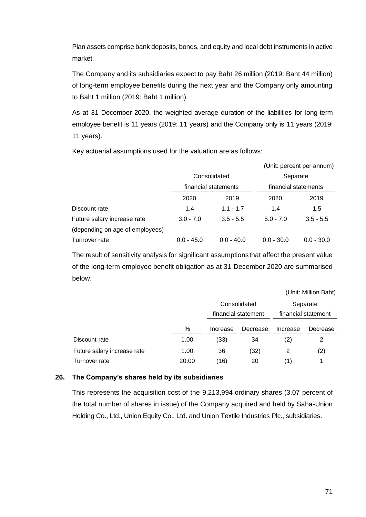Plan assets comprise bank deposits, bonds, and equity and local debt instruments in active market.

The Company and its subsidiaries expect to pay Baht 26 million (2019: Baht 44 million) of long-term employee benefits during the next year and the Company only amounting to Baht 1 million (2019: Baht 1 million).

As at 31 December 2020, the weighted average duration of the liabilities for long-term employee benefit is 11 years (2019: 11 years) and the Company only is 11 years (2019: 11 years).

Key actuarial assumptions used for the valuation are as follows:

|                                 |                      |              |                      | (Unit: percent per annum) |  |
|---------------------------------|----------------------|--------------|----------------------|---------------------------|--|
|                                 |                      | Consolidated | Separate             |                           |  |
|                                 | financial statements |              | financial statements |                           |  |
|                                 | 2020                 | <u>2019</u>  | <u> 2020</u>         | 2019                      |  |
| Discount rate                   | 1.4                  | $1.1 - 1.7$  | 1.4                  | 1.5                       |  |
| Future salary increase rate     | $3.0 - 7.0$          | $3.5 - 5.5$  | $5.0 - 7.0$          | $3.5 - 5.5$               |  |
| (depending on age of employees) |                      |              |                      |                           |  |
| Turnover rate                   | $0.0 - 45.0$         | $0.0 - 40.0$ | $0.0 - 30.0$         | $0.0 - 30.0$              |  |

The result of sensitivity analysis for significant assumptionsthat affect the present value of the long-term employee benefit obligation as at 31 December 2020 are summarised below.

|                             |       |                     |          |          | (Unit: Million Baht) |
|-----------------------------|-------|---------------------|----------|----------|----------------------|
|                             |       | Consolidated        |          |          | Separate             |
|                             |       | financial statement |          |          | financial statement  |
|                             | %     | Increase            | Decrease | Increase | Decrease             |
| Discount rate               | 1.00  | (33)                | 34       | (2)      | 2                    |
| Future salary increase rate | 1.00  | 36                  | (32)     | 2        | (2)                  |
| Turnover rate               | 20.00 | (16)                | 20       | (1)      | 1                    |

## **26. The Company's shares held by its subsidiaries**

This represents the acquisition cost of the 9,213,994 ordinary shares (3.07 percent of the total number of shares in issue) of the Company acquired and held by Saha-Union Holding Co., Ltd., Union Equity Co., Ltd. and Union Textile Industries Plc., subsidiaries.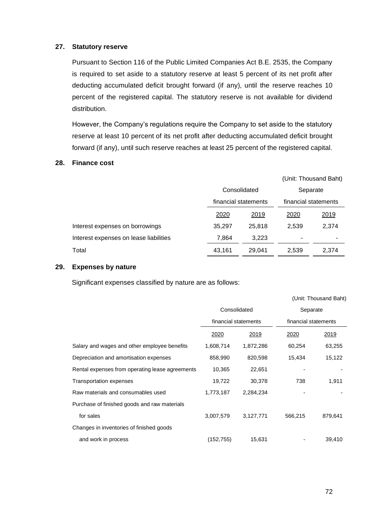#### **27. Statutory reserve**

Pursuant to Section 116 of the Public Limited Companies Act B.E. 2535, the Company is required to set aside to a statutory reserve at least 5 percent of its net profit after deducting accumulated deficit brought forward (if any), until the reserve reaches 10 percent of the registered capital. The statutory reserve is not available for dividend distribution.

However, the Company's regulations require the Company to set aside to the statutory reserve at least 10 percent of its net profit after deducting accumulated deficit brought forward (if any), until such reserve reaches at least 25 percent of the registered capital.

### **28. Finance cost**

|                                        |        |                                      |       | (Unit: Thousand Baht) |
|----------------------------------------|--------|--------------------------------------|-------|-----------------------|
|                                        |        | Consolidated<br>financial statements |       | Separate              |
|                                        |        |                                      |       | financial statements  |
|                                        | 2020   | 2019                                 | 2020  | 2019                  |
| Interest expenses on borrowings        | 35,297 | 25,818                               | 2,539 | 2,374                 |
| Interest expenses on lease liabilities | 7,864  | 3,223                                |       |                       |
| Total                                  | 43,161 | 29.041                               | 2.539 | 2,374                 |

#### **29. Expenses by nature**

Significant expenses classified by nature are as follows:

|                                                 |              |                      |                      | (Unit: Thousand Baht) |
|-------------------------------------------------|--------------|----------------------|----------------------|-----------------------|
|                                                 | Consolidated |                      | Separate             |                       |
|                                                 |              | financial statements | financial statements |                       |
|                                                 | 2020         | 2019                 | 2020                 | <u> 2019</u>          |
| Salary and wages and other employee benefits    | 1,608,714    | 1,872,286            | 60,254               | 63,255                |
| Depreciation and amortisation expenses          | 858,990      | 820,598              | 15,434               | 15,122                |
| Rental expenses from operating lease agreements | 10,365       | 22,651               |                      |                       |
| <b>Transportation expenses</b>                  | 19,722       | 30,378               | 738                  | 1,911                 |
| Raw materials and consumables used              | 1,773,187    | 2,284,234            |                      |                       |
| Purchase of finished goods and raw materials    |              |                      |                      |                       |
| for sales                                       | 3,007,579    | 3,127,771            | 566,215              | 879,641               |
| Changes in inventories of finished goods        |              |                      |                      |                       |
| and work in process                             | (152, 755)   | 15,631               |                      | 39,410                |
|                                                 |              |                      |                      |                       |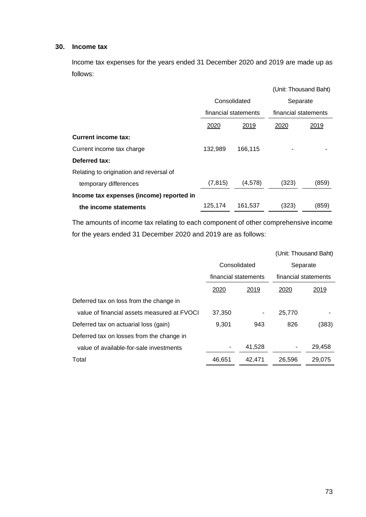#### **30. Income tax**

Income tax expenses for the years ended 31 December 2020 and 2019 are made up as follows:

|                                          |              |                      | (Unit: Thousand Baht) |       |
|------------------------------------------|--------------|----------------------|-----------------------|-------|
|                                          | Consolidated |                      | Separate              |       |
|                                          |              | financial statements | financial statements  |       |
|                                          | 2020         | 2019                 | 2020                  | 2019  |
| Current income tax:                      |              |                      |                       |       |
| Current income tax charge                | 132,989      | 166,115              |                       |       |
| Deferred tax:                            |              |                      |                       |       |
| Relating to origination and reversal of  |              |                      |                       |       |
| temporary differences                    | (7, 815)     | (4,578)              | (323)                 | (859) |
| Income tax expenses (income) reported in |              |                      |                       |       |
| the income statements                    | 125,174      | 161,537              | (323)                 | (859) |

The amounts of income tax relating to each component of other comprehensive income for the years ended 31 December 2020 and 2019 are as follows:

|                                             |        |                      |        | (Unit: Thousand Baht) |
|---------------------------------------------|--------|----------------------|--------|-----------------------|
|                                             |        | Consolidated         |        | Separate              |
|                                             |        | financial statements |        | financial statements  |
|                                             | 2020   | 2019                 | 2020   | 2019                  |
| Deferred tax on loss from the change in     |        |                      |        |                       |
| value of financial assets measured at FVOCI | 37,350 |                      | 25,770 |                       |
| Deferred tax on actuarial loss (gain)       | 9,301  | 943                  | 826    | (383)                 |
| Deferred tax on losses from the change in   |        |                      |        |                       |
| value of available-for-sale investments     |        | 41,528               |        | 29,458                |
| Total                                       | 46,651 | 42,471               | 26,596 | 29,075                |
|                                             |        |                      |        |                       |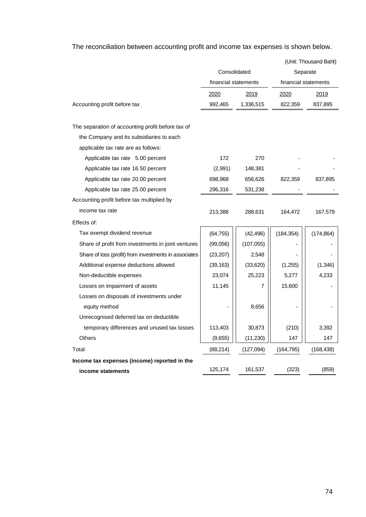The reconciliation between accounting profit and income tax expenses is shown below.

|                                                       |                      |            |                      | (Unit: Thousand Baht) |
|-------------------------------------------------------|----------------------|------------|----------------------|-----------------------|
|                                                       | Consolidated         |            | Separate             |                       |
|                                                       | financial statements |            | financial statements |                       |
|                                                       | 2020                 | 2019       | 2020                 | 2019                  |
| Accounting profit before tax                          | 992,465              | 1,336,515  | 822,359              | 837,895               |
|                                                       |                      |            |                      |                       |
| The separation of accounting profit before tax of     |                      |            |                      |                       |
| the Company and its subsidiaries to each              |                      |            |                      |                       |
| applicable tax rate are as follows:                   |                      |            |                      |                       |
| Applicable tax rate 5.00 percent                      | 172                  | 270        |                      |                       |
| Applicable tax rate 16.50 percent                     | (2,991)              | 148,381    |                      |                       |
| Applicable tax rate 20.00 percent                     | 698,968              | 656,626    | 822,359              | 837,895               |
| Applicable tax rate 25.00 percent                     | 296,316              | 531,238    |                      |                       |
| Accounting profit before tax multiplied by            |                      |            |                      |                       |
| income tax rate                                       | 213,388              | 288,631    | 164,472              | 167,579               |
| Effects of:                                           |                      |            |                      |                       |
| Tax exempt dividend revenue                           | (64, 755)            | (42, 496)  | (184, 354)           | (174, 864)            |
| Share of profit from investments in joint ventures    | (99,056)             | (107, 055) |                      |                       |
| Share of loss (profit) from investments in associates | (23, 207)            | 2,548      |                      |                       |
| Additional expense deductions allowed                 | (39, 163)            | (33,620)   | (1,255)              | (1,346)               |
| Non-deductible expenses                               | 23,074               | 25,223     | 5,277                | 4,233                 |
| Losses on impairment of assets                        | 11,145               | 7          | 15,600               |                       |
| Losses on disposals of investments under              |                      |            |                      |                       |
| equity method                                         |                      | 8,656      |                      |                       |
| Unrecognised deferred tax on deductible               |                      |            |                      |                       |
| temporary differences and unused tax losses           | 113,403              | 30,873     | (210)                | 3,392                 |
| Others                                                | (9,655)              | (11, 230)  | 147                  | 147                   |
| Total                                                 | (88,214)             | (127, 094) | (164, 795)           | (168, 438)            |
| Income tax expenses (income) reported in the          |                      |            |                      |                       |
| income statements                                     | 125,174              | 161,537    | (323)                | (859)                 |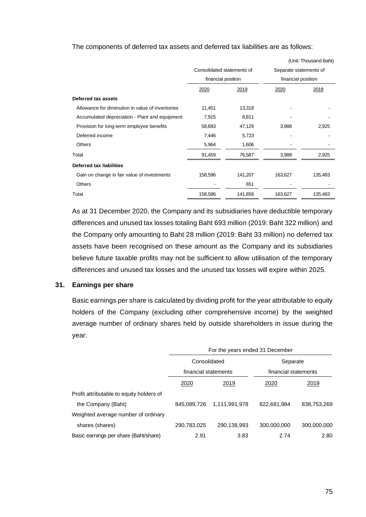|                                                  |                            |         |                        | (Unit: Thousand Baht) |
|--------------------------------------------------|----------------------------|---------|------------------------|-----------------------|
|                                                  | Consolidated statements of |         | Separate statements of |                       |
|                                                  | financial position         |         | financial position     |                       |
|                                                  | 2020                       | 2019    | 2020                   | 2019                  |
| Deferred tax assets                              |                            |         |                        |                       |
| Allowance for diminution in value of inventories | 11,451                     | 13,318  |                        |                       |
| Accumulated depreciation - Plant and equipment   | 7,915                      | 8,811   |                        |                       |
| Provision for long-term employee benefits        | 58,683                     | 47,129  | 3,988                  | 2,925                 |
| Deferred income                                  | 7,446                      | 5,723   |                        |                       |
| <b>Others</b>                                    | 5,964                      | 1,606   |                        |                       |
| Total                                            | 91,459                     | 76,587  | 3,988                  | 2,925                 |
| Deferred tax liabilities                         |                            |         |                        |                       |
| Gain on change in fair value of investments      | 158,596                    | 141,207 | 163,627                | 135,483               |
| <b>Others</b>                                    |                            | 651     |                        |                       |
| Total                                            | 158,596                    | 141,858 | 163,627                | 135,483               |

#### The components of deferred tax assets and deferred tax liabilities are as follows:

As at 31 December 2020, the Company and its subsidiaries have deductible temporary differences and unused tax losses totaling Baht 693 million (2019: Baht 322 million) and the Company only amounting to Baht 28 million (2019: Baht 33 million) no deferred tax assets have been recognised on these amount as the Company and its subsidiaries believe future taxable profits may not be sufficient to allow utilisation of the temporary differences and unused tax losses and the unused tax losses will expire within 2025.

### **31. Earnings per share**

Basic earnings per share is calculated by dividing profit for the year attributable to equity holders of the Company (excluding other comprehensive income) by the weighted average number of ordinary shares held by outside shareholders in issue during the year.

|                                          | For the years ended 31 December |               |                      |             |  |  |
|------------------------------------------|---------------------------------|---------------|----------------------|-------------|--|--|
|                                          | Consolidated                    |               | Separate             |             |  |  |
|                                          | financial statements            |               | financial statements |             |  |  |
|                                          | 2020                            | 2019          | 2020                 | 2019        |  |  |
| Profit attributable to equity holders of |                                 |               |                      |             |  |  |
| the Company (Baht)                       | 845,089,726                     | 1,111,991,978 | 822.681.984          | 838,753,269 |  |  |
| Weighted average number of ordinary      |                                 |               |                      |             |  |  |
| shares (shares)                          | 290.783.025                     | 290.138.993   | 300.000.000          | 300.000.000 |  |  |
| Basic earnings per share (Baht/share)    | 2.91                            | 3.83          | 2.74                 | 2.80        |  |  |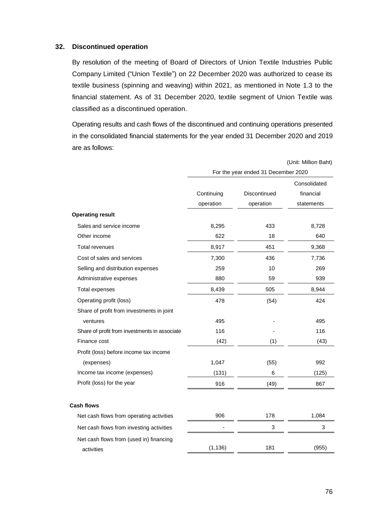#### **32. Discontinued operation**

By resolution of the meeting of Board of Directors of Union Textile Industries Public Company Limited ("Union Textile") on 22 December 2020 was authorized to cease its textile business (spinning and weaving) within 2021, as mentioned in Note 1.3 to the financial statement. As of 31 December 2020, textile segment of Union Textile was classified as a discontinued operation.

Operating results and cash flows of the discontinued and continuing operations presented in the consolidated financial statements for the year ended 31 December 2020 and 2019 are as follows:

|                                               | (Unit: Million Baht) |                                     |              |  |  |  |
|-----------------------------------------------|----------------------|-------------------------------------|--------------|--|--|--|
|                                               |                      | For the year ended 31 December 2020 |              |  |  |  |
|                                               |                      |                                     | Consolidated |  |  |  |
|                                               | Continuing           | Discontinued                        | financial    |  |  |  |
|                                               | operation            | operation                           | statements   |  |  |  |
| <b>Operating result</b>                       |                      |                                     |              |  |  |  |
| Sales and service income                      | 8,295                | 433                                 | 8,728        |  |  |  |
| Other income                                  | 622                  | 18                                  | 640          |  |  |  |
| Total revenues                                | 8,917                | 451                                 | 9,368        |  |  |  |
| Cost of sales and services                    | 7,300                | 436                                 | 7,736        |  |  |  |
| Selling and distribution expenses             | 259                  | 10                                  | 269          |  |  |  |
| Administrative expenses                       | 880                  | 59                                  | 939          |  |  |  |
| Total expenses                                | 8,439                | 505                                 | 8,944        |  |  |  |
| Operating profit (loss)                       | 478                  | (54)                                | 424          |  |  |  |
| Share of profit from investments in joint     |                      |                                     |              |  |  |  |
| ventures                                      | 495                  |                                     | 495          |  |  |  |
| Share of profit from investments in associate | 116                  |                                     | 116          |  |  |  |
| Finance cost                                  | (42)                 | (1)                                 | (43)         |  |  |  |
| Profit (loss) before income tax income        |                      |                                     |              |  |  |  |
| (expenses)                                    | 1,047                | (55)                                | 992          |  |  |  |
| Income tax income (expenses)                  | (131)                | 6                                   | (125)        |  |  |  |
| Profit (loss) for the year                    | 916                  | (49)                                | 867          |  |  |  |
| <b>Cash flows</b>                             |                      |                                     |              |  |  |  |
| Net cash flows from operating activities      | 906                  | 178                                 | 1,084        |  |  |  |
| Net cash flows from investing activities      | ÷,                   | 3                                   | 3            |  |  |  |
| Net cash flows from (used in) financing       |                      |                                     |              |  |  |  |
| activities                                    | (1, 136)             | 181                                 | (955)        |  |  |  |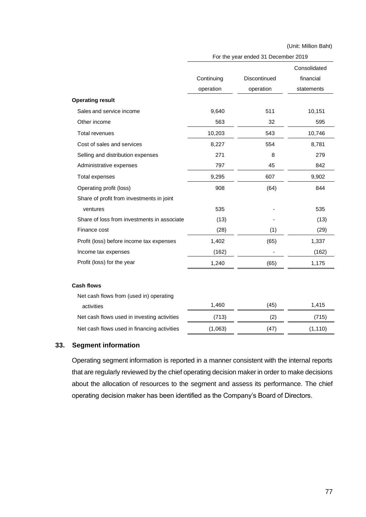(Unit: Million Baht)

|                                             | For the year ended 31 December 2019 |              |              |  |  |  |  |
|---------------------------------------------|-------------------------------------|--------------|--------------|--|--|--|--|
|                                             |                                     |              | Consolidated |  |  |  |  |
|                                             | Continuing                          | Discontinued | financial    |  |  |  |  |
|                                             | operation                           | operation    | statements   |  |  |  |  |
| <b>Operating result</b>                     |                                     |              |              |  |  |  |  |
| Sales and service income                    | 9,640                               | 511          | 10,151       |  |  |  |  |
| Other income                                | 563                                 | 32           | 595          |  |  |  |  |
| <b>Total revenues</b>                       | 10,203                              | 543          | 10,746       |  |  |  |  |
| Cost of sales and services                  | 8,227                               | 554          | 8,781        |  |  |  |  |
| Selling and distribution expenses           | 271                                 | 8            | 279          |  |  |  |  |
| Administrative expenses                     | 797                                 | 45           | 842          |  |  |  |  |
| Total expenses                              | 9,295                               | 607          | 9,902        |  |  |  |  |
| Operating profit (loss)                     | 908                                 | (64)         | 844          |  |  |  |  |
| Share of profit from investments in joint   |                                     |              |              |  |  |  |  |
| ventures                                    | 535                                 |              | 535          |  |  |  |  |
| Share of loss from investments in associate | (13)                                |              | (13)         |  |  |  |  |
| Finance cost                                | (28)                                | (1)          | (29)         |  |  |  |  |
| Profit (loss) before income tax expenses    | 1,402                               | (65)         | 1,337        |  |  |  |  |
| Income tax expenses                         | (162)                               |              | (162)        |  |  |  |  |
| Profit (loss) for the year                  | 1,240                               | (65)         | 1,175        |  |  |  |  |
| <b>Cash flows</b>                           |                                     |              |              |  |  |  |  |
| Net cash flows from (used in) operating     |                                     |              |              |  |  |  |  |
| activities                                  | 1,460                               | (45)         | 1,415        |  |  |  |  |
| Net cash flows used in investing activities | (713)                               | (2)          | (715)        |  |  |  |  |
| Net cash flows used in financing activities | (1,063)                             | (47)         | (1, 110)     |  |  |  |  |

## **33. Segment information**

Operating segment information is reported in a manner consistent with the internal reports that are regularly reviewed by the chief operating decision maker in order to make decisions about the allocation of resources to the segment and assess its performance. The chief operating decision maker has been identified as the Company's Board of Directors.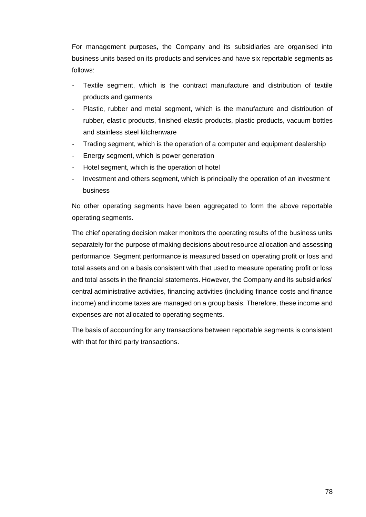For management purposes, the Company and its subsidiaries are organised into business units based on its products and services and have six reportable segments as follows:

- Textile segment, which is the contract manufacture and distribution of textile products and garments
- Plastic, rubber and metal segment, which is the manufacture and distribution of rubber, elastic products, finished elastic products, plastic products, vacuum bottles and stainless steel kitchenware
- Trading segment, which is the operation of a computer and equipment dealership
- Energy segment, which is power generation
- Hotel segment, which is the operation of hotel
- Investment and others segment, which is principally the operation of an investment business

No other operating segments have been aggregated to form the above reportable operating segments.

The chief operating decision maker monitors the operating results of the business units separately for the purpose of making decisions about resource allocation and assessing performance. Segment performance is measured based on operating profit or loss and total assets and on a basis consistent with that used to measure operating profit or loss and total assets in the financial statements. However, the Company and its subsidiaries' central administrative activities, financing activities (including finance costs and finance income) and income taxes are managed on a group basis. Therefore, these income and expenses are not allocated to operating segments.

The basis of accounting for any transactions between reportable segments is consistent with that for third party transactions.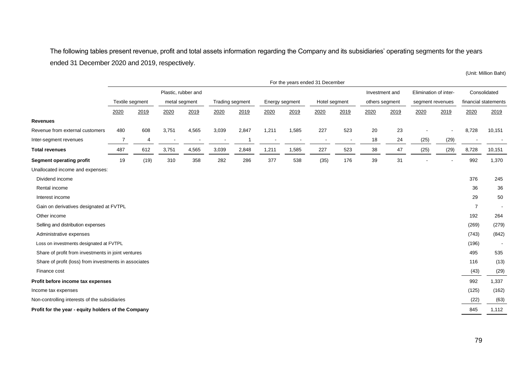The following tables present revenue, profit and total assets information regarding the Company and its subsidiaries' operating segments for the years ended 31 December 2020 and 2019, respectively.

(Unit: Million Baht)

|                                                       | For the years ended 31 December  |      |                     |                                   |                |               |       |                |      |                  |                |      |                       |      |                |              |
|-------------------------------------------------------|----------------------------------|------|---------------------|-----------------------------------|----------------|---------------|-------|----------------|------|------------------|----------------|------|-----------------------|------|----------------|--------------|
|                                                       |                                  |      | Plastic, rubber and |                                   |                |               |       |                |      |                  | Investment and |      | Elimination of inter- |      |                | Consolidated |
|                                                       | Textile segment<br>metal segment |      |                     | Trading segment<br>Energy segment |                | Hotel segment |       | others segment |      | segment revenues |                |      | financial statements  |      |                |              |
|                                                       | 2020                             | 2019 | 2020                | 2019                              | 2020           | 2019          | 2020  | 2019           | 2020 | 2019             | 2020           | 2019 | 2020                  | 2019 | 2020           | 2019         |
| <b>Revenues</b>                                       |                                  |      |                     |                                   |                |               |       |                |      |                  |                |      |                       |      |                |              |
| Revenue from external customers                       | 480                              | 608  | 3,751               | 4,565                             | 3,039          | 2,847         | 1,211 | 1,585          | 227  | 523              | 20             | 23   |                       |      | 8,728          | 10,151       |
| Inter-segment revenues                                | $\overline{7}$                   | 4    | $\blacksquare$      | $\overline{\phantom{a}}$          | $\overline{a}$ | -1            |       |                |      |                  | 18             | 24   | (25)                  | (29) |                |              |
| <b>Total revenues</b>                                 | 487                              | 612  | 3,751               | 4,565                             | 3,039          | 2,848         | 1,211 | 1,585          | 227  | 523              | 38             | 47   | (25)                  | (29) | 8,728          | 10,151       |
| Segment operating profit                              | 19                               | (19) | 310                 | 358                               | 282            | 286           | 377   | 538            | (35) | 176              | 39             | 31   |                       |      | 992            | 1,370        |
| Unallocated income and expenses:                      |                                  |      |                     |                                   |                |               |       |                |      |                  |                |      |                       |      |                |              |
| Dividend income                                       |                                  |      |                     |                                   |                |               |       |                |      |                  |                |      |                       |      | 376            | 245          |
| Rental income                                         |                                  |      |                     |                                   |                |               |       |                |      |                  |                |      |                       |      | 36             | 36           |
| Interest income                                       |                                  |      |                     |                                   |                |               |       |                |      |                  |                |      |                       |      | 29             | 50           |
| Gain on derivatives designated at FVTPL               |                                  |      |                     |                                   |                |               |       |                |      |                  |                |      |                       |      | $\overline{7}$ | $\sim$       |
| Other income                                          |                                  |      |                     |                                   |                |               |       |                |      |                  |                |      |                       |      | 192            | 264          |
| Selling and distribution expenses                     |                                  |      |                     |                                   |                |               |       |                |      |                  |                |      |                       |      | (269)          | (279)        |
| Administrative expenses                               |                                  |      |                     |                                   |                |               |       |                |      |                  |                |      |                       |      | (743)          | (842)        |
| Loss on investments designated at FVTPL               |                                  |      |                     |                                   |                |               |       |                |      |                  |                |      |                       |      | (196)          |              |
| Share of profit from investments in joint ventures    |                                  |      |                     |                                   |                |               |       |                |      |                  |                |      |                       |      | 495            | 535          |
| Share of profit (loss) from investments in associates |                                  |      |                     |                                   |                |               |       |                |      |                  |                |      |                       |      | 116            | (13)         |
| Finance cost                                          |                                  |      |                     |                                   |                |               |       |                |      |                  |                |      |                       |      | (43)           | (29)         |
| Profit before income tax expenses                     |                                  |      |                     |                                   |                |               |       |                |      |                  |                |      |                       |      | 992            | 1,337        |
| Income tax expenses                                   |                                  |      |                     |                                   |                |               |       |                |      |                  |                |      |                       |      | (125)          | (162)        |
| Non-controlling interests of the subsidiaries         |                                  |      |                     |                                   |                |               |       |                |      |                  |                |      |                       |      | (22)           | (63)         |
| Profit for the year - equity holders of the Company   |                                  |      |                     |                                   |                |               |       |                |      |                  |                |      |                       |      | 845            | 1,112        |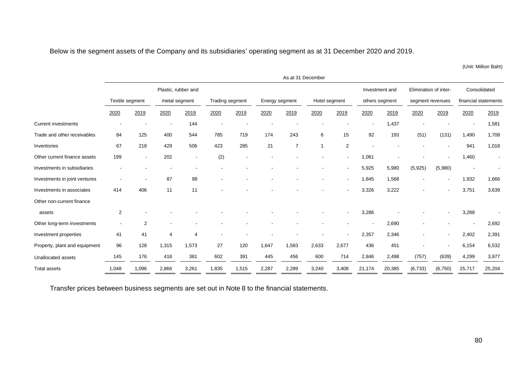Below is the segment assets of the Company and its subsidiaries' operating segment as at 31 December 2020 and 2019.

(Unit: Million Baht)

|                               |                | As at 31 December        |                |                     |                 |       |                |                |       |                |                |                       |          |                  |                |                      |  |
|-------------------------------|----------------|--------------------------|----------------|---------------------|-----------------|-------|----------------|----------------|-------|----------------|----------------|-----------------------|----------|------------------|----------------|----------------------|--|
|                               |                |                          |                | Plastic, rubber and |                 |       |                |                |       |                | Investment and | Elimination of inter- |          |                  | Consolidated   |                      |  |
|                               |                | Textile segment          | metal segment  |                     | Trading segment |       | Energy segment |                |       | Hotel segment  |                | others segment        |          | segment revenues |                | financial statements |  |
|                               | 2020           | 2019                     | 2020           | 2019                | 2020            | 2019  | 2020           | 2019           | 2020  | 2019           | 2020           | 2019                  | 2020     | 2019             | 2020           | 2019                 |  |
| <b>Current investments</b>    |                |                          | $\blacksquare$ | 144                 |                 |       |                |                |       |                |                | 1,437                 |          |                  |                | 1,581                |  |
| Trade and other receivables   | 84             | 125                      | 400            | 544                 | 785             | 719   | 174            | 243            | 6     | 15             | 92             | 193                   | (51)     | (131)            | 1,490          | 1,708                |  |
| Inventories                   | 67             | 218                      | 429            | 506                 | 423             | 285   | 21             | $\overline{7}$ | -1    | $\overline{2}$ |                |                       |          |                  | 941            | 1,018                |  |
| Other current finance assets  | 199            | $\overline{\phantom{a}}$ | 202            | $\blacksquare$      | (2)             |       |                |                |       |                | 1,061          |                       |          |                  | 1,460          | $\sim$               |  |
| Investments in subsidiaries   |                |                          |                |                     |                 |       |                |                |       |                | 5,925          | 5,980                 | (5,925)  | (5,980)          | $\blacksquare$ |                      |  |
| Investments in joint ventures |                |                          | 87             | 98                  |                 |       |                |                |       |                | 1,845          | 1,568                 |          |                  | 1,932          | 1,666                |  |
| Investments in associates     | 414            | 406                      | 11             | 11                  |                 |       |                |                |       |                | 3,326          | 3,222                 |          |                  | 3,751          | 3,639                |  |
| Other non-current finance     |                |                          |                |                     |                 |       |                |                |       |                |                |                       |          |                  |                |                      |  |
| assets                        | $\overline{2}$ |                          |                |                     |                 |       |                |                |       |                | 3,286          |                       |          |                  | 3,288          |                      |  |
| Other long-term investments   |                | $\overline{2}$           |                |                     |                 |       |                |                |       |                |                | 2,690                 |          |                  |                | 2,692                |  |
| Investment properties         | 41             | 41                       | 4              | 4                   |                 |       |                |                |       |                | 2,357          | 2,346                 |          |                  | 2,402          | 2,391                |  |
| Property, plant and equipment | 96             | 128                      | 1,315          | 1,573               | 27              | 120   | 1,647          | 1,583          | 2,633 | 2,677          | 436            | 451                   |          |                  | 6,154          | 6,532                |  |
| Unallocated assets            | 145            | 176                      | 418            | 381                 | 602             | 391   | 445            | 456            | 600   | 714            | 2,846          | 2,498                 | (757)    | (639)            | 4,299          | 3,977                |  |
| <b>Total assets</b>           | 1,048          | 1,096                    | 2,866          | 3,261               | 1,835           | 1,515 | 2,287          | 2,289          | 3,240 | 3,408          | 21,174         | 20,385                | (6, 733) | (6, 750)         | 25,717         | 25,204               |  |

Transfer prices between business segments are set out in Note 8 to the financial statements.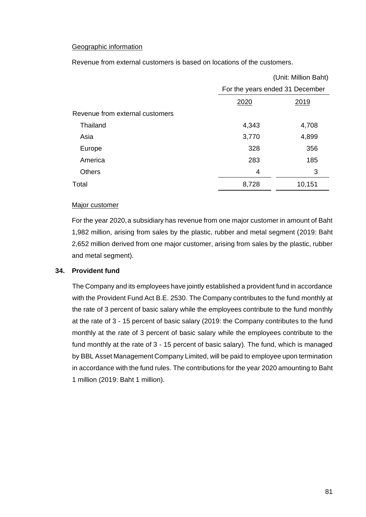### Geographic information

Revenue from external customers is based on locations of the customers.

|                                 | (Unit: Million Baht) |                                 |  |  |  |  |
|---------------------------------|----------------------|---------------------------------|--|--|--|--|
|                                 |                      | For the years ended 31 December |  |  |  |  |
|                                 | 2020                 | 2019                            |  |  |  |  |
| Revenue from external customers |                      |                                 |  |  |  |  |
| Thailand                        | 4,343                | 4,708                           |  |  |  |  |
| Asia                            | 3,770                | 4,899                           |  |  |  |  |
| Europe                          | 328                  | 356                             |  |  |  |  |
| America                         | 283                  | 185                             |  |  |  |  |
| <b>Others</b>                   | 4                    | 3                               |  |  |  |  |
| Total                           | 8,728                | 10,151                          |  |  |  |  |

### Major customer

For the year 2020,a subsidiary has revenue from one major customer in amount of Baht 1,982 million, arising from sales by the plastic, rubber and metal segment (2019: Baht 2,652 million derived from one major customer, arising from sales by the plastic, rubber and metal segment).

### **34. Provident fund**

The Company and its employees have jointly established a provident fund in accordance with the Provident Fund Act B.E. 2530. The Company contributes to the fund monthly at the rate of 3 percent of basic salary while the employees contribute to the fund monthly at the rate of 3 - 15 percent of basic salary (2019: the Company contributes to the fund monthly at the rate of 3 percent of basic salary while the employees contribute to the fund monthly at the rate of 3 - 15 percent of basic salary). The fund, which is managed by BBL Asset Management Company Limited, will be paid to employee upon termination in accordance with the fund rules. The contributions for the year 2020 amounting to Baht 1 million (2019: Baht 1 million).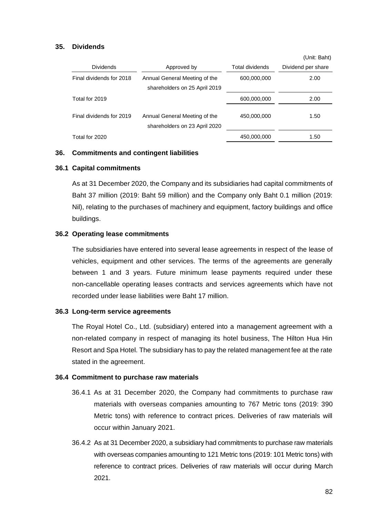#### **35. Dividends**

|                          |                                                                |                 | OTIIL. Daniy       |
|--------------------------|----------------------------------------------------------------|-----------------|--------------------|
| <b>Dividends</b>         | Approved by                                                    | Total dividends | Dividend per share |
| Final dividends for 2018 | Annual General Meeting of the<br>shareholders on 25 April 2019 | 600,000,000     | 2.00               |
| Total for 2019           |                                                                | 600,000,000     | 2.00               |
| Final dividends for 2019 | Annual General Meeting of the<br>shareholders on 23 April 2020 | 450,000,000     | 1.50               |
| Total for 2020           |                                                                | 450,000,000     | 1.50               |

#### **36. Commitments and contingent liabilities**

#### **36.1 Capital commitments**

As at 31 December 2020, the Company and its subsidiaries had capital commitments of Baht 37 million (2019: Baht 59 million) and the Company only Baht 0.1 million (2019: Nil), relating to the purchases of machinery and equipment, factory buildings and office buildings.

#### **36.2 Operating lease commitments**

The subsidiaries have entered into several lease agreements in respect of the lease of vehicles, equipment and other services. The terms of the agreements are generally between 1 and 3 years. Future minimum lease payments required under these non-cancellable operating leases contracts and services agreements which have not recorded under lease liabilities were Baht 17 million.

#### **36.3 Long-term service agreements**

The Royal Hotel Co., Ltd. (subsidiary) entered into a management agreement with a non-related company in respect of managing its hotel business, The Hilton Hua Hin Resort and Spa Hotel. The subsidiary has to pay the related management fee at the rate stated in the agreement.

#### **36.4 Commitment to purchase raw materials**

- 36.4.1 As at 31 December 2020, the Company had commitments to purchase raw materials with overseas companies amounting to 767 Metric tons (2019: 390 Metric tons) with reference to contract prices. Deliveries of raw materials will occur within January 2021.
- 36.4.2 As at 31 December 2020, a subsidiary had commitments to purchase raw materials with overseas companies amounting to 121 Metric tons (2019: 101 Metric tons) with reference to contract prices. Deliveries of raw materials will occur during March 2021.

(Unit: Baht)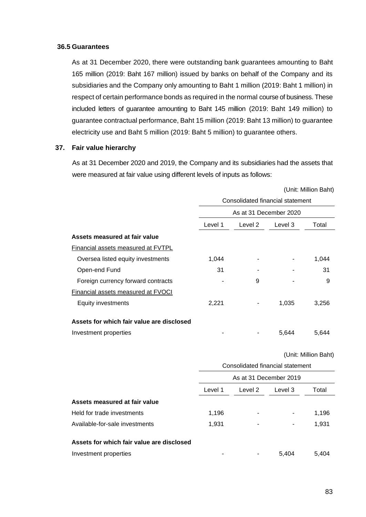#### **36.5 Guarantees**

As at 31 December 2020, there were outstanding bank guarantees amounting to Baht 165 million (2019: Baht 167 million) issued by banks on behalf of the Company and its subsidiaries and the Company only amounting to Baht 1 million (2019: Baht 1 million) in respect of certain performance bonds as required in the normal course of business. These included letters of guarantee amounting to Baht 145 million (2019: Baht 149 million) to guarantee contractual performance, Baht 15 million (2019: Baht 13 million) to guarantee electricity use and Baht 5 million (2019: Baht 5 million) to guarantee others.

#### **37. Fair value hierarchy**

As at 31 December 2020 and 2019, the Company and its subsidiaries had the assets that were measured at fair value using different levels of inputs as follows:

|                                           | (Unit: Million Baht)             |         |         |       |  |  |  |  |
|-------------------------------------------|----------------------------------|---------|---------|-------|--|--|--|--|
|                                           | Consolidated financial statement |         |         |       |  |  |  |  |
|                                           | As at 31 December 2020           |         |         |       |  |  |  |  |
|                                           | Level 1                          | Level 2 | Level 3 | Total |  |  |  |  |
| Assets measured at fair value             |                                  |         |         |       |  |  |  |  |
| Financial assets measured at FVTPL        |                                  |         |         |       |  |  |  |  |
| Oversea listed equity investments         | 1,044                            |         |         | 1,044 |  |  |  |  |
| Open-end Fund                             | 31                               |         |         | 31    |  |  |  |  |
| Foreign currency forward contracts        |                                  | 9       |         | 9     |  |  |  |  |
| Financial assets measured at FVOCI        |                                  |         |         |       |  |  |  |  |
| <b>Equity investments</b>                 | 2,221                            |         | 1,035   | 3,256 |  |  |  |  |
| Assets for which fair value are disclosed |                                  |         |         |       |  |  |  |  |
| Investment properties                     |                                  |         | 5,644   | 5,644 |  |  |  |  |

(Unit: Million Baht)

|                                           | Consolidated financial statement       |   |       |       |  |  |  |
|-------------------------------------------|----------------------------------------|---|-------|-------|--|--|--|
|                                           | As at 31 December 2019                 |   |       |       |  |  |  |
|                                           | Level 1<br>Level 2<br>Total<br>Level 3 |   |       |       |  |  |  |
| Assets measured at fair value             |                                        |   |       |       |  |  |  |
| Held for trade investments                | 1.196                                  | ۰ | ۰     | 1,196 |  |  |  |
| Available-for-sale investments            | 1,931                                  | ۰ | ۰     | 1,931 |  |  |  |
| Assets for which fair value are disclosed |                                        |   |       |       |  |  |  |
| Investment properties                     | -                                      |   | 5.404 | 5.404 |  |  |  |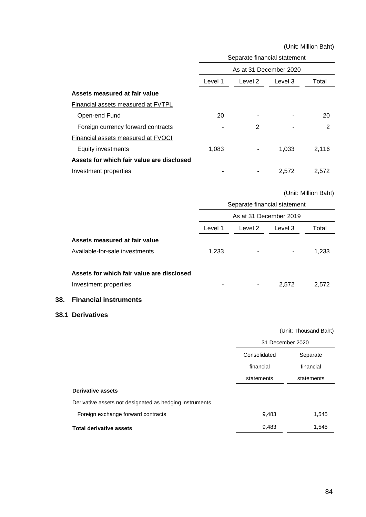(Unit: Million Baht)

|                                           | Separate financial statement           |   |       |       |  |  |  |  |
|-------------------------------------------|----------------------------------------|---|-------|-------|--|--|--|--|
|                                           | As at 31 December 2020                 |   |       |       |  |  |  |  |
|                                           | Level 1<br>Level 2<br>Total<br>Level 3 |   |       |       |  |  |  |  |
| Assets measured at fair value             |                                        |   |       |       |  |  |  |  |
| Financial assets measured at FVTPL        |                                        |   |       |       |  |  |  |  |
| Open-end Fund                             | 20                                     |   |       | 20    |  |  |  |  |
| Foreign currency forward contracts        |                                        | 2 |       | 2     |  |  |  |  |
| Financial assets measured at FVOCI        |                                        |   |       |       |  |  |  |  |
| <b>Equity investments</b>                 | 1,083                                  |   | 1.033 | 2,116 |  |  |  |  |
| Assets for which fair value are disclosed |                                        |   |       |       |  |  |  |  |
| Investment properties                     |                                        |   | 2.572 | 2.572 |  |  |  |  |

(Unit: Million Baht)

|     |                                           | Separate financial statement |         |         |       |  |  |  |  |
|-----|-------------------------------------------|------------------------------|---------|---------|-------|--|--|--|--|
|     |                                           | As at 31 December 2019       |         |         |       |  |  |  |  |
|     |                                           | Level 1                      | Level 2 | Level 3 | Total |  |  |  |  |
|     | Assets measured at fair value             |                              |         |         |       |  |  |  |  |
|     | Available-for-sale investments            | 1,233                        | ۰       | ۰       | 1,233 |  |  |  |  |
|     | Assets for which fair value are disclosed |                              |         |         |       |  |  |  |  |
|     | Investment properties                     |                              | ۰       | 2,572   | 2,572 |  |  |  |  |
| 38. | <b>Financial instruments</b>              |                              |         |         |       |  |  |  |  |

### **38.1 Derivatives**

|                                                         | (Unit: Thousand Baht)    |            |  |  |
|---------------------------------------------------------|--------------------------|------------|--|--|
|                                                         | 31 December 2020         |            |  |  |
|                                                         | Consolidated<br>Separate |            |  |  |
|                                                         | financial                | financial  |  |  |
|                                                         | statements               | statements |  |  |
| <b>Derivative assets</b>                                |                          |            |  |  |
| Derivative assets not designated as hedging instruments |                          |            |  |  |
| Foreign exchange forward contracts                      | 9,483                    | 1,545      |  |  |
| <b>Total derivative assets</b>                          | 9,483                    | 1,545      |  |  |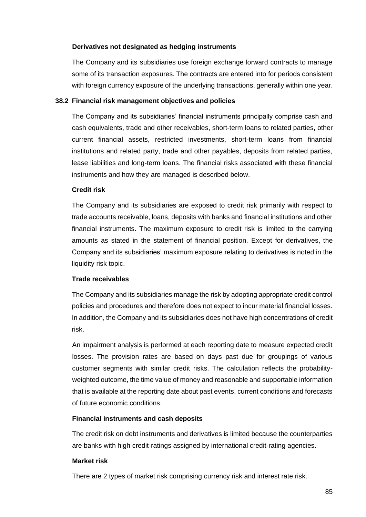### **Derivatives not designated as hedging instruments**

The Company and its subsidiaries use foreign exchange forward contracts to manage some of its transaction exposures. The contracts are entered into for periods consistent with foreign currency exposure of the underlying transactions, generally within one year.

#### **38.2 Financial risk management objectives and policies**

The Company and its subsidiaries' financial instruments principally comprise cash and cash equivalents, trade and other receivables, short-term loans to related parties, other current financial assets, restricted investments, short-term loans from financial institutions and related party, trade and other payables, deposits from related parties, lease liabilities and long-term loans. The financial risks associated with these financial instruments and how they are managed is described below.

#### **Credit risk**

The Company and its subsidiaries are exposed to credit risk primarily with respect to trade accounts receivable, loans, deposits with banks and financial institutions and other financial instruments. The maximum exposure to credit risk is limited to the carrying amounts as stated in the statement of financial position. Except for derivatives, the Company and its subsidiaries' maximum exposure relating to derivatives is noted in the liquidity risk topic.

### **Trade receivables**

The Company and its subsidiaries manage the risk by adopting appropriate credit control policies and procedures and therefore does not expect to incur material financial losses. In addition, the Company and its subsidiaries does not have high concentrations of credit risk.

An impairment analysis is performed at each reporting date to measure expected credit losses. The provision rates are based on days past due for groupings of various customer segments with similar credit risks. The calculation reflects the probabilityweighted outcome, the time value of money and reasonable and supportable information that is available at the reporting date about past events, current conditions and forecasts of future economic conditions.

### **Financial instruments and cash deposits**

The credit risk on debt instruments and derivatives is limited because the counterparties are banks with high credit-ratings assigned by international credit-rating agencies.

### **Market risk**

There are 2 types of market risk comprising currency risk and interest rate risk.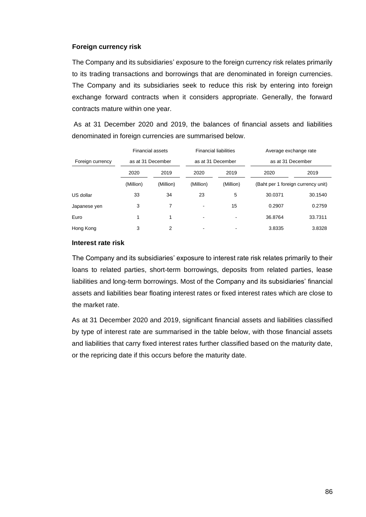#### **Foreign currency risk**

The Company and its subsidiaries' exposure to the foreign currency risk relates primarily to its trading transactions and borrowings that are denominated in foreign currencies. The Company and its subsidiaries seek to reduce this risk by entering into foreign exchange forward contracts when it considers appropriate. Generally, the forward contracts mature within one year.

As at 31 December 2020 and 2019, the balances of financial assets and liabilities denominated in foreign currencies are summarised below.

|                  | <b>Financial assets</b> |           |           | <b>Financial liabilities</b> | Average exchange rate              |         |  |
|------------------|-------------------------|-----------|-----------|------------------------------|------------------------------------|---------|--|
| Foreign currency | as at 31 December       |           |           | as at 31 December            | as at 31 December                  |         |  |
|                  | 2020                    | 2019      | 2020      | 2019                         | 2020                               | 2019    |  |
|                  | (Million)               | (Million) | (Million) | (Million)                    | (Baht per 1 foreign currency unit) |         |  |
| US dollar        | 33                      | 34        | 23        | 5                            | 30.0371                            | 30.1540 |  |
| Japanese yen     | 3                       | 7         |           | 15                           | 0.2907                             | 0.2759  |  |
| Euro             |                         |           |           |                              | 36.8764                            | 33.7311 |  |
| Hong Kong        | 3                       | 2         |           |                              | 3.8335                             | 3.8328  |  |

#### **Interest rate risk**

The Company and its subsidiaries' exposure to interest rate risk relates primarily to their loans to related parties, short-term borrowings, deposits from related parties, lease liabilities and long-term borrowings. Most of the Company and its subsidiaries' financial assets and liabilities bear floating interest rates or fixed interest rates which are close to the market rate.

As at 31 December 2020 and 2019, significant financial assets and liabilities classified by type of interest rate are summarised in the table below, with those financial assets and liabilities that carry fixed interest rates further classified based on the maturity date, or the repricing date if this occurs before the maturity date.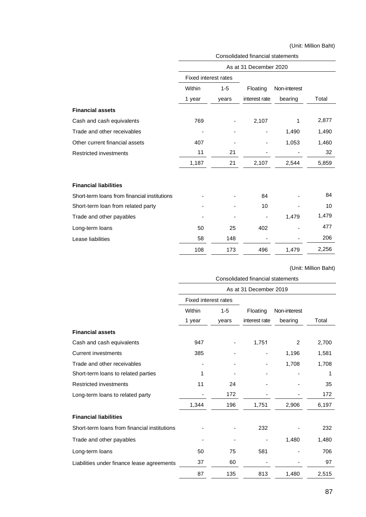(Unit: Million Baht)

|                                              | Consolidated financial statements |         |               |              |       |  |
|----------------------------------------------|-----------------------------------|---------|---------------|--------------|-------|--|
|                                              | As at 31 December 2020            |         |               |              |       |  |
|                                              | <b>Fixed interest rates</b>       |         |               |              |       |  |
|                                              | Within                            | $1 - 5$ | Floating      | Non-interest |       |  |
|                                              | 1 year                            | years   | interest rate | bearing      | Total |  |
| <b>Financial assets</b>                      |                                   |         |               |              |       |  |
| Cash and cash equivalents                    | 769                               | ٠       | 2,107         | 1            | 2,877 |  |
| Trade and other receivables                  |                                   |         |               | 1,490        | 1,490 |  |
| Other current financial assets               | 407                               |         |               | 1,053        | 1,460 |  |
| <b>Restricted investments</b>                | 11                                | 21      |               |              | 32    |  |
|                                              | 1,187                             | 21      | 2,107         | 2,544        | 5,859 |  |
| <b>Financial liabilities</b>                 |                                   |         |               |              |       |  |
| Short-term loans from financial institutions |                                   |         | 84            |              | 84    |  |
| Short-term loan from related party           |                                   |         | 10            |              | 10    |  |
| Trade and other payables                     |                                   |         |               | 1,479        | 1,479 |  |
| Long-term loans                              | 50                                | 25      | 402           |              | 477   |  |
| Lease liabilities                            | 58                                | 148     |               |              | 206   |  |
|                                              | 108                               | 173     | 496           | 1,479        | 2,256 |  |

(Unit: Million Baht)

|                                              | Consolidated financial statements |         |               |              |       |  |
|----------------------------------------------|-----------------------------------|---------|---------------|--------------|-------|--|
|                                              | As at 31 December 2019            |         |               |              |       |  |
|                                              | <b>Fixed interest rates</b>       |         |               |              |       |  |
|                                              | Within                            | $1 - 5$ | Floating      | Non-interest |       |  |
|                                              | 1 year                            | years   | interest rate | bearing      | Total |  |
| <b>Financial assets</b>                      |                                   |         |               |              |       |  |
| Cash and cash equivalents                    | 947                               |         | 1,751         | 2            | 2,700 |  |
| <b>Current investments</b>                   | 385                               |         |               | 1,196        | 1,581 |  |
| Trade and other receivables                  |                                   |         |               | 1,708        | 1,708 |  |
| Short-term loans to related parties          |                                   |         |               |              | 1     |  |
| <b>Restricted investments</b>                | 11                                | 24      |               |              | 35    |  |
| Long-term loans to related party             |                                   | 172     |               |              | 172   |  |
|                                              | 1,344                             | 196     | 1,751         | 2,906        | 6,197 |  |
| <b>Financial liabilities</b>                 |                                   |         |               |              |       |  |
| Short-term loans from financial institutions |                                   |         | 232           |              | 232   |  |
| Trade and other payables                     |                                   |         |               | 1,480        | 1,480 |  |
| Long-term loans                              | 50                                | 75      | 581           |              | 706   |  |
| Liabilities under finance lease agreements   | 37                                | 60      |               |              | 97    |  |
|                                              | 87                                | 135     | 813           | 1,480        | 2,515 |  |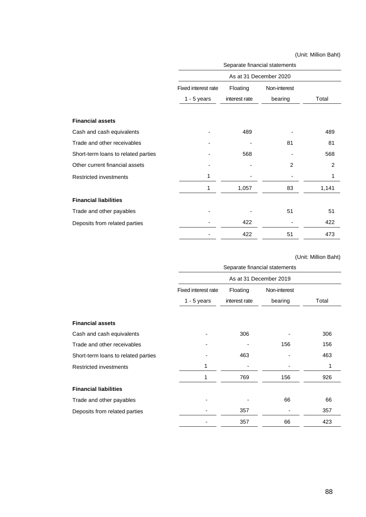(Unit: Million Baht)

| Separate financial statements       |                            |               |                |       |  |
|-------------------------------------|----------------------------|---------------|----------------|-------|--|
|                                     | As at 31 December 2020     |               |                |       |  |
|                                     | <b>Fixed interest rate</b> | Floating      | Non-interest   |       |  |
|                                     | 1 - 5 years                | interest rate | bearing        | Total |  |
| <b>Financial assets</b>             |                            |               |                |       |  |
| Cash and cash equivalents           |                            | 489           |                | 489   |  |
| Trade and other receivables         |                            |               | 81             | 81    |  |
| Short-term loans to related parties |                            | 568           |                | 568   |  |
| Other current financial assets      |                            |               | $\overline{2}$ | 2     |  |
| Restricted investments              | 1                          |               |                |       |  |
|                                     | 1                          | 1,057         | 83             | 1,141 |  |
| <b>Financial liabilities</b>        |                            |               |                |       |  |
| Trade and other payables            |                            |               | 51             | 51    |  |
| Deposits from related parties       |                            | 422           |                | 422   |  |
|                                     |                            | 422           | 51             | 473   |  |

(Unit: Million Baht)

|                                     | Separate financial statements<br>As at 31 December 2019 |               |              |       |  |
|-------------------------------------|---------------------------------------------------------|---------------|--------------|-------|--|
|                                     |                                                         |               |              |       |  |
|                                     | <b>Fixed interest rate</b>                              | Floating      | Non-interest |       |  |
|                                     | 1 - 5 years                                             | interest rate | bearing      | Total |  |
|                                     |                                                         |               |              |       |  |
| <b>Financial assets</b>             |                                                         |               |              |       |  |
| Cash and cash equivalents           |                                                         | 306           |              | 306   |  |
| Trade and other receivables         |                                                         |               | 156          | 156   |  |
| Short-term loans to related parties |                                                         | 463           |              | 463   |  |
| <b>Restricted investments</b>       | 1                                                       |               |              | 1     |  |
|                                     | 1                                                       | 769           | 156          | 926   |  |
| <b>Financial liabilities</b>        |                                                         |               |              |       |  |
| Trade and other payables            |                                                         |               | 66           | 66    |  |
| Deposits from related parties       |                                                         | 357           |              | 357   |  |
|                                     |                                                         | 357           | 66           | 423   |  |